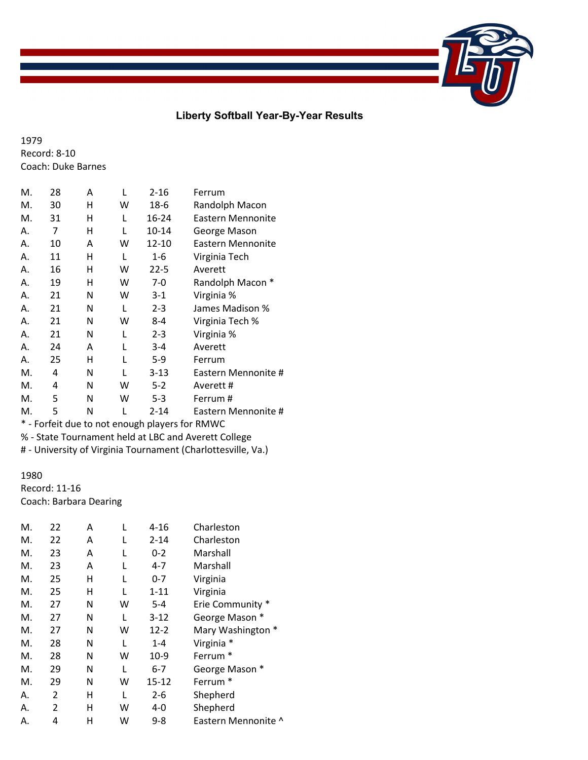## **Liberty Softball Year-By-Year Results**

1979 Record: 8-10 Coach: Duke Barnes

| М. | 28 | Α | L | $2 - 16$  | Ferrum                                     |
|----|----|---|---|-----------|--------------------------------------------|
| M. | 30 | н | w | 18-6      | Randolph Macon                             |
| M. | 31 | н | L | $16 - 24$ | Eastern Mennonite                          |
| А. | 7  | н | L | 10-14     | George Mason                               |
| А. | 10 | Α | w | 12-10     | Eastern Mennonite                          |
| А. | 11 | н | L | 1-6       | Virginia Tech                              |
| А. | 16 | н | w | $22 - 5$  | Averett                                    |
| А. | 19 | н | w | 7-0       | Randolph Macon *                           |
| А. | 21 | N | w | $3-1$     | Virginia %                                 |
| А. | 21 | N | L | $2 - 3$   | James Madison %                            |
| А. | 21 | N | w | 8-4       | Virginia Tech %                            |
| А. | 21 | N | L | $2 - 3$   | Virginia %                                 |
| А. | 24 | Α |   | $3 - 4$   | Averett                                    |
| А. | 25 | н |   | 5-9       | Ferrum                                     |
| M. | 4  | N |   | 3-13      | Eastern Mennonite #                        |
| М. | 4  | N | w | $5-2$     | Averett #                                  |
| M. | 5  | N | w | $5 - 3$   | Ferrum #                                   |
| M. | 5  | N |   | $2 - 14$  | Eastern Mennonite #                        |
| *  |    |   |   |           | Earfait due to not enough players for PMMC |

Forfeit due to not enough players for RMWC % - State Tournament held at LBC and Averett College

# - University of Virginia Tournament (Charlottesville, Va.)

## 1980 Record: 11-16 Coach: Barbara Dearing

| M. | 22             | Α | L | 4-16     | Charleston          |
|----|----------------|---|---|----------|---------------------|
| М. | 22             | A |   | $2 - 14$ | Charleston          |
| М. | 23             | A | L | $0 - 2$  | Marshall            |
| М. | 23             | A | L | $4 - 7$  | Marshall            |
| М. | 25             | н | L | $0 - 7$  | Virginia            |
| M. | 25             | н | L | $1 - 11$ | Virginia            |
| М. | 27             | N | w | $5 - 4$  | Erie Community *    |
| М. | 27             | N | L | $3-12$   | George Mason *      |
| М. | 27             | N | w | $12 - 2$ | Mary Washington *   |
| M. | 28             | N | L | $1 - 4$  | Virginia *          |
| М. | 28             | N | w | $10-9$   | Ferrum <sup>*</sup> |
| М. | 29             | N | L | $6 - 7$  | George Mason        |
| М. | 29             | N | w | 15-12    | Ferrum <sup>*</sup> |
| Α. | $\overline{2}$ | н | L | 2-6      | Shepherd            |
| Α. | $\mathcal{P}$  | н | w | $4 - 0$  | Shepherd            |
| А. | 4              | н | w | 9-8      | Eastern Mennonite ^ |
|    |                |   |   |          |                     |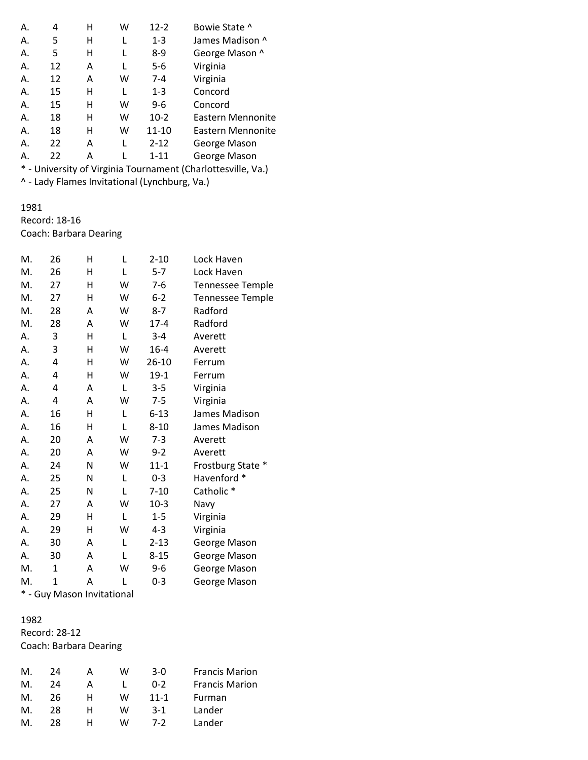| Α.                   | 4                    | н | w | $12 - 2$ | Bowie State ^     |
|----------------------|----------------------|---|---|----------|-------------------|
| Α.                   | 5                    | н |   | $1 - 3$  | James Madison ^   |
| А.                   | 5                    | Н |   | $8-9$    | George Mason ^    |
| Α.                   | 12                   | Α |   | 5-6      | Virginia          |
| Α.                   | 12                   | Α | w | $7 - 4$  | Virginia          |
| Α.                   | 15                   | н | L | $1 - 3$  | Concord           |
| Α.                   | 15                   | Н | w | $9-6$    | Concord           |
| Α.                   | 18                   | н | w | $10-2$   | Eastern Mennonite |
| Α.                   | 18                   | н | w | 11-10    | Eastern Mennonite |
| А.                   | 22                   | Α |   | $2 - 12$ | George Mason      |
| Α.                   | 22                   | Α |   | $1 - 11$ | George Mason      |
| $\ddot{\phantom{1}}$ | $\ddot{\phantom{0}}$ |   |   |          |                   |

\* - University of Virginia Tournament (Charlottesville, Va.) ^ - Lady Flames Invitational (Lynchburg, Va.)

# 1981 Record: 18-16

Coach: Barbara Dearing

| М. | 26 | н | L | $2 - 10$  | Lock Haven              |
|----|----|---|---|-----------|-------------------------|
| M. | 26 | н | L | $5 - 7$   | Lock Haven              |
| M. | 27 | н | W | $7-6$     | <b>Tennessee Temple</b> |
| M. | 27 | н | W | $6 - 2$   | <b>Tennessee Temple</b> |
| M. | 28 | A | W | $8 - 7$   | Radford                 |
| M. | 28 | A | W | $17 - 4$  | Radford                 |
| А. | 3  | н | L | $3 - 4$   | Averett                 |
| А. | 3  | н | W | $16 - 4$  | Averett                 |
| А. | 4  | н | W | $26 - 10$ | Ferrum                  |
| А. | 4  | Η | W | $19-1$    | Ferrum                  |
| А. | 4  | Α | L | $3 - 5$   | Virginia                |
| А. | 4  | A | W | $7 - 5$   | Virginia                |
| А. | 16 | н | L | $6 - 13$  | James Madison           |
| А. | 16 | Η | L | $8 - 10$  | James Madison           |
| А. | 20 | A | W | $7-3$     | Averett                 |
| А. | 20 | A | W | $9 - 2$   | Averett                 |
| А. | 24 | N | W | $11 - 1$  | Frostburg State *       |
| А. | 25 | Ν | L | $0 - 3$   | Havenford *             |
| А. | 25 | N | L | $7 - 10$  | Catholic <sup>*</sup>   |
| А. | 27 | A | W | $10-3$    | Navy                    |
| А. | 29 | Η | L | $1 - 5$   | Virginia                |
| А. | 29 | Н | W | $4 - 3$   | Virginia                |
| А. | 30 | Α | L | $2 - 13$  | George Mason            |
| А. | 30 | Α | L | $8 - 15$  | George Mason            |
| M. | 1  | Α | W | $9 - 6$   | George Mason            |
| M. | 1  | Α | L | $0 - 3$   | George Mason            |
|    |    |   |   |           |                         |

\* - Guy Mason Invitational

## 1982 Record: 28-12 Coach: Barbara Dearing

| M. | 24 |   | w | $3-0$    | <b>Francis Marion</b> |
|----|----|---|---|----------|-----------------------|
| M. | 24 |   |   | $0 - 2$  | <b>Francis Marion</b> |
| M. | 26 | н | w | $11 - 1$ | Furman                |
| M. | 28 | н | w | $3-1$    | Lander                |
| M. | 28 | н | w | 7-2      | Lander                |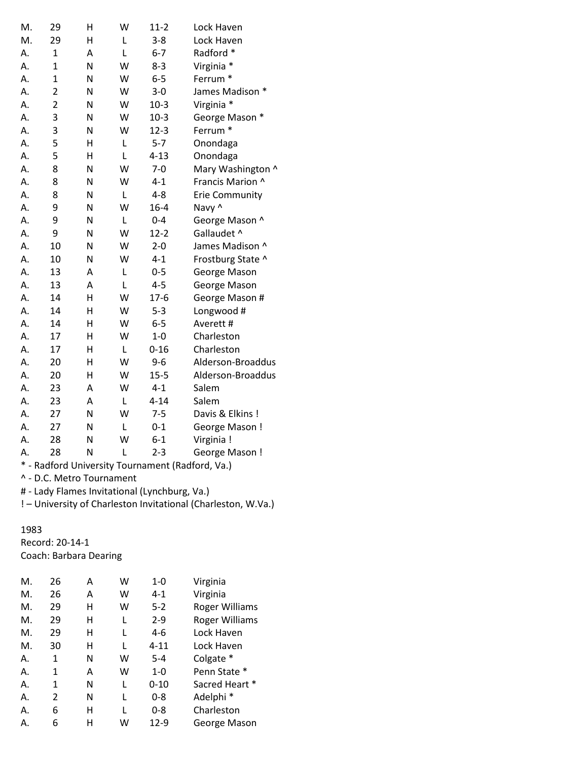| M. | 29             | H | W | $11-2$   | Lock Haven                                       |
|----|----------------|---|---|----------|--------------------------------------------------|
| M. | 29             | Η | L | $3 - 8$  | Lock Haven                                       |
| А. | 1              | A | L | $6 - 7$  | Radford *                                        |
| Α. | $\overline{1}$ | N | W | $8 - 3$  | Virginia *                                       |
| Α. | 1              | N | W | $6-5$    | Ferrum <sup>*</sup>                              |
| Α. | $\overline{2}$ | N | W | $3 - 0$  | James Madison *                                  |
| Α. | $\overline{2}$ | N | W | $10-3$   | Virginia *                                       |
| А. | 3              | N | W | $10-3$   | George Mason *                                   |
| Α. | 3              | N | W | $12 - 3$ | Ferrum <sup>*</sup>                              |
| А. | 5              | Η | L | $5 - 7$  | Onondaga                                         |
| А. | 5              | H | L | $4 - 13$ | Onondaga                                         |
| А. | 8              | N | W | $7 - 0$  | Mary Washington ^                                |
| Α. | 8              | N | W | $4 - 1$  | Francis Marion ^                                 |
| Α. | 8              | N | L | $4 - 8$  | <b>Erie Community</b>                            |
| Α. | 9              | N | W | $16 - 4$ | Navy ^                                           |
| А. | 9              | N | L | $0 - 4$  | George Mason ^                                   |
| А. | 9              | N | W | $12 - 2$ | Gallaudet ^                                      |
| Α. | 10             | N | W | $2 - 0$  | James Madison ^                                  |
| Α. | 10             | N | W | $4 - 1$  | Frostburg State ^                                |
| Α. | 13             | A | L | $0 - 5$  | George Mason                                     |
| Α. | 13             | A | L | $4 - 5$  | George Mason                                     |
| Α. | 14             | H | W | $17-6$   | George Mason #                                   |
| А. | 14             | Η | W | $5 - 3$  | Longwood #                                       |
| Α. | 14             | Η | W | $6-5$    | Averett #                                        |
| А. | 17             | Н | W | $1-0$    | Charleston                                       |
| Α. | 17             | Η | L | $0 - 16$ | Charleston                                       |
| Α. | 20             | Η | W | $9 - 6$  | Alderson-Broaddus                                |
| Α. | 20             | H | W | $15 - 5$ | Alderson-Broaddus                                |
| Α. | 23             | А | W | $4 - 1$  | Salem                                            |
| Α. | 23             | Α | L | $4 - 14$ | Salem                                            |
| Α. | 27             | N | W | $7 - 5$  | Davis & Elkins!                                  |
| Α. | 27             | N | Г | $0 - 1$  | George Mason!                                    |
| Α. | 28             | N | W | $6 - 1$  | Virginia !                                       |
| Α. | 28             | N | L | $2 - 3$  | George Mason!                                    |
|    |                |   |   |          | * - Radford University Tournament (Radford, Va.) |

^ - D.C. Metro Tournament

# - Lady Flames Invitational (Lynchburg, Va.)

! – University of Charleston Invitational (Charleston, W.Va.)

## 1983

Record: 20-14-1 Coach: Barbara Dearing

| М. | 26 | А | w | 1-0      | Virginia              |
|----|----|---|---|----------|-----------------------|
| М. | 26 | Α | w | $4 - 1$  | Virginia              |
| Μ. | 29 | н | W | $5 - 2$  | <b>Roger Williams</b> |
| М. | 29 | н | L | $2 - 9$  | <b>Roger Williams</b> |
| М. | 29 | н |   | 4-6      | Lock Haven            |
| М. | 30 | н |   | $4 - 11$ | Lock Haven            |
| А. | 1  | N | w | $5 - 4$  | Colgate *             |
| А. | 1  | Α | w | $1 - 0$  | Penn State *          |
| А. | 1  | Ν | L | $0 - 10$ | Sacred Heart *        |
| А. | 2  | Ν | L | 0-8      | Adelphi <sup>*</sup>  |
| А. | 6  | н |   | $0 - 8$  | Charleston            |
| А. | 6  | н | w | $12-9$   | George Mason          |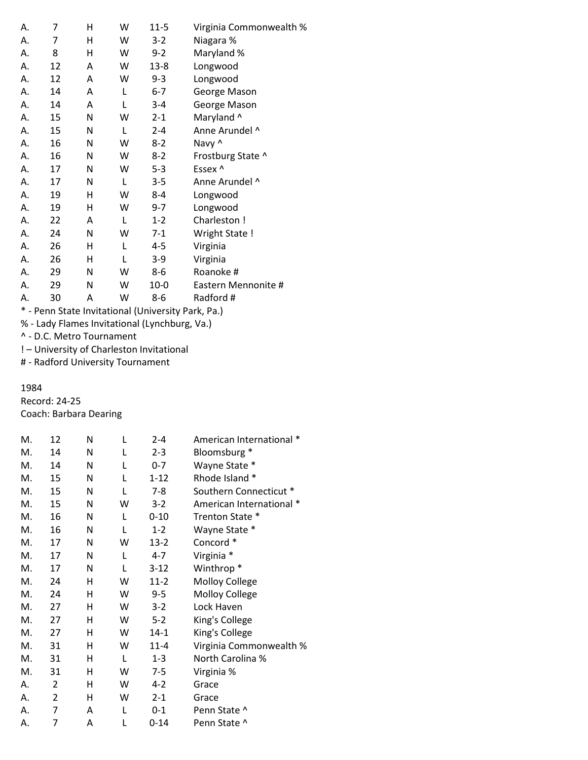| А. | 7  | Н | W | $11 - 5$ | Virginia Commonwealth % |
|----|----|---|---|----------|-------------------------|
| А. | 7  | н | w | $3-2$    | Niagara %               |
| А. | 8  | н | w | $9-2$    | Maryland %              |
| А. | 12 | A | W | $13 - 8$ | Longwood                |
| А. | 12 | Α | W | 9-3      | Longwood                |
| А. | 14 | Α | L | $6 - 7$  | George Mason            |
| А. | 14 | Α | L | $3 - 4$  | George Mason            |
| Α. | 15 | Ν | w | $2 - 1$  | Maryland ^              |
| А. | 15 | N | L | $2 - 4$  | Anne Arundel ^          |
| А. | 16 | Ν | W | $8-2$    | Navy ^                  |
| А. | 16 | Ν | W | $8-2$    | Frostburg State ^       |
| А. | 17 | Ν | W | $5-3$    | Essex ^                 |
| А. | 17 | Ν | L | $3 - 5$  | Anne Arundel ^          |
| А. | 19 | Н | w | $8 - 4$  | Longwood                |
| А. | 19 | Η | w | $9 - 7$  | Longwood                |
| А. | 22 | Α | L | $1 - 2$  | Charleston !            |
| А. | 24 | Ν | W | 7-1      | Wright State !          |
| А. | 26 | Н | L | 4-5      | Virginia                |
| А. | 26 | н | L | $3-9$    | Virginia                |
| А. | 29 | Ν | W | 8-6      | Roanoke #               |
| А. | 29 | Ν | W | $10 - 0$ | Eastern Mennonite #     |
| А. | 30 | Α | W | $8 - 6$  | Radford #               |
|    |    |   |   | .        |                         |

\* - Penn State Invitational (University Park, Pa.)

% - Lady Flames Invitational (Lynchburg, Va.)

^ - D.C. Metro Tournament

! – University of Charleston Invitational

# - Radford University Tournament

#### 1984

Record: 24-25 Coach: Barbara Dearing

| M. | 12 | N | L | $2 - 4$  | American International * |
|----|----|---|---|----------|--------------------------|
| M. | 14 | N | L | $2 - 3$  | Bloomsburg *             |
| M. | 14 | N | L | $0 - 7$  | Wayne State *            |
| M. | 15 | N | L | $1 - 12$ | Rhode Island *           |
| M. | 15 | N | L | $7 - 8$  | Southern Connecticut *   |
| М. | 15 | N | w | $3-2$    | American International * |
| M. | 16 | N | L | $0 - 10$ | Trenton State *          |
| M. | 16 | N | L | $1 - 2$  | Wayne State *            |
| M. | 17 | N | w | $13-2$   | Concord *                |
| M. | 17 | N | L | $4 - 7$  | Virginia *               |
| M. | 17 | N | L | $3 - 12$ | Winthrop <sup>*</sup>    |
| M. | 24 | н | w | $11-2$   | Molloy College           |
| M. | 24 | н | w | $9 - 5$  | <b>Molloy College</b>    |
| M. | 27 | н | w | $3-2$    | Lock Haven               |
| M. | 27 | н | w | $5 - 2$  | King's College           |
| M. | 27 | н | w | $14 - 1$ | King's College           |
| M. | 31 | н | w | $11 - 4$ | Virginia Commonwealth %  |
| M. | 31 | н | L | $1 - 3$  | North Carolina %         |
| M. | 31 | н | w | $7 - 5$  | Virginia %               |
| А. | 2  | н | w | $4 - 2$  | Grace                    |
| А. | 2  | н | w | $2 - 1$  | Grace                    |
| А. | 7  | A | L | $0 - 1$  | Penn State ^             |
| А. | 7  | Α | L | $0 - 14$ | Penn State ^             |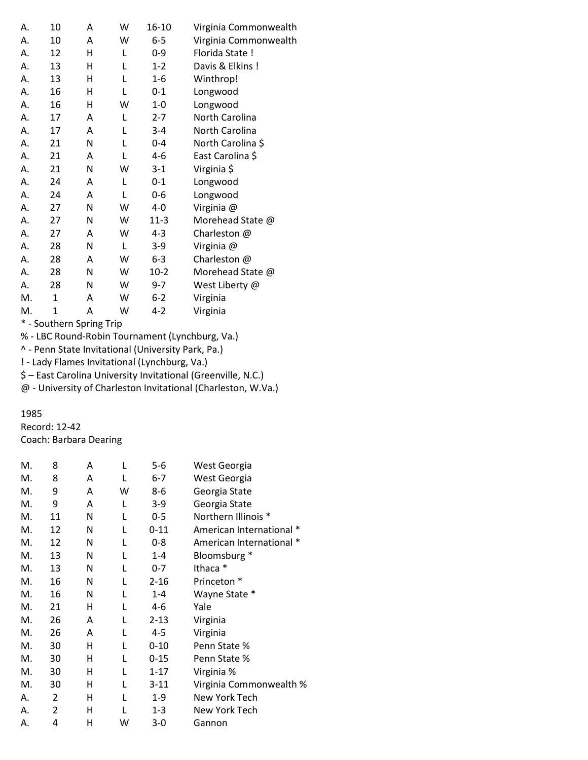| А.            | 10     | A      | W          | 16-10    | Virginia Commonwealth |
|---------------|--------|--------|------------|----------|-----------------------|
| А.            | 10     | A      | W          | $6-5$    | Virginia Commonwealth |
| А.            | 12     | н      | L          | $0 - 9$  | Florida State !       |
| А.            | 13     | н      | L          | $1 - 2$  | Davis & Elkins!       |
| А.            | 13     | н      | L          | $1 - 6$  | Winthrop!             |
| А.            | 16     | н      | L          | 0-1      | Longwood              |
| А.            | 16     | н      | w          | $1-0$    | Longwood              |
| А.            | 17     | Α      | L          | $2 - 7$  | North Carolina        |
| А.            | 17     | A      | L          | $3 - 4$  | North Carolina        |
| А.            | 21     | N      | L          | $0 - 4$  | North Carolina \$     |
| А.            | 21     | Α      | L          | $4 - 6$  | East Carolina \$      |
| А.            | 21     | N      | w          | $3-1$    | Virginia \$           |
| А.            | 24     | A      | L          | $0 - 1$  | Longwood              |
| А.            | 24     | A      | L          | $0-6$    | Longwood              |
| А.            | 27     | N      | W          | $4 - 0$  | Virginia @            |
| А.            | 27     | N      | W          | $11 - 3$ | Morehead State @      |
| А.            | 27     | A      | W          | $4 - 3$  | Charleston @          |
| А.            | 28     | N      | L          | $3-9$    | Virginia @            |
| А.            | 28     | Α      | W          | $6 - 3$  | Charleston @          |
| А.            | 28     | N      | W          | $10-2$   | Morehead State @      |
| А.            | 28     | N      | W          | $9 - 7$  | West Liberty @        |
| M.            | 1      | A      | W          | $6 - 2$  | Virginia              |
| M.            | 1      | A      | W          | $4 - 2$  | Virginia              |
| $\frac{1}{2}$ | دا خان | $\sim$ | <u>т.:</u> |          |                       |

\* - Southern Spring Trip

% - LBC Round-Robin Tournament (Lynchburg, Va.)

^ - Penn State Invitational (University Park, Pa.)

! - Lady Flames Invitational (Lynchburg, Va.)

\$ – East Carolina University Invitational (Greenville, N.C.)

@ - University of Charleston Invitational (Charleston, W.Va.)

## 1985

Record: 12-42 Coach: Barbara Dearing

| М. | 8              | Α | L | $5-6$    | West Georgia             |
|----|----------------|---|---|----------|--------------------------|
| М. | 8              | A | L | 6-7      | West Georgia             |
| М. | 9              | Α | W | 8-6      | Georgia State            |
| М. | 9              | Α | L | $3-9$    | Georgia State            |
| М. | 11             | N | L | $0 - 5$  | Northern Illinois *      |
| M. | 12             | N | L | $0 - 11$ | American International * |
| М. | 12             | N | L | $0 - 8$  | American International * |
| М. | 13             | N | L | $1 - 4$  | Bloomsburg *             |
| М. | 13             | N | L | $0 - 7$  | Ithaca *                 |
| М. | 16             | N | L | $2 - 16$ | Princeton *              |
| М. | 16             | N | L | $1 - 4$  | Wayne State *            |
| Μ. | 21             | н | L | 4-6      | Yale                     |
| М. | 26             | A | L | $2 - 13$ | Virginia                 |
| М. | 26             | Α | L | $4 - 5$  | Virginia                 |
| М. | 30             | н | L | $0 - 10$ | Penn State %             |
| Μ. | 30             | н | L | $0 - 15$ | Penn State %             |
| М. | 30             | н | L | $1 - 17$ | Virginia %               |
| M. | 30             | н | L | $3 - 11$ | Virginia Commonwealth %  |
| А. | $\overline{2}$ | н | L | $1 - 9$  | New York Tech            |
| Α. | $\overline{2}$ | н |   | $1 - 3$  | New York Tech            |
| Α. | 4              | н | w | $3-0$    | Gannon                   |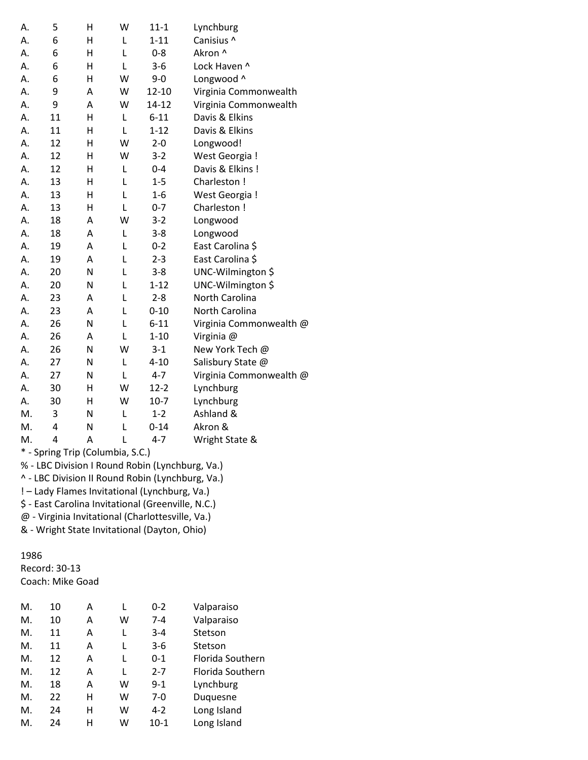| А. | 5  | H | W | $11 - 1$  | Lynchburg               |
|----|----|---|---|-----------|-------------------------|
| Α. | 6  | Η | Г | $1 - 11$  | Canisius ^              |
| А. | 6  | Н | L | $0 - 8$   | Akron ^                 |
| А. | 6  | н | L | $3 - 6$   | Lock Haven ^            |
| А. | 6  | Η | W | $9 - 0$   | Longwood ^              |
| А. | 9  | Α | W | $12 - 10$ | Virginia Commonwealth   |
| А. | 9  | Α | W | 14-12     | Virginia Commonwealth   |
| А. | 11 | Η | L | $6 - 11$  | Davis & Elkins          |
| Α. | 11 | H | L | $1 - 12$  | Davis & Elkins          |
| Α. | 12 | Η | W | $2 - 0$   | Longwood!               |
| А. | 12 | Н | W | $3 - 2$   | West Georgia !          |
| Α. | 12 | Η | L | $0 - 4$   | Davis & Elkins!         |
| А. | 13 | Η | L | $1 - 5$   | Charleston!             |
| А. | 13 | Η | L | $1-6$     | West Georgia !          |
| А. | 13 | Н | L | $0 - 7$   | Charleston !            |
| Α. | 18 | A | W | $3 - 2$   | Longwood                |
| Α. | 18 | Α | L | $3 - 8$   | Longwood                |
| А. | 19 | Α | L | $0 - 2$   | East Carolina \$        |
| А. | 19 | A | L | $2 - 3$   | East Carolina \$        |
| Α. | 20 | N | L | $3 - 8$   | UNC-Wilmington \$       |
| А. | 20 | N | L | $1 - 12$  | UNC-Wilmington \$       |
| А. | 23 | Α | L | $2 - 8$   | North Carolina          |
| А. | 23 | A | L | $0 - 10$  | North Carolina          |
| Α. | 26 | N | L | $6 - 11$  | Virginia Commonwealth @ |
| Α. | 26 | Α | L | $1 - 10$  | Virginia @              |
| А. | 26 | N | W | $3 - 1$   | New York Tech @         |
| Α. | 27 | N | L | $4 - 10$  | Salisbury State @       |
| Α. | 27 | N | L | $4 - 7$   | Virginia Commonwealth @ |
| А. | 30 | Η | W | $12 - 2$  | Lynchburg               |
| А. | 30 | н | W | $10-7$    | Lynchburg               |
| M. | 3  | N | L | $1 - 2$   | Ashland &               |
| M. | 4  | N | L | $0 - 14$  | Akron &                 |
| M. | 4  | A | L | $4 - 7$   | Wright State &          |
|    |    |   |   |           |                         |

\* - Spring Trip (Columbia, S.C.)

% - LBC Division I Round Robin (Lynchburg, Va.)

^ - LBC Division II Round Robin (Lynchburg, Va.)

! – Lady Flames Invitational (Lynchburg, Va.)

\$ - East Carolina Invitational (Greenville, N.C.)

@ - Virginia Invitational (Charlottesville, Va.)

& - Wright State Invitational (Dayton, Ohio)

#### 1986

Record: 30-13 Coach: Mike Goad

|    | COdcil: Milke Godu |   |   |         |              |
|----|--------------------|---|---|---------|--------------|
| М. | 10                 | Α | L | $0 - 2$ | Valparaiso   |
| М. | 10                 | Α | w | 7-4     | Valparaiso   |
| Μ. | 11                 | Α | L | $3 - 4$ | Stetson      |
| Μ. | 11                 | Α | L | $3-6$   | Stetson      |
| Μ. | 12                 | Α | L | $0 - 1$ | Florida Sout |
| Μ. | 12                 | Α | L | $2 - 7$ | Florida Sou  |
| М. | 18                 | A | w | $9 - 1$ | Lynchburg    |
| М. | 22                 | н | w | 7-0     | Duquesne     |
| М. | 24                 | н | w | 4-2     | Long Island  |

M. 24 H W 10-1 Long Island

Southern Southern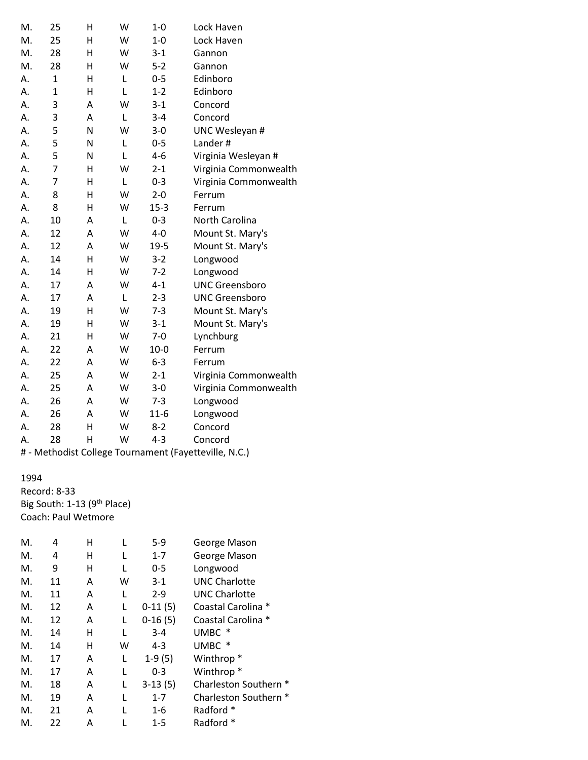| M. | 25             | Η | W | $1-0$    | Lock Haven            |
|----|----------------|---|---|----------|-----------------------|
| M. | 25             | н | W | $1-0$    | Lock Haven            |
| M. | 28             | н | W | $3 - 1$  | Gannon                |
| M. | 28             | Н | W | $5 - 2$  | Gannon                |
| А. | $\mathbf{1}$   | н | L | $0 - 5$  | Edinboro              |
| Α. | $\overline{1}$ | Η | L | $1 - 2$  | Edinboro              |
| Α. | 3              | A | W | $3 - 1$  | Concord               |
| Α. | 3              | A | L | $3 - 4$  | Concord               |
| Α. | 5              | N | W | $3 - 0$  | UNC Wesleyan #        |
| Α. | 5              | N | L | $0 - 5$  | Lander#               |
| Α. | 5              | N | L | $4 - 6$  | Virginia Wesleyan #   |
| А. | $\overline{7}$ | Η | W | $2 - 1$  | Virginia Commonwealth |
| Α. | $\overline{7}$ | н | L | $0 - 3$  | Virginia Commonwealth |
| Α. | 8              | Η | W | $2 - 0$  | Ferrum                |
| А. | 8              | н | W | $15 - 3$ | Ferrum                |
| Α. | 10             | А | L | $0 - 3$  | North Carolina        |
| А. | 12             | A | W | $4 - 0$  | Mount St. Mary's      |
| Α. | 12             | A | W | 19-5     | Mount St. Mary's      |
| Α. | 14             | Η | W | $3 - 2$  | Longwood              |
| Α. | 14             | Η | W | $7-2$    | Longwood              |
| Α. | 17             | A | W | $4 - 1$  | <b>UNC Greensboro</b> |
| Α. | 17             | A | L | $2 - 3$  | <b>UNC Greensboro</b> |
| Α. | 19             | H | W | $7 - 3$  | Mount St. Mary's      |
| А. | 19             | н | W | $3 - 1$  | Mount St. Mary's      |
| Α. | 21             | Η | W | $7 - 0$  | Lynchburg             |
| Α. | 22             | Α | W | $10 - 0$ | Ferrum                |
| Α. | 22             | A | W | $6-3$    | Ferrum                |
| Α. | 25             | Α | W | $2 - 1$  | Virginia Commonwealth |
| Α. | 25             | A | W | $3 - 0$  | Virginia Commonwealth |
| Α. | 26             | Α | W | $7 - 3$  | Longwood              |
| Α. | 26             | Α | W | $11-6$   | Longwood              |
| Α. | 28             | Η | W | $8 - 2$  | Concord               |
| А. | 28             | Η | W | $4 - 3$  | Concord               |

# - Methodist College Tournament (Fayetteville, N.C.)

### 1994

Record: 8-33 Big South: 1-13 (9<sup>th</sup> Place) Coach: Paul Wetmore

| М. | 4  | н | L | $5 - 9$   | George Mason          |
|----|----|---|---|-----------|-----------------------|
| M. | 4  | н | L | $1 - 7$   | George Mason          |
| М. | 9  | н | L | $0 - 5$   | Longwood              |
| Μ. | 11 | Α | w | $3-1$     | <b>UNC Charlotte</b>  |
| М. | 11 | Α | L | $2 - 9$   | <b>UNC Charlotte</b>  |
| Μ. | 12 | Α | L | $0-11(5)$ | Coastal Carolina *    |
| М. | 12 | A | L | $0-16(5)$ | Coastal Carolina *    |
| Μ. | 14 | н | L | $3 - 4$   | UMBC                  |
| М. | 14 | н | w | $4 - 3$   | UMBC *                |
| M. | 17 | Α | L | $1-9(5)$  | Winthrop <sup>*</sup> |
| M. | 17 | Α | L | $0 - 3$   | Winthrop <sup>*</sup> |
| M. | 18 | Α | L | $3-13(5)$ | Charleston Southern * |
| М. | 19 | Α | L | $1 - 7$   | Charleston Southern * |
| Μ. | 21 | Α |   | 1-6       | Radford *             |
| М. | 22 | А |   | $1 - 5$   | Radford *             |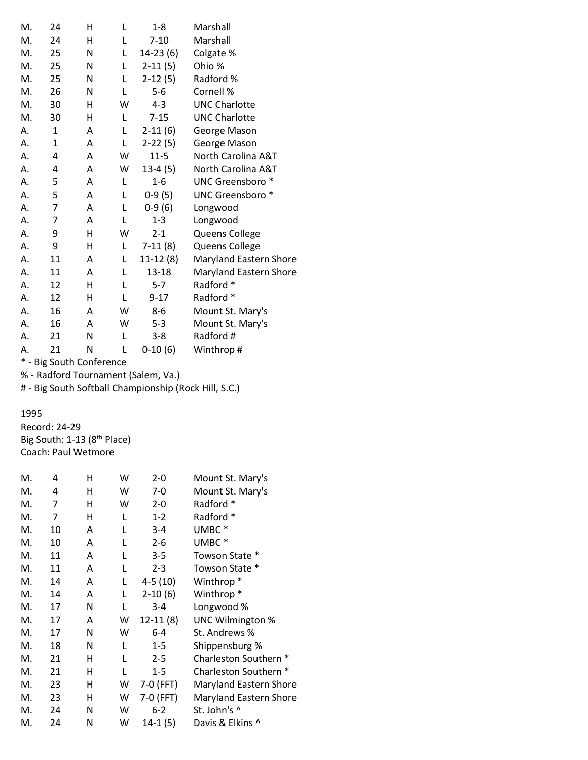| M.     | 24                   | н | L | 1-8        | Marshall                      |
|--------|----------------------|---|---|------------|-------------------------------|
| M.     | 24                   | н | L | $7 - 10$   | Marshall                      |
| M.     | 25                   | N | L | $14-23(6)$ | Colgate %                     |
|        |                      |   |   |            |                               |
| M.     | 25                   | N | L | $2-11(5)$  | Ohio %                        |
| M.     | 25                   | N | L | $2-12(5)$  | Radford %                     |
| M.     | 26                   | N | L | $5 - 6$    | Cornell %                     |
| M.     | 30                   | Η | W | 4-3        | <b>UNC Charlotte</b>          |
| M.     | 30                   | н | L | $7 - 15$   | <b>UNC Charlotte</b>          |
| А.     | $\mathbf{1}$         | A | L | $2-11(6)$  | George Mason                  |
| А.     | $\mathbf{1}$         | А | L | $2-22(5)$  | George Mason                  |
| А.     | 4                    | А | W | $11 - 5$   | North Carolina A&T            |
| А.     | 4                    | A | W | $13-4(5)$  | North Carolina A&T            |
| А.     | 5                    | Α | L | $1 - 6$    | UNC Greensboro <sup>*</sup>   |
| А.     | 5                    | A | L | $0-9(5)$   | UNC Greensboro *              |
| А.     | $\overline{7}$       | Α | L | $0-9(6)$   | Longwood                      |
| А.     | $\overline{7}$       | Α | L | $1 - 3$    | Longwood                      |
| А.     | 9                    | н | W | $2 - 1$    | Queens College                |
| А.     | 9                    | н | L | $7-11(8)$  | Queens College                |
| А.     | 11                   | Α | L | $11-12(8)$ | Maryland Eastern Shore        |
| А.     | 11                   | A | L | 13-18      | <b>Maryland Eastern Shore</b> |
| А.     | 12                   | н | L | $5 - 7$    | Radford *                     |
| А.     | 12                   | н | L | $9 - 17$   | Radford *                     |
| А.     | 16                   | A | W | 8-6        | Mount St. Mary's              |
| А.     | 16                   | A | W | $5 - 3$    | Mount St. Mary's              |
| А.     | 21                   | N | L | $3 - 8$    | Radford #                     |
| Α.     | 21                   | N | L | $0-10(6)$  | Winthrop#                     |
| $\ast$ | Dig South Conference |   |   |            |                               |

% - Radford Tournament (Salem, Va.)

# - Big South Softball Championship (Rock Hill, S.C.)

## 1995

Record: 24-29 Big South: 1-13 (8<sup>th</sup> Place) Coach: Paul Wetmore

| М. | 4  | н | W | $2 - 0$    | Mount St. Mary's              |
|----|----|---|---|------------|-------------------------------|
| М. | 4  | н | W | $7-0$      | Mount St. Mary's              |
| M. | 7  | н | W | $2 - 0$    | Radford *                     |
| М. | 7  | н | L | $1 - 2$    | Radford *                     |
| М. | 10 | A | L | $3 - 4$    | UMBC <sup>*</sup>             |
| M. | 10 | A | L | $2 - 6$    | UMBC*                         |
| М. | 11 | A | L | $3 - 5$    | Towson State *                |
| M. | 11 | A | L | $2 - 3$    | Towson State *                |
| М. | 14 | A | L | $4-5(10)$  | Winthrop <sup>*</sup>         |
| М. | 14 | A | L | $2-10(6)$  | Winthrop <sup>*</sup>         |
| М. | 17 | N | L | $3 - 4$    | Longwood %                    |
| М. | 17 | A | W | $12-11(8)$ | <b>UNC Wilmington %</b>       |
| M. | 17 | N | W | $6 - 4$    | St. Andrews %                 |
| M. | 18 | N | L | $1 - 5$    | Shippensburg %                |
| М. | 21 | н | L | $2 - 5$    | Charleston Southern *         |
| М. | 21 | н | L | $1 - 5$    | Charleston Southern *         |
| М. | 23 | Н | W | 7-0 (FFT)  | <b>Maryland Eastern Shore</b> |
| М. | 23 | н | W | 7-0 (FFT)  | <b>Maryland Eastern Shore</b> |
| М. | 24 | N | W | $6 - 2$    | St. John's ^                  |
| М. | 24 | N | w | $14-1(5)$  | Davis & Elkins ^              |
|    |    |   |   |            |                               |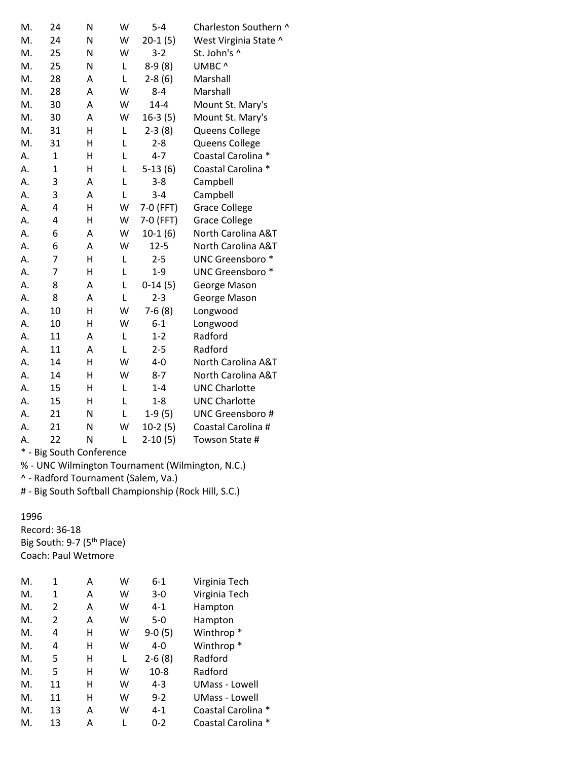| M.<br>M.<br>M.<br>M.<br>M.<br>M.<br>M. | 24<br>25<br>25<br>28<br>28<br>30<br>30<br>31<br>31<br>$\mathbf{1}$<br>$\mathbf 1$ | N<br>N<br>N<br>Α<br>Α<br>A<br>A<br>H<br>Η | W<br>W<br>L<br>L<br>W<br>W<br>W<br>L | $20-1(5)$<br>$3 - 2$<br>$8-9(8)$<br>$2-8(6)$<br>$8 - 4$<br>$14 - 4$<br>$16-3(5)$ | West Virginia State ^<br>St. John's ^<br>UMBC ^<br>Marshall<br>Marshall<br>Mount St. Mary's<br>Mount St. Mary's |
|----------------------------------------|-----------------------------------------------------------------------------------|-------------------------------------------|--------------------------------------|----------------------------------------------------------------------------------|-----------------------------------------------------------------------------------------------------------------|
|                                        |                                                                                   |                                           |                                      |                                                                                  |                                                                                                                 |
|                                        |                                                                                   |                                           |                                      |                                                                                  |                                                                                                                 |
|                                        |                                                                                   |                                           |                                      |                                                                                  |                                                                                                                 |
|                                        |                                                                                   |                                           |                                      |                                                                                  |                                                                                                                 |
|                                        |                                                                                   |                                           |                                      |                                                                                  |                                                                                                                 |
|                                        |                                                                                   |                                           |                                      |                                                                                  |                                                                                                                 |
|                                        |                                                                                   |                                           |                                      |                                                                                  |                                                                                                                 |
| M.                                     |                                                                                   |                                           |                                      | $2-3(8)$                                                                         | Queens College                                                                                                  |
| M.                                     |                                                                                   |                                           | L                                    | $2 - 8$                                                                          | Queens College                                                                                                  |
| Α.                                     |                                                                                   | Н                                         | L                                    | $4 - 7$                                                                          | Coastal Carolina *                                                                                              |
| Α.                                     |                                                                                   | Н                                         | L                                    | $5-13(6)$                                                                        | Coastal Carolina *                                                                                              |
| Α.                                     | 3                                                                                 | Α                                         | L                                    | $3 - 8$                                                                          | Campbell                                                                                                        |
| Α.                                     | 3                                                                                 | A                                         | L                                    | $3 - 4$                                                                          | Campbell                                                                                                        |
| A.                                     | 4                                                                                 | Η                                         | W                                    | 7-0 (FFT)                                                                        | <b>Grace College</b>                                                                                            |
| A.                                     | 4                                                                                 | Η                                         | W                                    | 7-0 (FFT)                                                                        | <b>Grace College</b>                                                                                            |
| Α.                                     | 6                                                                                 | Α                                         | W                                    | $10-1(6)$                                                                        | North Carolina A&T                                                                                              |
| Α.                                     | 6                                                                                 | Α                                         | W                                    | $12 - 5$                                                                         | North Carolina A&T                                                                                              |
| Α.                                     | 7                                                                                 | Η                                         | L                                    | $2 - 5$                                                                          | UNC Greensboro *                                                                                                |
| Α.                                     | 7                                                                                 | Η                                         | L                                    | $1 - 9$                                                                          | UNC Greensboro <sup>*</sup>                                                                                     |
| Α.                                     | 8                                                                                 | A                                         | L                                    | $0-14(5)$                                                                        | George Mason                                                                                                    |
| Α.                                     | 8                                                                                 | A                                         | L                                    | $2 - 3$                                                                          | George Mason                                                                                                    |
| Α.                                     | 10                                                                                | Η                                         | W                                    | $7-6(8)$                                                                         | Longwood                                                                                                        |
| Α.                                     | 10                                                                                | Η                                         | W                                    | $6 - 1$                                                                          | Longwood                                                                                                        |
| Α.                                     | 11                                                                                | Α                                         | Г                                    | $1 - 2$                                                                          | Radford                                                                                                         |
| Α.                                     | 11                                                                                | Α                                         | L                                    | $2 - 5$                                                                          | Radford                                                                                                         |
| А.                                     | 14                                                                                | н                                         | W                                    | $4 - 0$                                                                          | North Carolina A&T                                                                                              |
| A.                                     | 14                                                                                | H                                         | W                                    | $8 - 7$                                                                          | North Carolina A&T                                                                                              |
| Α.                                     | 15                                                                                | Η                                         | Г                                    | $1 - 4$                                                                          | <b>UNC Charlotte</b>                                                                                            |
| Α.                                     | 15                                                                                | Η                                         | Г                                    | $1 - 8$                                                                          | <b>UNC Charlotte</b>                                                                                            |
| Α.                                     | 21                                                                                | N                                         | Г                                    | $1-9(5)$                                                                         | <b>UNC Greensboro#</b>                                                                                          |
| Α.                                     | 21                                                                                | N                                         | W                                    | $10-2(5)$                                                                        | Coastal Carolina #                                                                                              |
| А.                                     | 22                                                                                | N                                         | L                                    | $2-10(5)$                                                                        | Towson State #                                                                                                  |

% - UNC Wilmington Tournament (Wilmington, N.C.)

^ - Radford Tournament (Salem, Va.)

# - Big South Softball Championship (Rock Hill, S.C.)

1996

Record: 36-18 Big South: 9-7 (5<sup>th</sup> Place) Coach: Paul Wetmore

| М. | 1              | Α | w | $6 - 1$  | Virginia Tech         |
|----|----------------|---|---|----------|-----------------------|
| М. | 1              | Α | w | $3-0$    | Virginia Tech         |
| М. | $\overline{2}$ | A | w | $4 - 1$  | Hampton               |
| М. | 2              | Α | w | $5-0$    | Hampton               |
| М. | 4              | н | w | $9-0(5)$ | Winthrop <sup>*</sup> |
| М. | 4              | н | w | $4 - 0$  | Winthrop <sup>*</sup> |
| М. | 5              | н | L | $2-6(8)$ | Radford               |
| М. | 5              | н | w | $10-8$   | Radford               |
| М. | 11             | н | w | $4 - 3$  | UMass - Lowell        |
| М. | 11             | н | w | $9 - 2$  | <b>UMass - Lowell</b> |
| М. | 13             | Α | w | $4 - 1$  | Coastal Carolina *    |
| М. | 13             | Α |   | $0 - 2$  | Coastal Carolina *    |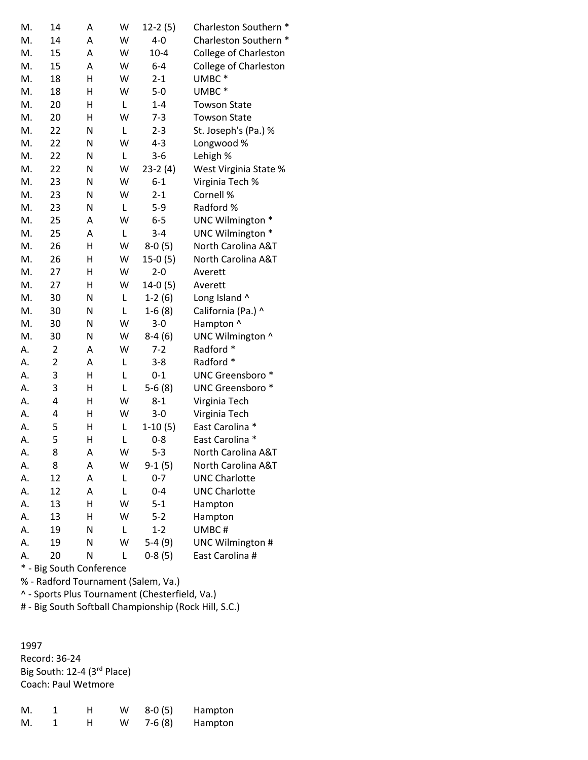| M. | 14             | A | W | $12-2(5)$ | Charleston Southern *        |
|----|----------------|---|---|-----------|------------------------------|
| M. | 14             | A | W | $4 - 0$   | Charleston Southern *        |
| M. | 15             | A | W | $10 - 4$  | <b>College of Charleston</b> |
| M. | 15             | Α | W | $6-4$     | College of Charleston        |
| M. | 18             | н | W | $2 - 1$   | UMBC*                        |
| M. | 18             | Н | W | $5-0$     | UMBC*                        |
| M. | 20             | н | L | $1 - 4$   | <b>Towson State</b>          |
| M. | 20             | H | W | $7 - 3$   | <b>Towson State</b>          |
| M. | 22             | N | L | $2 - 3$   | St. Joseph's (Pa.) %         |
| M. | 22             | Ν | W | $4 - 3$   | Longwood %                   |
| M. | 22             | Ν | L | $3 - 6$   | Lehigh %                     |
| M. | 22             | Ν | W | $23-2(4)$ | West Virginia State %        |
| M. | 23             | N | W | $6 - 1$   | Virginia Tech %              |
| M. | 23             | N | W | $2 - 1$   | Cornell %                    |
| M. | 23             | N | L | $5-9$     | Radford %                    |
| M. | 25             | Α | W | $6 - 5$   | UNC Wilmington *             |
| M. | 25             | Α | L | $3 - 4$   | UNC Wilmington *             |
| M. | 26             | Н | W | $8-0(5)$  | North Carolina A&T           |
| M. | 26             | Н | W | $15-0(5)$ | North Carolina A&T           |
| M. | 27             | н | W | $2 - 0$   | Averett                      |
| M. | 27             | н | W | $14-0(5)$ | Averett                      |
| M. | 30             | N | L | $1-2(6)$  | Long Island ^                |
| M. | 30             | N | L | $1-6(8)$  | California (Pa.) ^           |
| M. | 30             | N | W | $3 - 0$   | Hampton ^                    |
| M. | 30             | N | W | $8-4(6)$  | UNC Wilmington ^             |
| А. | 2              | Α | W | $7 - 2$   | Radford *                    |
| А. | $\overline{c}$ | Α | L | $3 - 8$   | Radford *                    |
| А. | 3              | н | Г | $0 - 1$   | UNC Greensboro *             |
| А. | 3              | н | L | $5-6(8)$  | UNC Greensboro *             |
| А. | 4              | н | W | $8 - 1$   | Virginia Tech                |
| А. | 4              | н | W | $3 - 0$   | Virginia Tech                |
| А. | 5              | н | L | $1-10(5)$ | East Carolina *              |
| А. | 5              | Н | L | $0 - 8$   | East Carolina *              |
| А. | 8              | А | W | $5-3$     | North Carolina A&T           |
| А. | 8              | Α | W | 9-1 (5)   | North Carolina A&T           |
| А. | 12             | Α | L | $0 - 7$   | <b>UNC Charlotte</b>         |
| А. | 12             | Α | Г | $0 - 4$   | <b>UNC Charlotte</b>         |
| А. | 13             | Η | W | $5 - 1$   | Hampton                      |
| А. | 13             | Η | W | $5 - 2$   | Hampton                      |
| А. | 19             | Ν | L | $1 - 2$   | UMBC#                        |
| А. | 19             | Ν | W | $5-4(9)$  | UNC Wilmington #             |
| А. | 20             | Ν | L | $0-8(5)$  | East Carolina #              |

% - Radford Tournament (Salem, Va.)

^ - Sports Plus Tournament (Chesterfield, Va.)

# - Big South Softball Championship (Rock Hill, S.C.)

1997 Record: 36-24 Big South: 12-4 (3<sup>rd</sup> Place) Coach: Paul Wetmore

| M. | н. | w | 8-0 (5)  | Hampton |
|----|----|---|----------|---------|
| M. | н  | w | $7-6(8)$ | Hampton |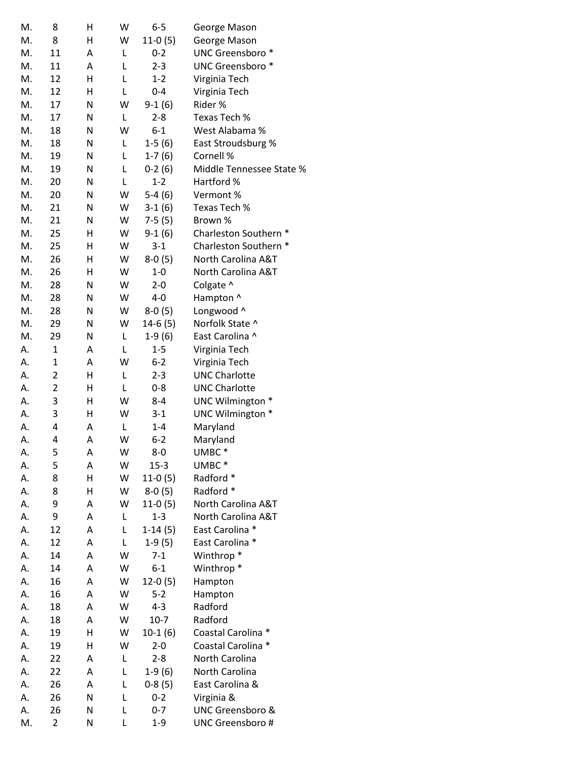| M. | 8              | н | W | $6 - 5$   | George Mason                |
|----|----------------|---|---|-----------|-----------------------------|
| M. | 8              | Η | W | $11-0(5)$ | George Mason                |
| M. | 11             | А | Г | $0 - 2$   | UNC Greensboro <sup>*</sup> |
| M. | 11             | А | Г | $2 - 3$   | UNC Greensboro <sup>*</sup> |
| M. | 12             | Η | Г | $1 - 2$   | Virginia Tech               |
| M. | 12             | н | L | $0 - 4$   | Virginia Tech               |
| M. | 17             | N | W | $9-1(6)$  | Rider %                     |
| M. | 17             | N | L | $2 - 8$   | Texas Tech %                |
| M. | 18             | N | W | $6 - 1$   | West Alabama %              |
| М. | 18             | Ν | L | $1-5(6)$  | East Stroudsburg %          |
| M. | 19             | Ν | L | $1-7(6)$  | Cornell %                   |
| M. | 19             | N | L | $0-2(6)$  | Middle Tennessee State %    |
| M. | 20             | N | Г | $1 - 2$   | Hartford %                  |
| M. | 20             | Ν | W | $5-4(6)$  | Vermont %                   |
| M. | 21             | Ν | W | $3-1(6)$  | Texas Tech %                |
| M. | 21             | N | W | $7-5(5)$  | Brown %                     |
| M. | 25             | Н | W | $9-1(6)$  | Charleston Southern *       |
| M. | 25             | Н | W | $3 - 1$   | Charleston Southern *       |
| M. | 26             | Н | W | $8-0(5)$  | North Carolina A&T          |
| M. | 26             | н | W | $1-0$     | North Carolina A&T          |
| M. | 28             | N | W | $2 - 0$   | Colgate ^                   |
| M. | 28             | Ν | W | $4-0$     | Hampton ^                   |
| M. | 28             | Ν | W | $8-0(5)$  | Longwood ^                  |
| M. | 29             | N | W |           | Norfolk State ^             |
| M. |                |   | L | $14-6(5)$ |                             |
|    | 29             | N |   | $1-9(6)$  | East Carolina ^             |
| А. | $\mathbf{1}$   | A | Г | $1 - 5$   | Virginia Tech               |
| А. | $\mathbf{1}$   | A | W | $6 - 2$   | Virginia Tech               |
| А. | 2              | н | L | $2 - 3$   | <b>UNC Charlotte</b>        |
| А. | $\overline{2}$ | Η | Г | $0 - 8$   | <b>UNC Charlotte</b>        |
| А. | 3              | Η | W | $8 - 4$   | UNC Wilmington *            |
| А. | 3              | Η | W | $3 - 1$   | UNC Wilmington *            |
| А. | 4              | Α | L | $1 - 4$   | Maryland                    |
| А. | 4              | Α | W | $6 - 2$   | Maryland                    |
| А. | 5              | Α | W | $8-0$     | UMBC <sup>*</sup>           |
| А. | 5              | Α | W | $15 - 3$  | UMBC <sup>*</sup>           |
| А. | 8              | Н | W | $11-0(5)$ | Radford *                   |
| А. | 8              | Η | W | $8-0(5)$  | Radford *                   |
| А. | 9              | Α | W | $11-0(5)$ | North Carolina A&T          |
| А. | 9              | Α | L | $1 - 3$   | North Carolina A&T          |
| А. | 12             | Α | L | $1-14(5)$ | East Carolina *             |
| А. | 12             | Α | Г | $1-9(5)$  | East Carolina *             |
| А. | 14             | А | W | $7 - 1$   | Winthrop <sup>*</sup>       |
| А. | 14             | Α | W | $6 - 1$   | Winthrop <sup>*</sup>       |
| А. | 16             | Α | W | $12-0(5)$ | Hampton                     |
| А. | 16             | Α | W | $5 - 2$   | Hampton                     |
| А. | 18             | Α | W | $4 - 3$   | Radford                     |
| А. | 18             | Α | W | $10-7$    | Radford                     |
| А. | 19             | Η | W | $10-1(6)$ | Coastal Carolina *          |
| А. | 19             | н | W | $2 - 0$   | Coastal Carolina *          |
| А. | 22             | Α | L | $2 - 8$   | North Carolina              |
| А. | 22             | A | L | $1-9(6)$  | North Carolina              |
| А. | 26             | Α | L | $0-8(5)$  | East Carolina &             |
| А. | 26             | N | Г | $0 - 2$   | Virginia &                  |
| А. | 26             | N | L | $0 - 7$   | UNC Greensboro &            |
| M. | 2              | Ν | L | $1 - 9$   | <b>UNC Greensboro#</b>      |
|    |                |   |   |           |                             |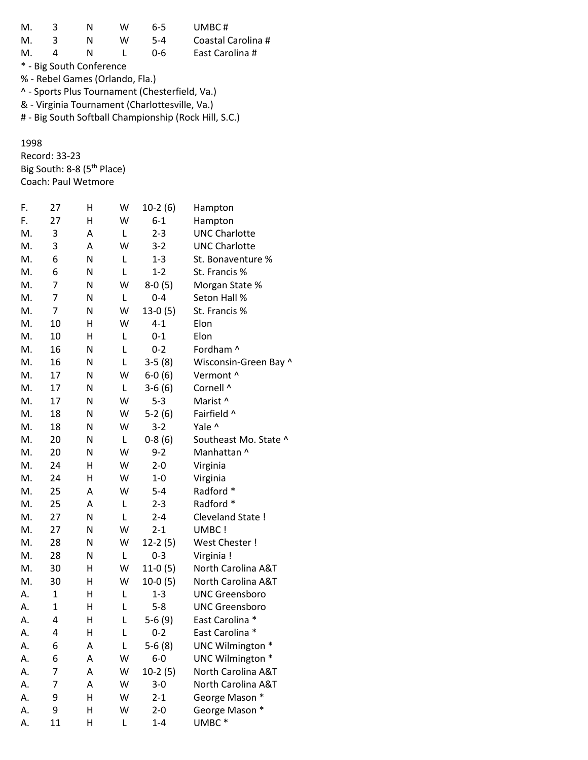| М.                                             | 3 | N                               | w | 6-5     | UMBC#              |  |  |  |
|------------------------------------------------|---|---------------------------------|---|---------|--------------------|--|--|--|
| М.                                             | 3 | N                               | w | $5 - 4$ | Coastal Carolina # |  |  |  |
| M.                                             | Δ | N                               |   | በ-6     | East Carolina #    |  |  |  |
| * - Big South Conference                       |   |                                 |   |         |                    |  |  |  |
|                                                |   | % - Rebel Games (Orlando, Fla.) |   |         |                    |  |  |  |
| ^ - Sports Plus Tournament (Chesterfield, Va.) |   |                                 |   |         |                    |  |  |  |
| & - Virginia Tournament (Charlottesville, Va.) |   |                                 |   |         |                    |  |  |  |
|                                                |   |                                 |   |         |                    |  |  |  |

# - Big South Softball Championship (Rock Hill, S.C.)

1998 Record: 33-23 Big South: 8-8 (5<sup>th</sup> Place) Coach: Paul Wetmore

| F. | 27             | Η | W           | $10-2(6)$ | Hampton               |
|----|----------------|---|-------------|-----------|-----------------------|
| F. | 27             | н | W           | $6 - 1$   | Hampton               |
| M. | 3              | Α | L           | $2 - 3$   | <b>UNC Charlotte</b>  |
| M. | 3              | А | W           | $3 - 2$   | <b>UNC Charlotte</b>  |
| M. | 6              | N | L           | $1 - 3$   | St. Bonaventure %     |
| M. | 6              | N | L           | $1 - 2$   | St. Francis %         |
| M. | $\overline{7}$ | N | W           | $8-0(5)$  | Morgan State %        |
| M. | $\overline{7}$ | N | L           | $0 - 4$   | Seton Hall %          |
| M. | $\overline{7}$ | N | W           | $13-0(5)$ | St. Francis %         |
| M. | 10             | Η | W           | $4 - 1$   | Elon                  |
| M. | 10             | Н | L           | $0 - 1$   | Elon                  |
| M. | 16             | Ν | L           | $0 - 2$   | Fordham ^             |
| M. | 16             | Ν | L           | $3-5(8)$  | Wisconsin-Green Bay ^ |
| M. | 17             | N | W           | $6-0(6)$  | Vermont ^             |
| M. | 17             | Ν | L           | $3-6(6)$  | Cornell ^             |
| M. | 17             | N | W           | $5 - 3$   | Marist ^              |
| M. | 18             | N | W           | $5-2(6)$  | Fairfield ^           |
| M. | 18             | N | W           | $3-2$     | Yale ^                |
| M. | 20             | Ν | L           | $0-8(6)$  | Southeast Mo. State ^ |
| M. | 20             | Ν | W           | $9 - 2$   | Manhattan ^           |
| M. | 24             | н | W           | $2 - 0$   | Virginia              |
| M. | 24             | Η | W           | $1-0$     | Virginia              |
| M. | 25             | А | W           | $5 - 4$   | Radford *             |
| M. | 25             | A | L           | $2 - 3$   | Radford *             |
| M. | 27             | N | L           | $2 - 4$   | Cleveland State !     |
| M. | 27             | N | W           | $2 - 1$   | UMBC !                |
| M. | 28             | N | W           | $12-2(5)$ | West Chester !        |
| M. | 28             | Ν | L           | $0 - 3$   | Virginia !            |
| M. | 30             | н | W           | $11-0(5)$ | North Carolina A&T    |
| M. | 30             | н | W           | $10-0(5)$ | North Carolina A&T    |
| А. | $\mathbf{1}$   | н | L           | $1 - 3$   | <b>UNC Greensboro</b> |
| А. | $\mathbf{1}$   | н | L           | $5 - 8$   | <b>UNC Greensboro</b> |
| А. | 4              | Η | L           | $5-6(9)$  | East Carolina *       |
| Α. | 4              | H | $\mathsf L$ | $0 - 2$   | East Carolina *       |
| А. | 6              | Α | Г           | $5-6(8)$  | UNC Wilmington *      |
| А. | 6              | Α | W           | $6-0$     | UNC Wilmington *      |
| А. | 7              | Α | W           | $10-2(5)$ | North Carolina A&T    |
| А. | 7              | Α | W           | $3 - 0$   | North Carolina A&T    |
| А. | 9              | Н | W           | $2 - 1$   | George Mason *        |
| Α. | 9              | Н | W           | $2 - 0$   | George Mason *        |
| А. | 11             | Н | Г           | $1 - 4$   | UMBC*                 |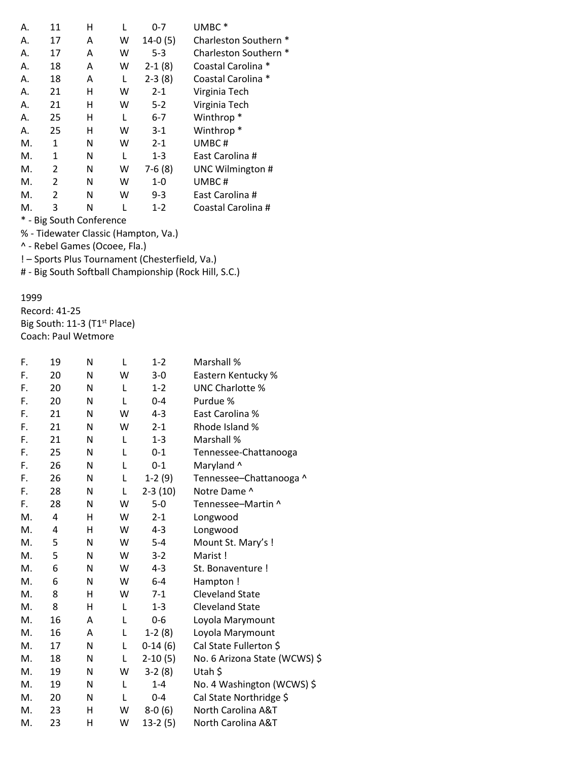| Α. | 11             | н                           |   | 0-7       | UMBC <sup>*</sup>     |
|----|----------------|-----------------------------|---|-----------|-----------------------|
| Α. | 17             | A                           | w | $14-0(5)$ | Charleston Southern * |
| Α. | 17             | Α                           | W | $5 - 3$   | Charleston Southern * |
| Α. | 18             | A                           | W | $2-1(8)$  | Coastal Carolina *    |
| Α. | 18             | A                           | L | $2-3(8)$  | Coastal Carolina *    |
| Α. | 21             | н                           | W | $2 - 1$   | Virginia Tech         |
| Α. | 21             | н                           | w | $5-2$     | Virginia Tech         |
| А. | 25             | н                           | L | 6-7       | Winthrop <sup>*</sup> |
| А. | 25             | н                           | W | $3-1$     | Winthrop <sup>*</sup> |
| M. | 1              | N                           | w | $2 - 1$   | UMBC#                 |
| М. | 1              | N                           | L | $1 - 3$   | East Carolina #       |
| М. | 2              | N                           | W | $7-6(8)$  | UNC Wilmington #      |
| М. | 2              | N                           | W | $1 - 0$   | UMBC#                 |
| М. | $\mathfrak{p}$ | N                           | W | $9 - 3$   | East Carolina #       |
| М. | 3              | N                           | L | $1 - 2$   | Coastal Carolina #    |
|    |                | <b>Big South Conference</b> |   |           |                       |

% - Tidewater Classic (Hampton, Va.)

^ - Rebel Games (Ocoee, Fla.)

! – Sports Plus Tournament (Chesterfield, Va.)

# - Big South Softball Championship (Rock Hill, S.C.)

#### 1999

Record: 41-25 Big South: 11-3 (T1<sup>st</sup> Place) Coach: Paul Wetmore

| F. | 19 | N | L | $1 - 2$   | Marshall %                    |
|----|----|---|---|-----------|-------------------------------|
| F. | 20 | N | W | $3 - 0$   | Eastern Kentucky %            |
| F. | 20 | N | L | $1 - 2$   | <b>UNC Charlotte %</b>        |
| F. | 20 | N | L | $0 - 4$   | Purdue %                      |
| F. | 21 | N | W | $4 - 3$   | East Carolina %               |
| F. | 21 | N | W | $2 - 1$   | Rhode Island %                |
| F. | 21 | N | L | $1 - 3$   | Marshall %                    |
| F. | 25 | N | L | $0 - 1$   | Tennessee-Chattanooga         |
| F. | 26 | N | L | $0 - 1$   | Maryland ^                    |
| F. | 26 | N | L | $1-2(9)$  | Tennessee-Chattanooga ^       |
| F. | 28 | N | L | $2-3(10)$ | Notre Dame ^                  |
| F. | 28 | N | W | $5-0$     | Tennessee-Martin ^            |
| M. | 4  | н | W | $2 - 1$   | Longwood                      |
| М. | 4  | н | W | $4 - 3$   | Longwood                      |
| M. | 5  | N | W | $5 - 4$   | Mount St. Mary's !            |
| M. | 5  | N | W | $3-2$     | Marist!                       |
| M. | 6  | N | W | $4 - 3$   | St. Bonaventure !             |
| М. | 6  | N | W | $6 - 4$   | Hampton!                      |
| M. | 8  | н | W | $7-1$     | <b>Cleveland State</b>        |
| M. | 8  | H | L | $1 - 3$   | <b>Cleveland State</b>        |
| M. | 16 | A | L | 0-6       | Loyola Marymount              |
| М. | 16 | A | L | $1-2(8)$  | Loyola Marymount              |
| M. | 17 | N | L | $0-14(6)$ | Cal State Fullerton \$        |
| М. | 18 | N | L | $2-10(5)$ | No. 6 Arizona State (WCWS) \$ |
| M. | 19 | N | W | $3-2(8)$  | Utah \$                       |
| M. | 19 | N | L | $1 - 4$   | No. 4 Washington (WCWS) \$    |
| M. | 20 | N | L | $0 - 4$   | Cal State Northridge \$       |
| М. | 23 | н | W | $8-0(6)$  | North Carolina A&T            |
| M. | 23 | Η | W | $13-2(5)$ | North Carolina A&T            |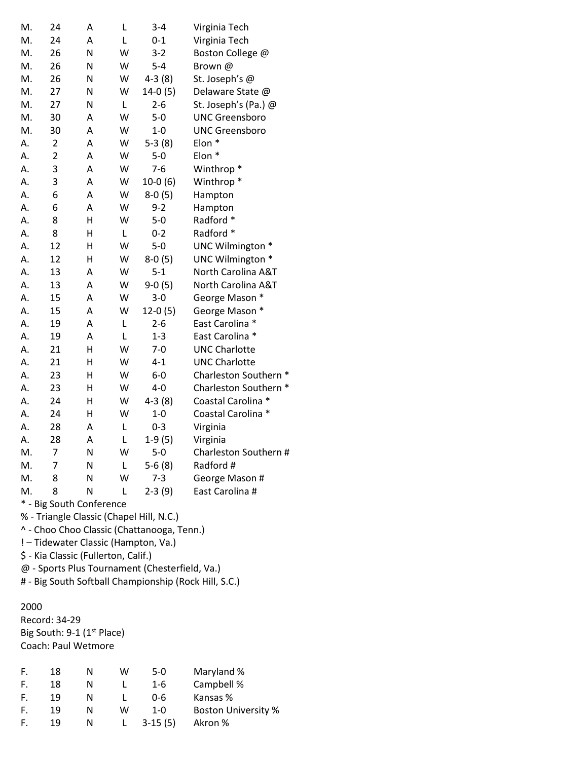| M. | 24                      | Α               | L | $3 - 4$   | Virginia Tech         |
|----|-------------------------|-----------------|---|-----------|-----------------------|
| M. | 24                      | Α               | L | $0 - 1$   | Virginia Tech         |
| M. | 26                      | N               | W | $3 - 2$   | Boston College @      |
| M. | 26                      | N               | W | $5 - 4$   | Brown@                |
| M. | 26                      | N               | W | $4-3(8)$  | St. Joseph's @        |
| M. | 27                      | N               | W | 14-0 (5)  | Delaware State @      |
| M. | 27                      | N               | L | $2 - 6$   | St. Joseph's (Pa.) @  |
| M. | 30                      | A               | W | $5-0$     | <b>UNC Greensboro</b> |
| M. | 30                      | A               | W | $1-0$     | <b>UNC Greensboro</b> |
| Α. | $\overline{\mathbf{c}}$ | A               | W | $5-3(8)$  | Elon <sup>*</sup>     |
| Α. | $\overline{2}$          | A               | W | $5-0$     | Elon *                |
| Α. | 3                       | A               | W | $7 - 6$   | Winthrop <sup>*</sup> |
| Α. | 3                       | A               | W | $10-0(6)$ | Winthrop <sup>*</sup> |
| Α. | 6                       | A               | W | $8-0(5)$  | Hampton               |
| Α. | 6                       | A               | W | $9 - 2$   | Hampton               |
| Α. | 8                       | H               | W | $5-0$     | Radford *             |
| Α. | 8                       | Η               | L | $0 - 2$   | Radford *             |
| А. | 12                      | Η               | W | $5-0$     | UNC Wilmington *      |
| А. | 12                      | Н               | W | $8-0(5)$  | UNC Wilmington *      |
| А. | 13                      | A               | W | $5 - 1$   | North Carolina A&T    |
| Α. | 13                      | A               | W | $9-0(5)$  | North Carolina A&T    |
| Α. | 15                      | A               | W | $3 - 0$   | George Mason *        |
| Α. | 15                      | Α               | W | $12-0(5)$ | George Mason *        |
| Α. | 19                      | A               | L | $2 - 6$   | East Carolina *       |
| А. | 19                      | A               | L | $1 - 3$   | East Carolina *       |
| Α. | 21                      | H               | W | $7 - 0$   | <b>UNC Charlotte</b>  |
| Α. | 21                      | H               | W | $4 - 1$   | <b>UNC Charlotte</b>  |
| Α. | 23                      | Η               | W | $6-0$     | Charleston Southern * |
| А. | 23                      | H               | W | $4-0$     | Charleston Southern * |
| А. | 24                      | H               | W | $4-3(8)$  | Coastal Carolina *    |
| Α. | 24                      | H               | W | $1-0$     | Coastal Carolina *    |
| А. | 28                      | A               | L | $0 - 3$   | Virginia              |
| А. | 28                      | A               | L | $1-9(5)$  | Virginia              |
| M. | 7                       | N               | W | $5-0$     | Charleston Southern # |
| M. | 7                       | N               | L | $5-6(8)$  | Radford #             |
| M. | 8                       | N               | W | $7 - 3$   | George Mason #        |
| M. | 8                       | N<br>$\epsilon$ | L | $2-3(9)$  | East Carolina #       |

% - Triangle Classic (Chapel Hill, N.C.)

^ - Choo Choo Classic (Chattanooga, Tenn.)

! – Tidewater Classic (Hampton, Va.)

\$ - Kia Classic (Fullerton, Calif.)

@ - Sports Plus Tournament (Chesterfield, Va.)

# - Big South Softball Championship (Rock Hill, S.C.)

#### 2000

Record: 34-29 Big South: 9-1 (1st Place) Coach: Paul Wetmore

| F. | 18 | N | w | $5-0$     | Maryland %                 |
|----|----|---|---|-----------|----------------------------|
| F. | 18 | N |   | $1 - 6$   | Campbell %                 |
| F. | 19 | N |   | Ი-Ნ       | Kansas %                   |
| F. | 19 | N | w | $1 - 0$   | <b>Boston University %</b> |
| F. | 19 | N |   | $3-15(5)$ | Akron %                    |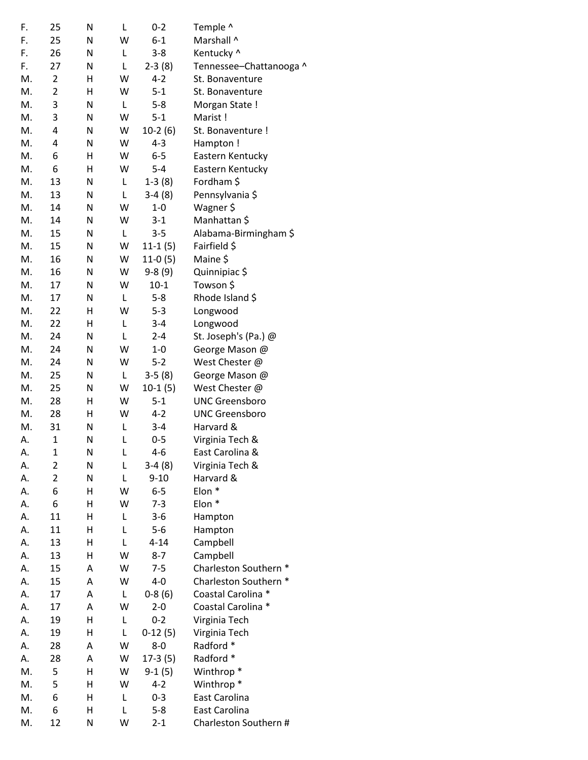| F. | 25             | N | L | $0 - 2$   | Temple ^                |
|----|----------------|---|---|-----------|-------------------------|
| F. | 25             | N | W | $6 - 1$   | Marshall ^              |
| F. | 26             | N | L | $3 - 8$   | Kentucky ^              |
| F. | 27             | N | L | $2-3(8)$  | Tennessee-Chattanooga ^ |
| М. | $\overline{2}$ | Η | W | $4 - 2$   | St. Bonaventure         |
| M. | $\overline{2}$ | Η | W | $5 - 1$   | St. Bonaventure         |
| M. | 3              | N | L | $5 - 8$   | Morgan State !          |
| M. | 3              | N | W | $5 - 1$   | Marist!                 |
| M. | 4              | N | W | $10-2(6)$ | St. Bonaventure !       |
| M. | 4              | N | W | $4 - 3$   | Hampton !               |
| M. | 6              | Η | W | $6-5$     | Eastern Kentucky        |
| M. | 6              | Η | W | $5 - 4$   | Eastern Kentucky        |
| М. | 13             | N | L | $1-3(8)$  | Fordham \$              |
| M. | 13             | N | L | $3-4(8)$  | Pennsylvania \$         |
| М. | 14             | N | W | $1 - 0$   | Wagner \$               |
| M. | 14             | N | W | $3 - 1$   | Manhattan \$            |
| M. | 15             | N | L | $3 - 5$   | Alabama-Birmingham \$   |
| M. | 15             | N | W | $11-1(5)$ | Fairfield \$            |
| M. | 16             | N | W | $11-0(5)$ | Maine \$                |
| M. | 16             | N | W | $9-8(9)$  | Quinnipiac \$           |
| M. | 17             | N | W | $10-1$    | Towson \$               |
| М. | 17             | N | L | $5 - 8$   | Rhode Island \$         |
| M. | 22             | Η | W | $5 - 3$   | Longwood                |
| M. | 22             | Η | L | $3 - 4$   | Longwood                |
| M. | 24             | N | L | $2 - 4$   | St. Joseph's (Pa.) @    |
| Μ. | 24             | N | W | $1 - 0$   | George Mason @          |
| M. | 24             | N | W | $5 - 2$   | West Chester @          |
| M. | 25             | N | L | $3-5(8)$  | George Mason @          |
| M. | 25             | N | W | $10-1(5)$ | West Chester @          |
| M. | 28             | Η | W | $5 - 1$   | <b>UNC Greensboro</b>   |
| M. | 28             | Η | W | $4 - 2$   | <b>UNC Greensboro</b>   |
| М. | 31             | N | L | $3 - 4$   | Harvard &               |
| А. | $\mathbf 1$    | N | L | $0 - 5$   | Virginia Tech &         |
| А. | $\mathbf 1$    | N | L | $4 - 6$   | East Carolina &         |
| А. | 2              | N | L | $3-4(8)$  | Virginia Tech &         |
| А. | $\overline{2}$ | N | L | $9 - 10$  | Harvard &               |
| А. | 6              | Η | W | $6 - 5$   | Elon *                  |
| А. | 6              | Η | W | $7 - 3$   | Elon <sup>*</sup>       |
| А. | 11             | Η | L | $3 - 6$   | Hampton                 |
| А. | 11             | Η | L | $5-6$     | Hampton                 |
| А. | 13             | Η | Г | $4 - 14$  | Campbell                |
| А. | 13             | Η | W | $8 - 7$   | Campbell                |
| А. | 15             | A | W | $7 - 5$   | Charleston Southern *   |
| А. | 15             | A | W | $4-0$     | Charleston Southern *   |
| А. | 17             | A | Г | $0-8(6)$  | Coastal Carolina *      |
| А. | 17             | Α | W | $2 - 0$   | Coastal Carolina *      |
| А. | 19             | Η | Г | $0 - 2$   | Virginia Tech           |
| А. | 19             | Η | L | $0-12(5)$ | Virginia Tech           |
| А. | 28             | A | W | $8-0$     | Radford *               |
| А. | 28             | A | W | $17-3(5)$ | Radford *               |
| Μ. | 5              | Η | W | $9-1(5)$  | Winthrop <sup>*</sup>   |
| M. | 5              | Η | W | $4 - 2$   | Winthrop <sup>*</sup>   |
| M. | 6              | Η | L | $0 - 3$   | East Carolina           |
| M. | 6              | Η | L | $5 - 8$   | East Carolina           |
| M. | 12             | N | W | $2 - 1$   | Charleston Southern #   |
|    |                |   |   |           |                         |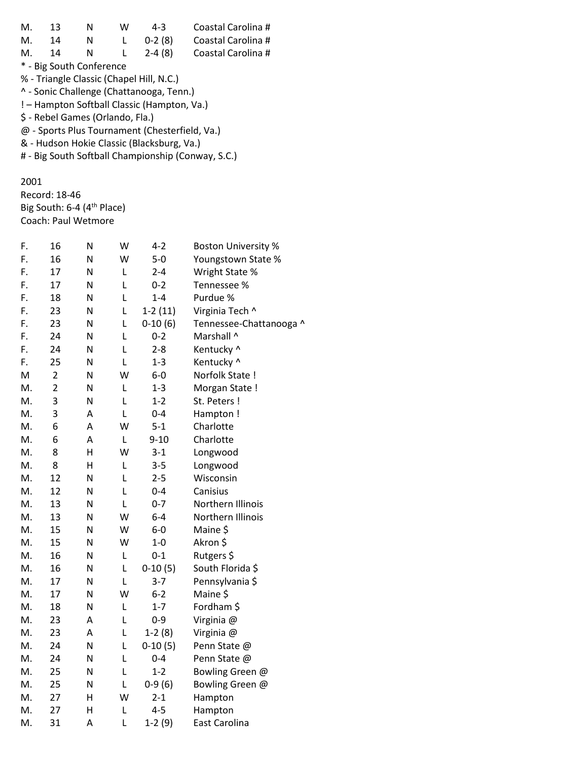| М. | 13                                         | N                                | w | $4 - 3$                                        | Coastal Carolina #                                 |  |  |  |  |
|----|--------------------------------------------|----------------------------------|---|------------------------------------------------|----------------------------------------------------|--|--|--|--|
| М. | 14                                         | N                                | L | $0-2(8)$                                       | Coastal Carolina #                                 |  |  |  |  |
| М. | 14                                         | N                                | L | $2-4(8)$                                       | Coastal Carolina #                                 |  |  |  |  |
|    |                                            | * - Big South Conference         |   |                                                |                                                    |  |  |  |  |
|    |                                            |                                  |   | % - Triangle Classic (Chapel Hill, N.C.)       |                                                    |  |  |  |  |
|    | ^ - Sonic Challenge (Chattanooga, Tenn.)   |                                  |   |                                                |                                                    |  |  |  |  |
|    |                                            |                                  |   | ! - Hampton Softball Classic (Hampton, Va.)    |                                                    |  |  |  |  |
|    |                                            | \$ - Rebel Games (Orlando, Fla.) |   |                                                |                                                    |  |  |  |  |
|    |                                            |                                  |   | @ - Sports Plus Tournament (Chesterfield, Va.) |                                                    |  |  |  |  |
|    | & - Hudson Hokie Classic (Blacksburg, Va.) |                                  |   |                                                |                                                    |  |  |  |  |
|    |                                            |                                  |   |                                                | # - Big South Softball Championship (Conway, S.C.) |  |  |  |  |
|    |                                            |                                  |   |                                                |                                                    |  |  |  |  |

2001

Record: 18-46 Big South: 6-4 (4<sup>th</sup> Place) Coach: Paul Wetmore

| F. | 16             | N | W | 4-2       | <b>Boston University %</b> |
|----|----------------|---|---|-----------|----------------------------|
| F. | 16             | N | W | $5-0$     | Youngstown State %         |
| F. | 17             | N | L | $2 - 4$   | Wright State %             |
| F. | 17             | Ν | L | $0 - 2$   | Tennessee %                |
| F. | 18             | N | L | $1 - 4$   | Purdue %                   |
| F. | 23             | N | L | $1-2(11)$ | Virginia Tech ^            |
| F. | 23             | N | L | $0-10(6)$ | Tennessee-Chattanooga ^    |
| F. | 24             | Ν | L | $0 - 2$   | Marshall ^                 |
| F. | 24             | N | L | $2 - 8$   | Kentucky ^                 |
| F. | 25             | N | L | $1 - 3$   | Kentucky ^                 |
| M  | $\overline{2}$ | N | W | $6-0$     | Norfolk State !            |
| M. | $\overline{2}$ | N | L | $1 - 3$   | Morgan State !             |
| M. | 3              | Ν | L | $1 - 2$   | St. Peters !               |
| M. | 3              | Α | L | $0 - 4$   | Hampton!                   |
| M. | 6              | A | W | $5 - 1$   | Charlotte                  |
| M. | 6              | Α | Г | $9 - 10$  | Charlotte                  |
| M. | 8              | н | W | $3 - 1$   | Longwood                   |
| M. | 8              | Н | L | $3 - 5$   | Longwood                   |
| M. | 12             | N | L | $2 - 5$   | Wisconsin                  |
| М. | 12             | Ν | L | $0 - 4$   | Canisius                   |
| M. | 13             | Ν | L | $0 - 7$   | Northern Illinois          |
| M. | 13             | N | W | $6 - 4$   | Northern Illinois          |
| M. | 15             | N | W | $6-0$     | Maine \$                   |
| M. | 15             | N | W | $1-0$     | Akron \$                   |
| M. | 16             | N | L | $0 - 1$   | Rutgers \$                 |
| M. | 16             | N | L | $0-10(5)$ | South Florida \$           |
| Μ. | 17             | Ν | L | $3 - 7$   | Pennsylvania \$            |
| M. | 17             | N | W | $6-2$     | Maine \$                   |
| M. | 18             | Ν | L | $1 - 7$   | Fordham \$                 |
| M. | 23             | Α | L | $0 - 9$   | Virginia @                 |
| M. | 23             | A | L | $1-2(8)$  | Virginia @                 |
| M. | 24             | N | L | $0-10(5)$ | Penn State @               |
| M. | 24             | Ν | L | $0 - 4$   | Penn State @               |
| M. | 25             | N | L | $1 - 2$   | Bowling Green @            |
| M. | 25             | Ν | L | $0-9(6)$  | Bowling Green @            |
| M. | 27             | Н | W | $2 - 1$   | Hampton                    |
| М. | 27             | Η | L | $4 - 5$   | Hampton                    |
| М. | 31             | Α | L | $1-2(9)$  | East Carolina              |
|    |                |   |   |           |                            |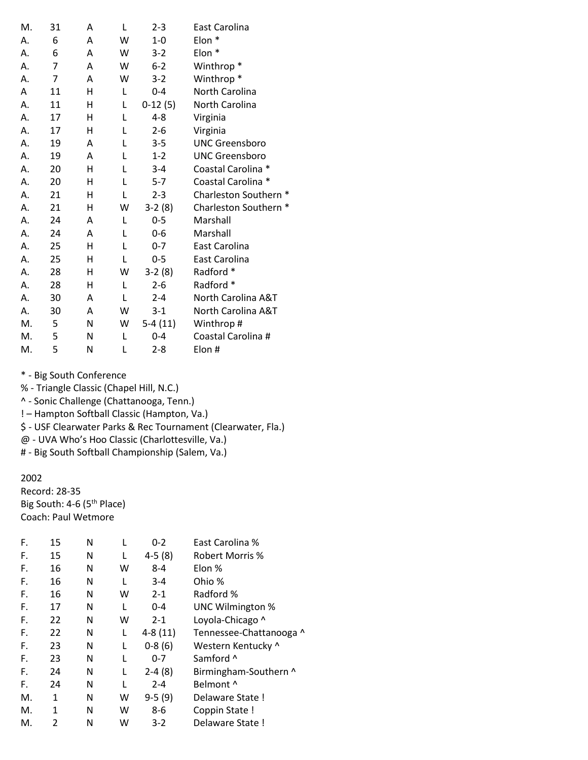| M. | 31 | Α | L | $2 - 3$   | East Carolina         |
|----|----|---|---|-----------|-----------------------|
| А. | 6  | A | W | $1 - 0$   | Elon *                |
| А. | 6  | Α | W | $3-2$     | Elon *                |
| А. | 7  | A | W | $6 - 2$   | Winthrop <sup>*</sup> |
| А. | 7  | A | W | $3 - 2$   | Winthrop <sup>*</sup> |
| A  | 11 | н | L | $0 - 4$   | North Carolina        |
| А. | 11 | Η | L | $0-12(5)$ | North Carolina        |
| А. | 17 | н | L | $4 - 8$   | Virginia              |
| А. | 17 | н | L | $2 - 6$   | Virginia              |
| А. | 19 | A | L | $3 - 5$   | <b>UNC Greensboro</b> |
| А. | 19 | A | L | $1 - 2$   | <b>UNC Greensboro</b> |
| А. | 20 | н | L | $3 - 4$   | Coastal Carolina *    |
| А. | 20 | Η | L | $5 - 7$   | Coastal Carolina *    |
| А. | 21 | н | L | $2 - 3$   | Charleston Southern * |
| А. | 21 | Η | W | $3-2(8)$  | Charleston Southern * |
| А. | 24 | A | L | $0 - 5$   | Marshall              |
| А. | 24 | A | L | $0 - 6$   | Marshall              |
| А. | 25 | н | L | $0 - 7$   | East Carolina         |
| А. | 25 | н | L | $0 - 5$   | East Carolina         |
| Α. | 28 | Η | W | $3-2(8)$  | Radford *             |
| А. | 28 | н | L | $2 - 6$   | Radford *             |
| А. | 30 | A | L | $2 - 4$   | North Carolina A&T    |
| А. | 30 | A | W | $3 - 1$   | North Carolina A&T    |
| M. | 5  | N | W | $5-4(11)$ | Winthrop#             |
| M. | 5  | N | L | $0 - 4$   | Coastal Carolina #    |
| M. | 5  | N | L | $2 - 8$   | Elon #                |

- % Triangle Classic (Chapel Hill, N.C.)
- ^ Sonic Challenge (Chattanooga, Tenn.)
- ! Hampton Softball Classic (Hampton, Va.)

\$ - USF Clearwater Parks & Rec Tournament (Clearwater, Fla.)

@ - UVA Who's Hoo Classic (Charlottesville, Va.)

# - Big South Softball Championship (Salem, Va.)

#### 2002

Record: 28-35 Big South: 4-6 (5<sup>th</sup> Place) Coach: Paul Wetmore

| F. | 15 | N |   | $0 - 2$   | East Carolina %         |
|----|----|---|---|-----------|-------------------------|
| F. | 15 | N | L | $4-5(8)$  | Robert Morris %         |
| F. | 16 | N | w | $8 - 4$   | Elon %                  |
| F. | 16 | N | L | $3 - 4$   | Ohio %                  |
| F. | 16 | Ν | w | $2 - 1$   | Radford %               |
| F. | 17 | Ν | L | 0-4       | <b>UNC Wilmington %</b> |
| F. | 22 | Ν | w | $2 - 1$   | Loyola-Chicago ^        |
| F. | 22 | Ν | L | $4-8(11)$ | Tennessee-Chattanooga ^ |
| F. | 23 | Ν | L | $0-8(6)$  | Western Kentucky ^      |
| F. | 23 | Ν | L | $0 - 7$   | Samford ^               |
| F. | 24 | Ν | L | $2-4(8)$  | Birmingham-Southern ^   |
| F. | 24 | Ν | L | $2 - 4$   | Belmont ^               |
| М. | 1  | Ν | W | $9-5(9)$  | Delaware State!         |
| Μ. | 1  | Ν | W | $8 - 6$   | Coppin State !          |
| М. | 2  | Ν | w | $3 - 2$   | Delaware State!         |
|    |    |   |   |           |                         |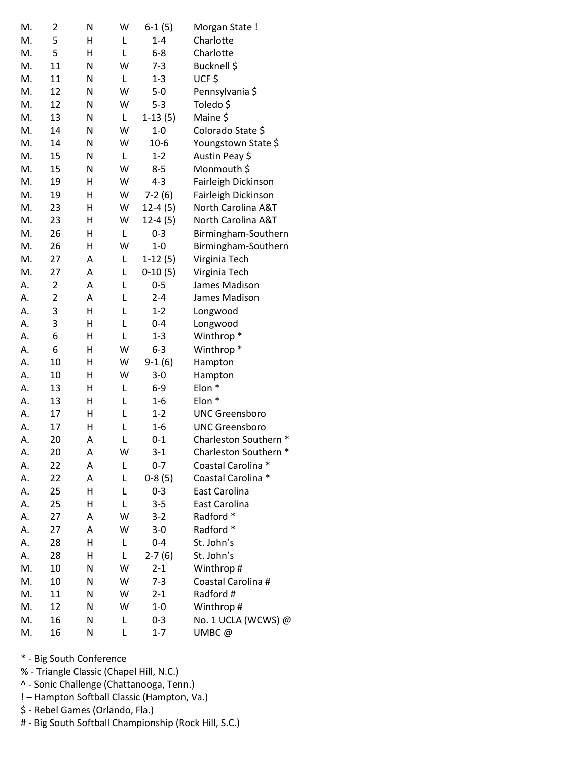| M. | 2              | N | W | $6-1(5)$  | Morgan State!         |
|----|----------------|---|---|-----------|-----------------------|
| M. | 5              | н | L | $1 - 4$   | Charlotte             |
| M. | 5              | н | L | $6 - 8$   | Charlotte             |
| M. | 11             | N | W | $7 - 3$   | Bucknell \$           |
| M. | 11             | N | L | $1 - 3$   | UCF\$                 |
| M. | 12             | N | W | $5-0$     | Pennsylvania \$       |
| M. | 12             | N | W | $5 - 3$   | Toledo \$             |
| M. | 13             | N | L | $1-13(5)$ | Maine \$              |
| M. | 14             | N | W | $1-0$     | Colorado State \$     |
| M. | 14             | N | W | $10-6$    | Youngstown State \$   |
| M. | 15             | N | L | $1 - 2$   | Austin Peay \$        |
| M. | 15             | N | W | $8 - 5$   | Monmouth \$           |
| M. | 19             | Н | W | $4 - 3$   | Fairleigh Dickinson   |
| M. | 19             | Н | W | $7-2(6)$  | Fairleigh Dickinson   |
| M. | 23             | Η | W | $12-4(5)$ | North Carolina A&T    |
| M. | 23             | Н | W | $12-4(5)$ | North Carolina A&T    |
| M. | 26             | н | L | $0 - 3$   | Birmingham-Southern   |
| M. | 26             | н | W | $1-0$     | Birmingham-Southern   |
| M. | 27             | Α | Г | $1-12(5)$ | Virginia Tech         |
| M. | 27             | A | L | $0-10(5)$ | Virginia Tech         |
| А. | $\overline{2}$ | Α | L | $0 - 5$   | James Madison         |
| А. | $\overline{2}$ | Α | L | $2 - 4$   | James Madison         |
| А. | 3              | Н | L | $1 - 2$   | Longwood              |
| Α. | 3              | Н | L | $0 - 4$   | Longwood              |
| А. | 6              | Н | L | $1 - 3$   | Winthrop <sup>*</sup> |
| А. | 6              | н | W | $6 - 3$   | Winthrop <sup>*</sup> |
| А. | 10             | Η | W | $9-1(6)$  | Hampton               |
| А. | 10             | Η | W | $3 - 0$   | Hampton               |
| А. | 13             | Η | L | $6-9$     | Elon <sup>*</sup>     |
| А. | 13             | Η | L | $1-6$     | Elon *                |
| А. | 17             | Η | L | $1 - 2$   | <b>UNC Greensboro</b> |
| Α. | 17             | Η | L | $1 - 6$   | <b>UNC Greensboro</b> |
| А. | 20             | Α | L | $0 - 1$   | Charleston Southern * |
| А. | 20             | Α | W | $3-1$     | Charleston Southern * |
| А. | 22             | А | L | $0 - 7$   | Coastal Carolina *    |
| А. | 22             | Α | L | $0-8(5)$  | Coastal Carolina *    |
| А. | 25             | Н | L | $0 - 3$   | East Carolina         |
| А. | 25             | н | L | $3 - 5$   | East Carolina         |
| А. | 27             | Α | W | $3 - 2$   | Radford *             |
| А. | 27             | A | W | $3 - 0$   | Radford *             |
| А. | 28             | Η | L | $0 - 4$   | St. John's            |
| А. | 28             | н | Г | $2-7(6)$  | St. John's            |
| M. | 10             | N | W | $2 - 1$   | Winthrop#             |
| M. | 10             | N | W | $7-3$     | Coastal Carolina #    |
| M. | 11             | N | W | $2 - 1$   | Radford #             |
| M. | 12             | N | W | $1 - 0$   | Winthrop#             |
| M. | 16             | Ν | L | $0 - 3$   | No. 1 UCLA (WCWS) @   |
| M. | 16             | N | L | $1 - 7$   | UMBC@                 |

- \* Big South Conference
- % Triangle Classic (Chapel Hill, N.C.)
- ^ Sonic Challenge (Chattanooga, Tenn.)
- ! Hampton Softball Classic (Hampton, Va.)
- \$ Rebel Games (Orlando, Fla.)
- # Big South Softball Championship (Rock Hill, S.C.)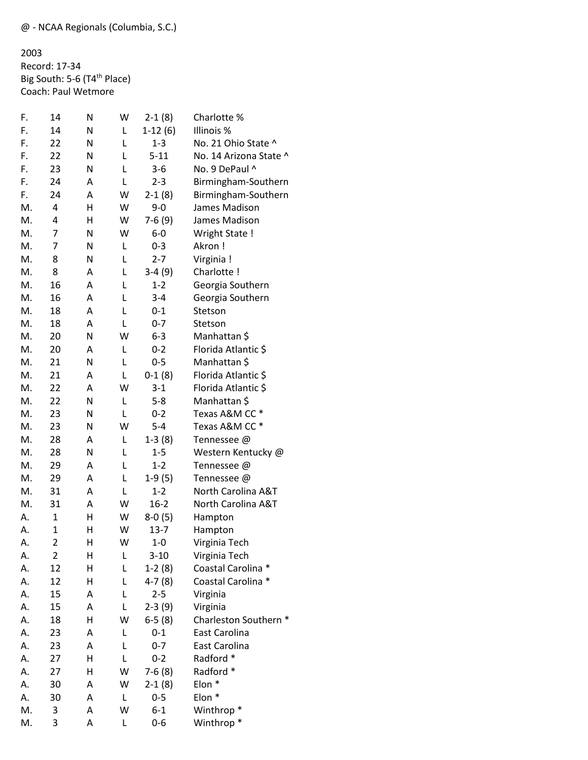2003 Record: 17-34 Big South: 5-6 (T4<sup>th</sup> Place) Coach: Paul Wetmore

| F. | 14             | N | W | $2-1(8)$  | Charlotte %            |
|----|----------------|---|---|-----------|------------------------|
| F. | 14             | Ν | L | $1-12(6)$ | Illinois %             |
| F. | 22             | Ν | L | $1 - 3$   | No. 21 Ohio State ^    |
| F. | 22             | N | L | $5 - 11$  | No. 14 Arizona State ^ |
| F. | 23             | N | L | $3 - 6$   | No. 9 DePaul ^         |
| F. | 24             | Α | L | $2 - 3$   | Birmingham-Southern    |
| F. | 24             | Α | W | $2-1(8)$  | Birmingham-Southern    |
| M. | 4              | Н | W | $9 - 0$   | James Madison          |
| M. | 4              | Н | W | $7-6(9)$  | James Madison          |
| M. | 7              | Ν | W | $6-0$     | Wright State !         |
| M. | 7              | Ν | L | $0 - 3$   | Akron!                 |
| M. | 8              | N | L | $2 - 7$   | Virginia !             |
| M. | 8              | Α | L | $3-4(9)$  | Charlotte !            |
| M. | 16             | Α | L | $1 - 2$   | Georgia Southern       |
| M. | 16             | Α | L | $3 - 4$   | Georgia Southern       |
| M. | 18             | Α | Г | $0 - 1$   | Stetson                |
| M. | 18             | A | L | $0 - 7$   | Stetson                |
| M. | 20             | N | W | $6 - 3$   | Manhattan \$           |
| M. | 20             | Α | L | $0 - 2$   | Florida Atlantic \$    |
| M. | 21             | N | Г | $0 - 5$   | Manhattan \$           |
| M. | 21             | А | L | $0-1(8)$  | Florida Atlantic \$    |
| M. | 22             | А | W | $3 - 1$   | Florida Atlantic \$    |
| M. | 22             | Ν | L | $5 - 8$   | Manhattan \$           |
| M. | 23             | Ν | L | $0 - 2$   | Texas A&M CC *         |
| M. | 23             | N | W | $5 - 4$   | Texas A&M CC*          |
| M. | 28             | А | L | $1-3(8)$  | Tennessee @            |
| M. | 28             | Ν | L | $1 - 5$   | Western Kentucky @     |
| M. | 29             | Α | L | $1 - 2$   | Tennessee @            |
| M. | 29             | Α | L | $1-9(5)$  | Tennessee @            |
| M. | 31             | Α | L | $1 - 2$   | North Carolina A&T     |
| M. | 31             | Α | W | $16 - 2$  | North Carolina A&T     |
| А. | $\mathbf{1}$   | Н | W | $8-0(5)$  | Hampton                |
| А. | $\mathbf{1}$   | Η | W | $13 - 7$  | Hampton                |
| A. | $\overline{c}$ | H | W | $1-0$     | Virginia Tech          |
| А. | $\overline{2}$ | н | L | $3-10$    | Virginia Tech          |
| А. | 12             | Н | L | $1-2(8)$  | Coastal Carolina *     |
| А. | 12             | Н | L | 4-7 (8)   | Coastal Carolina *     |
| А. | 15             | Α | L | $2 - 5$   | Virginia               |
| А. | 15             | Α | L | $2-3(9)$  | Virginia               |
| Α. | 18             | Н | W | $6-5(8)$  | Charleston Southern *  |
| Α. | 23             | Α | L | $0 - 1$   | East Carolina          |
| Α. | 23             | Α | L | $0 - 7$   | East Carolina          |
| А. | 27             | н | L | $0 - 2$   | Radford *              |
| Α. | 27             | Н | W | $7-6(8)$  | Radford *              |
| А. | 30             | Α | W | $2-1(8)$  | Elon <sup>*</sup>      |
| А. | 30             | Α | L | $0 - 5$   | Elon *                 |
| M. | 3              | Α | W | $6 - 1$   | Winthrop <sup>*</sup>  |
|    | 3              |   | L |           |                        |
| M. |                | А |   | $0 - 6$   | Winthrop <sup>*</sup>  |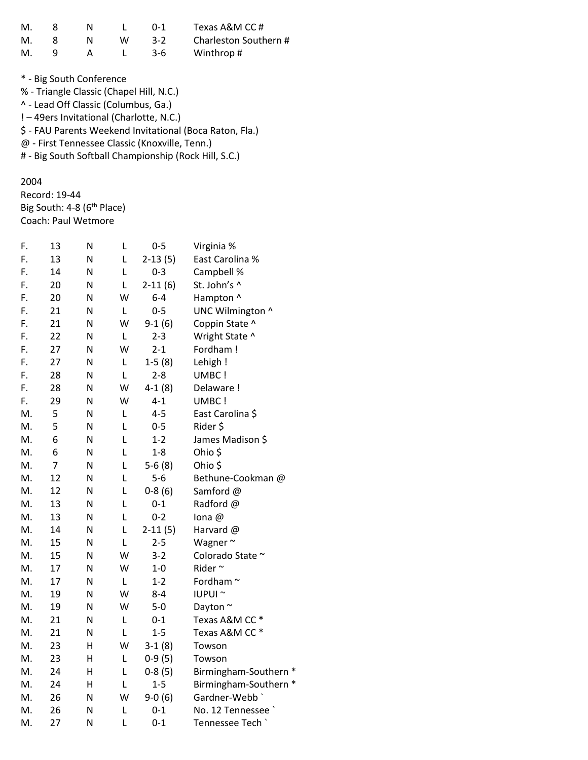| M. |  |   | $() - 1$ | Texas A&M CC #        |
|----|--|---|----------|-----------------------|
| M. |  | w | $3-2$    | Charleston Southern # |
| M. |  |   | $3-6$    | Winthrop#             |

\* - Big South Conference % - Triangle Classic (Chapel Hill, N.C.) ^ - Lead Off Classic (Columbus, Ga.) ! – 49ers Invitational (Charlotte, N.C.) \$ - FAU Parents Weekend Invitational (Boca Raton, Fla.) @ - First Tennessee Classic (Knoxville, Tenn.) # - Big South Softball Championship (Rock Hill, S.C.)

### 2004

Record: 19-44 Big South: 4-8 (6<sup>th</sup> Place) Coach: Paul Wetmore

| F. | 13             | N | L | $0 - 5$   | Virginia %            |
|----|----------------|---|---|-----------|-----------------------|
| F. | 13             | N | Г | $2-13(5)$ | East Carolina %       |
| F. | 14             | Ν | Г | $0 - 3$   | Campbell %            |
| F. | 20             | N | L | $2-11(6)$ | St. John's ^          |
| F. | 20             | N | W | $6-4$     | Hampton ^             |
| F. | 21             | N | L | $0 - 5$   | UNC Wilmington ^      |
| F. | 21             | N | W | $9-1(6)$  | Coppin State ^        |
| F. | 22             | N | L | $2 - 3$   | Wright State ^        |
| F. | 27             | N | W | $2 - 1$   | Fordham!              |
| F. | 27             | N | L | $1-5(8)$  | Lehigh !              |
| F. | 28             | N | L | $2 - 8$   | UMBC !                |
| F. | 28             | N | W | $4-1(8)$  | Delaware !            |
| F. | 29             | N | W | $4 - 1$   | UMBC !                |
| M. | 5              | N | Г | $4 - 5$   | East Carolina \$      |
| M. | 5              | N | L | $0 - 5$   | Rider \$              |
| M. | 6              | N | L | $1 - 2$   | James Madison \$      |
| M. | 6              | N | Г | $1 - 8$   | Ohio \$               |
| M. | $\overline{7}$ | N | L | $5-6(8)$  | Ohio \$               |
| M. | 12             | N | L | $5-6$     | Bethune-Cookman @     |
| M. | 12             | N | L | $0-8(6)$  | Samford @             |
| M. | 13             | N | L | $0 - 1$   | Radford @             |
| M. | 13             | N | L | $0 - 2$   | lona @                |
| M. | 14             | N | L | $2-11(5)$ | Harvard @             |
| M. | 15             | N | Г | $2 - 5$   | Wagner~               |
| М. | 15             | N | W | $3 - 2$   | Colorado State ~      |
| M. | 17             | N | W | $1-0$     | Rider~                |
| M. | 17             | N | L | $1 - 2$   | Fordham <sup>~</sup>  |
| M. | 19             | N | W | $8 - 4$   | IUPUI <sup>~</sup>    |
| M. | 19             | N | W | $5-0$     | Dayton ~              |
| M. | 21             | N | Г | $0 - 1$   | Texas A&M CC *        |
| M. | 21             | Ν | Г | $1 - 5$   | Texas A&M CC*         |
| M. | 23             | н | W | $3-1(8)$  | Towson                |
| M. | 23             | H | L | $0-9(5)$  | Towson                |
| M. | 24             | Н | Г | $0-8(5)$  | Birmingham-Southern * |
| М. | 24             | Н | L | $1 - 5$   | Birmingham-Southern * |
| M. | 26             | N | w | $9-0(6)$  | Gardner-Webb          |
| M. | 26             | Ν | L | $0 - 1$   | No. 12 Tennessee      |
| M. | 27             | N | L | $0 - 1$   | Tennessee Tech        |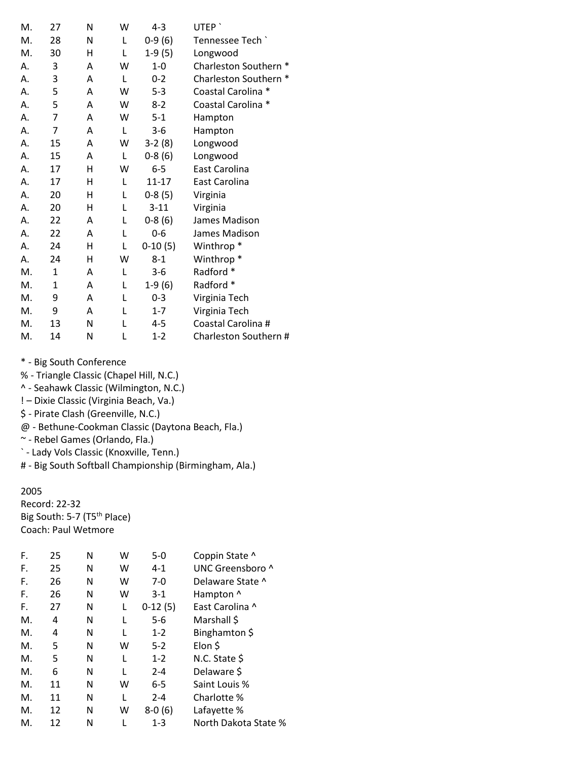| М. | 27             | N | W | $4 - 3$   | UTEP <sup>'</sup>     |
|----|----------------|---|---|-----------|-----------------------|
| M. | 28             | Ν | L | $0-9(6)$  | Tennessee Tech `      |
| M. | 30             | Н | L | $1-9(5)$  | Longwood              |
| А. | 3              | A | W | $1-0$     | Charleston Southern * |
| А. | 3              | A | L | $0 - 2$   | Charleston Southern * |
| А. | 5              | A | W | $5 - 3$   | Coastal Carolina *    |
| А. | 5              | A | W | $8-2$     | Coastal Carolina *    |
| А. | 7              | Α | W | $5 - 1$   | Hampton               |
| А. | $\overline{7}$ | Α | L | $3 - 6$   | Hampton               |
| А. | 15             | A | W | $3-2(8)$  | Longwood              |
| А. | 15             | A | L | $0-8(6)$  | Longwood              |
| А. | 17             | н | W | $6-5$     | East Carolina         |
| А. | 17             | н | L | $11 - 17$ | East Carolina         |
| А. | 20             | Н | L | $0-8(5)$  | Virginia              |
| А. | 20             | Н | L | $3 - 11$  | Virginia              |
| А. | 22             | A | L | $0-8(6)$  | James Madison         |
| А. | 22             | A | L | $0 - 6$   | James Madison         |
| А. | 24             | н | L | $0-10(5)$ | Winthrop <sup>*</sup> |
| А. | 24             | н | W | $8 - 1$   | Winthrop <sup>*</sup> |
| M. | $\mathbf{1}$   | A | L | $3 - 6$   | Radford *             |
| M. | 1              | A | L | $1-9(6)$  | Radford *             |
| M. | 9              | Α | L | $0 - 3$   | Virginia Tech         |
| M. | 9              | A | L | $1 - 7$   | Virginia Tech         |
| M. | 13             | N | L | 4-5       | Coastal Carolina #    |
| M. | 14             | Ν | L | $1 - 2$   | Charleston Southern # |

% - Triangle Classic (Chapel Hill, N.C.)

- ^ Seahawk Classic (Wilmington, N.C.)
- ! Dixie Classic (Virginia Beach, Va.)
- \$ Pirate Clash (Greenville, N.C.)

@ - Bethune-Cookman Classic (Daytona Beach, Fla.)

~ - Rebel Games (Orlando, Fla.)

` - Lady Vols Classic (Knoxville, Tenn.)

# - Big South Softball Championship (Birmingham, Ala.)

#### 2005

Record: 22-32 Big South: 5-7 (T5<sup>th</sup> Place) Coach: Paul Wetmore

| 25 | Ν | w | $5-0$     | Coppin State ^       |
|----|---|---|-----------|----------------------|
| 25 | Ν | w | $4 - 1$   | UNC Greensboro ^     |
| 26 | Ν | w | $7-0$     | Delaware State ^     |
| 26 | Ν | w | $3 - 1$   | Hampton ^            |
| 27 | Ν | L | $0-12(5)$ | East Carolina ^      |
| 4  | Ν |   | 5-6       | Marshall \$          |
| 4  | Ν |   | $1 - 2$   | Binghamton \$        |
| 5  | Ν | w | $5-2$     | Elon \$              |
| 5  | Ν |   | $1 - 2$   | N.C. State \$        |
| 6  | Ν |   | $2 - 4$   | Delaware \$          |
| 11 | Ν | w | $6-5$     | Saint Louis %        |
| 11 | Ν |   | $2 - 4$   | Charlotte %          |
| 12 | Ν | W | $8-0(6)$  | Lafayette %          |
| 12 | N |   | $1 - 3$   | North Dakota State % |
|    |   |   |           |                      |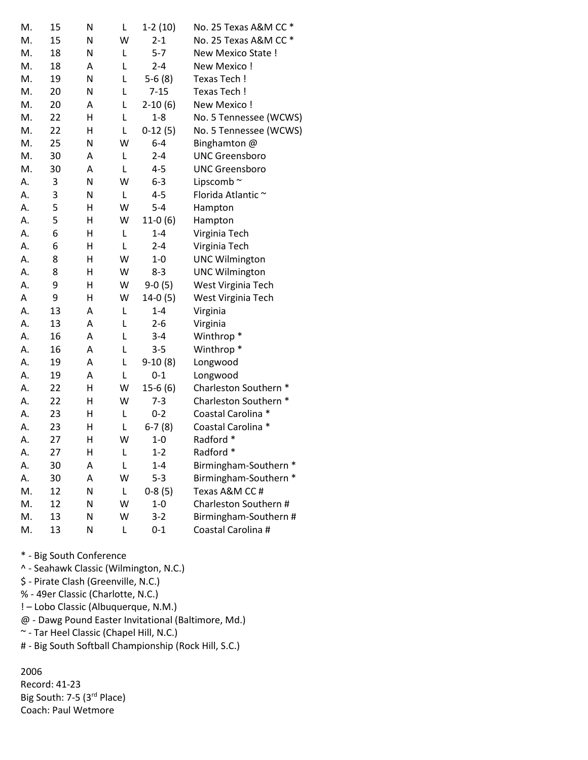| M. | 15 | N | L | $1-2(10)$ | No. 25 Texas A&M CC *  |
|----|----|---|---|-----------|------------------------|
| M. | 15 | N | W | $2 - 1$   | No. 25 Texas A&M CC *  |
| M. | 18 | N | Г | $5 - 7$   | New Mexico State !     |
| M. | 18 | Α | L | $2 - 4$   | New Mexico!            |
| M. | 19 | N | Г | $5-6(8)$  | Texas Tech!            |
| M. | 20 | N | L | $7 - 15$  | Texas Tech !           |
| M. | 20 | Α | Г | $2-10(6)$ | New Mexico!            |
| M. | 22 | Η | L | $1 - 8$   | No. 5 Tennessee (WCWS) |
| M. | 22 | Η | Г | $0-12(5)$ | No. 5 Tennessee (WCWS) |
| M. | 25 | N | W | $6 - 4$   | Binghamton @           |
| M. | 30 | A | Г | $2 - 4$   | <b>UNC Greensboro</b>  |
| M. | 30 | Α | Г | $4 - 5$   | <b>UNC Greensboro</b>  |
| А. | 3  | N | W | $6 - 3$   | Lipscomb~              |
| А. | 3  | N | L | $4 - 5$   | Florida Atlantic ~     |
| А. | 5  | Η | W | $5 - 4$   | Hampton                |
| А. | 5  | Η | W | $11-0(6)$ | Hampton                |
| Α. | 6  | Η | L | $1 - 4$   | Virginia Tech          |
| А. | 6  | Н | Г | $2 - 4$   | Virginia Tech          |
| А. | 8  | Н | W | $1 - 0$   | <b>UNC Wilmington</b>  |
| А. | 8  | Н | W | $8 - 3$   | <b>UNC Wilmington</b>  |
| Α. | 9  | Η | W | $9-0(5)$  | West Virginia Tech     |
| Α  | 9  | Η | W | $14-0(5)$ | West Virginia Tech     |
| А. | 13 | Α | L | $1 - 4$   | Virginia               |
| Α. | 13 | Α | L | $2 - 6$   | Virginia               |
| Α. | 16 | A | L | $3 - 4$   | Winthrop <sup>*</sup>  |
| А. | 16 | Α | Г | $3 - 5$   | Winthrop <sup>*</sup>  |
| А. | 19 | A | L | $9-10(8)$ | Longwood               |
| А. | 19 | Α | L | $0 - 1$   | Longwood               |
| А. | 22 | Н | W | $15-6(6)$ | Charleston Southern *  |
| А. | 22 | Η | W | $7 - 3$   | Charleston Southern *  |
| А. | 23 | Η | L | $0 - 2$   | Coastal Carolina *     |
| А. | 23 | н | L | $6-7(8)$  | Coastal Carolina *     |
| А. | 27 | Η | W | $1 - 0$   | Radford *              |
| А. | 27 | Н | L | $1 - 2$   | Radford *              |
| А. | 30 | Α | L | $1 - 4$   | Birmingham-Southern *  |
| А. | 30 | Α | W | $5 - 3$   | Birmingham-Southern *  |
| M. | 12 | N | Г | $0-8(5)$  | Texas A&M CC #         |
| М. | 12 | N | W | $1 - 0$   | Charleston Southern #  |
| M. | 13 | Ν | W | $3 - 2$   | Birmingham-Southern #  |
| М. | 13 | N | L | $0 - 1$   | Coastal Carolina #     |

- ^ Seahawk Classic (Wilmington, N.C.)
- \$ Pirate Clash (Greenville, N.C.)
- % 49er Classic (Charlotte, N.C.)
- ! Lobo Classic (Albuquerque, N.M.)
- @ Dawg Pound Easter Invitational (Baltimore, Md.)
- ~ Tar Heel Classic (Chapel Hill, N.C.)
- # Big South Softball Championship (Rock Hill, S.C.)

## 2006

Record: 41-23 Big South: 7-5 (3<sup>rd</sup> Place) Coach: Paul Wetmore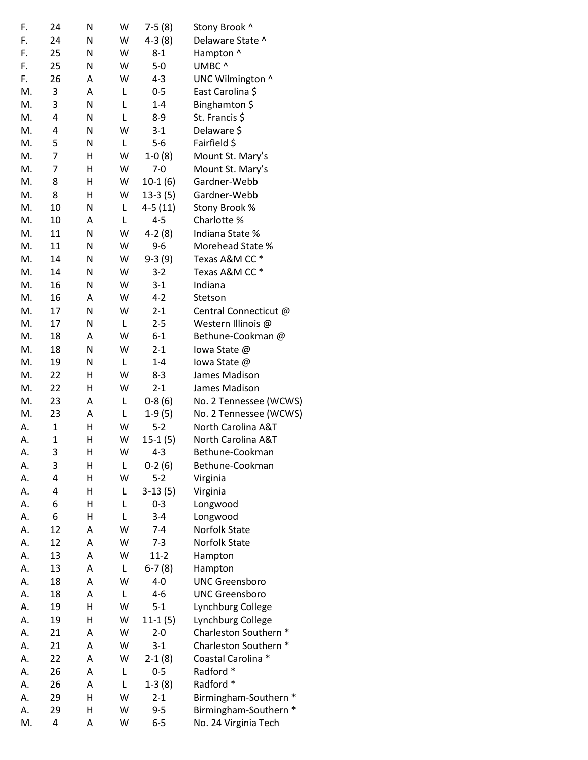| F. | 24             | N | W | $7-5(8)$             | Stony Brook ^          |
|----|----------------|---|---|----------------------|------------------------|
| F. | 24             | Ν | W | $4-3(8)$             | Delaware State ^       |
| F. | 25             | N | W | $8 - 1$              | Hampton ^              |
| F. | 25             | Ν | W | $5-0$                | UMBC ^                 |
| F. | 26             | A | W | $4 - 3$              | UNC Wilmington ^       |
| M. | 3              | Α | Г | $0-5$                | East Carolina \$       |
| M. | 3              | Ν | Г | $1 - 4$              | Binghamton \$          |
| M. | 4              | N | L | 8-9                  | St. Francis \$         |
| M. | 4              | Ν | W | $3 - 1$              | Delaware \$            |
| M. | 5              | Ν | L | $5-6$                | Fairfield \$           |
| M. | 7              | Η | W | $1-0(8)$             | Mount St. Mary's       |
| M. | $\overline{7}$ | Η | W | $7 - 0$              | Mount St. Mary's       |
| M. | 8              | Η | W | $10-1(6)$            | Gardner-Webb           |
| M. | 8              | Η | W | 13-3 (5)             | Gardner-Webb           |
| M. | 10             | N | L | $4-5(11)$            | Stony Brook %          |
| M. | 10             | A | L | $4 - 5$              | Charlotte %            |
| M. | 11             | N | W | $4-2(8)$             | Indiana State %        |
| M. | 11             | Ν | W | $9 - 6$              | Morehead State %       |
| M. | 14             | N | W | $9-3(9)$             | Texas A&M CC *         |
| M. | 14             | N | W | $3-2$                | Texas A&M CC *         |
| М. | 16             | N | W | $3-1$                | Indiana                |
| M. | 16             | Α | W | $4 - 2$              | Stetson                |
| M. | 17             | N | W | $2 - 1$              | Central Connecticut @  |
| M. | 17             | Ν | L | $2 - 5$              | Western Illinois @     |
| M. | 18             | A | W | $6 - 1$              | Bethune-Cookman @      |
| M. | 18             | Ν | W | $2 - 1$              | lowa State @           |
| M. | 19             | Ν | L | $1 - 4$              | lowa State @           |
| M. | 22             | Η | W | $8-3$                | James Madison          |
| М. | 22             | н | W | $2 - 1$              | James Madison          |
| M. | 23             | Α | L | $0-8(6)$             | No. 2 Tennessee (WCWS) |
| M. | 23             | Α | L | $1-9(5)$             | No. 2 Tennessee (WCWS) |
| А. | $\mathbf{1}$   | Н | W | $5 - 2$              | North Carolina A&T     |
| Α. | $\mathbf 1$    | Η | W | $15-1(5)$            | North Carolina A&T     |
| Α. | 3              | Н | W | $4 - 3$              | Bethune-Cookman        |
| А. | 3              | Н | L | $0-2(6)$             | Bethune-Cookman        |
| А. | 4              | Η | W | $5 - 2$              | Virginia               |
| А. | 4              | н | Г | $3-13(5)$            | Virginia               |
| А. | 6              | Н | L | $0 - 3$              | Longwood               |
| А. | 6              | н | L | $3 - 4$              | Longwood               |
| А. | 12             | Α | W | $7 - 4$              | Norfolk State          |
| А. | 12             | Α | W | $7 - 3$              | Norfolk State          |
| А. | 13             | А | W | $11 - 2$             | Hampton                |
| А. | 13             | Α | Г | $6-7(8)$             | Hampton                |
| А. | 18             | А | W | $4 - 0$              | <b>UNC Greensboro</b>  |
| А. | 18             | А | L | $4 - 6$              | <b>UNC Greensboro</b>  |
| А. | 19             | Η | W | $5 - 1$              | Lynchburg College      |
| А. | 19             | н | W |                      | Lynchburg College      |
| А. | 21             | А | W | $11-1(5)$<br>$2 - 0$ | Charleston Southern *  |
|    |                |   | W |                      |                        |
| А. | 21             | Α |   | $3 - 1$              | Charleston Southern *  |
| А. | 22             | Α | W | $2-1(8)$             | Coastal Carolina *     |
| А. | 26             | Α | L | $0 - 5$              | Radford *              |
| А. | 26             | Α | Г | $1-3(8)$             | Radford *              |
| А. | 29             | Η | W | $2 - 1$              | Birmingham-Southern *  |
| А. | 29             | Η | W | $9 - 5$              | Birmingham-Southern *  |
| М. | 4              | Α | W | $6-5$                | No. 24 Virginia Tech   |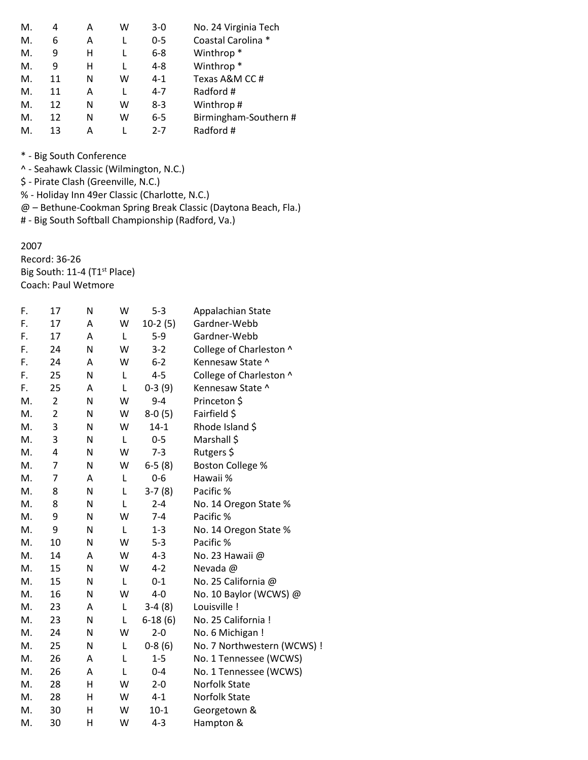| М. | 4  | А | w | $3-0$   | No. 24 Virginia Tech  |
|----|----|---|---|---------|-----------------------|
| М. | 6  | Α |   | $0 - 5$ | Coastal Carolina *    |
| М. | 9  | н |   | $6 - 8$ | Winthrop <sup>*</sup> |
| М. | 9  | н |   | $4 - 8$ | Winthrop <sup>*</sup> |
| М. | 11 | N | w | $4 - 1$ | Texas A&M CC#         |
| Μ. | 11 | Α |   | $4 - 7$ | Radford #             |
| Μ. | 12 | N | w | $8 - 3$ | Winthrop#             |
| Μ. | 12 | N | w | $6-5$   | Birmingham-Southern # |
| М. | 13 | А |   | $2 - 7$ | Radford #             |

- ^ Seahawk Classic (Wilmington, N.C.)
- \$ Pirate Clash (Greenville, N.C.)
- % Holiday Inn 49er Classic (Charlotte, N.C.)

@ – Bethune-Cookman Spring Break Classic (Daytona Beach, Fla.)

# - Big South Softball Championship (Radford, Va.)

#### 2007

Record: 36-26 Big South: 11-4 (T1<sup>st</sup> Place) Coach: Paul Wetmore

| F. | 17             | N | W | $5 - 3$   | Appalachian State           |
|----|----------------|---|---|-----------|-----------------------------|
| F. | 17             | Α | W | $10-2(5)$ | Gardner-Webb                |
| F. | 17             | Α | L | $5-9$     | Gardner-Webb                |
| F. | 24             | N | W | $3 - 2$   | College of Charleston ^     |
| F. | 24             | Α | W | $6 - 2$   | Kennesaw State ^            |
| F. | 25             | N | L | $4 - 5$   | College of Charleston ^     |
| F. | 25             | A | L | $0-3(9)$  | Kennesaw State ^            |
| M. | $\overline{2}$ | N | W | $9 - 4$   | Princeton \$                |
| M. | $\overline{2}$ | N | W | $8-0(5)$  | Fairfield \$                |
| M. | 3              | N | W | $14 - 1$  | Rhode Island \$             |
| M. | 3              | N | L | $0 - 5$   | Marshall \$                 |
| М. | 4              | N | W | $7 - 3$   | Rutgers \$                  |
| M. | $\overline{7}$ | N | W | $6-5(8)$  | <b>Boston College %</b>     |
| M. | $\overline{7}$ | Α | L | $0 - 6$   | Hawaii %                    |
| M. | 8              | N | L | $3-7(8)$  | Pacific %                   |
| М. | 8              | N | L | $2 - 4$   | No. 14 Oregon State %       |
| M. | 9              | N | W | $7 - 4$   | Pacific %                   |
| M. | 9              | N | L | $1 - 3$   | No. 14 Oregon State %       |
| M. | 10             | N | W | $5 - 3$   | Pacific %                   |
| M. | 14             | Α | W | $4 - 3$   | No. 23 Hawaii @             |
| M. | 15             | N | W | $4 - 2$   | Nevada @                    |
| M. | 15             | N | L | $0 - 1$   | No. 25 California @         |
| M. | 16             | N | W | $4 - 0$   | No. 10 Baylor (WCWS) @      |
| М. | 23             | A | L | $3-4(8)$  | Louisville !                |
| M. | 23             | N | L | $6-18(6)$ | No. 25 California !         |
| M. | 24             | N | W | $2 - 0$   | No. 6 Michigan !            |
| M. | 25             | N | L | $0-8(6)$  | No. 7 Northwestern (WCWS) ! |
| M. | 26             | Α | L | $1 - 5$   | No. 1 Tennessee (WCWS)      |
| M. | 26             | Α | L | $0 - 4$   | No. 1 Tennessee (WCWS)      |
| M. | 28             | H | W | $2 - 0$   | <b>Norfolk State</b>        |
| M. | 28             | н | W | $4 - 1$   | <b>Norfolk State</b>        |
| M. | 30             | Η | W | $10-1$    | Georgetown &                |
| M. | 30             | Η | W | $4 - 3$   | Hampton &                   |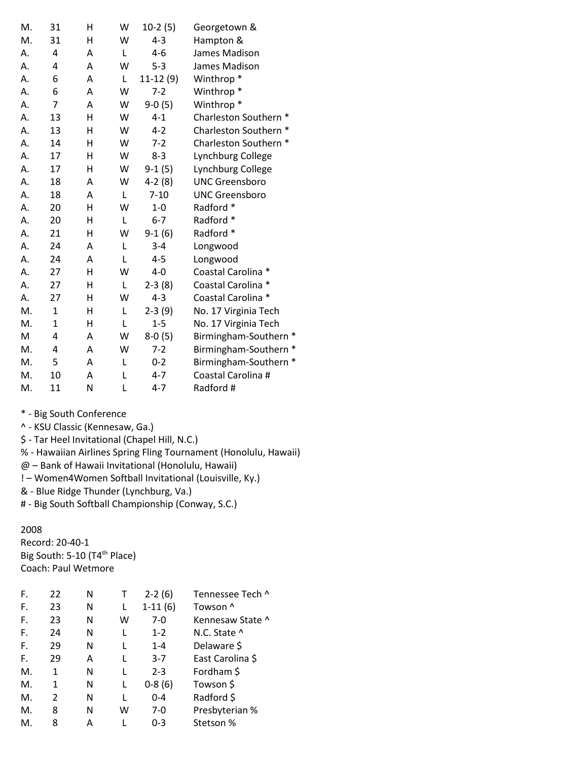| M. | 31             | н | W | $10-2(5)$  | Georgetown &          |
|----|----------------|---|---|------------|-----------------------|
| M. | 31             | н | W | $4 - 3$    | Hampton &             |
| А. | 4              | A | L | $4 - 6$    | James Madison         |
| А. | 4              | A | W | $5 - 3$    | James Madison         |
| А. | 6              | A | L | $11-12(9)$ | Winthrop <sup>*</sup> |
| Α. | 6              | A | W | $7 - 2$    | Winthrop <sup>*</sup> |
| А. | $\overline{7}$ | A | W | $9-0(5)$   | Winthrop <sup>*</sup> |
| А. | 13             | н | W | $4 - 1$    | Charleston Southern * |
| А. | 13             | Η | W | $4 - 2$    | Charleston Southern * |
| А. | 14             | н | W | $7-2$      | Charleston Southern * |
| А. | 17             | Η | W | $8 - 3$    | Lynchburg College     |
| Α. | 17             | Н | W | $9-1(5)$   | Lynchburg College     |
| Α. | 18             | A | W | $4-2(8)$   | <b>UNC Greensboro</b> |
| А. | 18             | A | L | $7 - 10$   | <b>UNC Greensboro</b> |
| А. | 20             | н | W | $1-0$      | Radford *             |
| А. | 20             | н | L | $6 - 7$    | Radford *             |
| А. | 21             | H | W | $9-1(6)$   | Radford *             |
| А. | 24             | A | L | $3 - 4$    | Longwood              |
| Α. | 24             | A | L | $4 - 5$    | Longwood              |
| А. | 27             | н | W | $4 - 0$    | Coastal Carolina *    |
| А. | 27             | Η | L | $2-3(8)$   | Coastal Carolina *    |
| А. | 27             | н | W | $4 - 3$    | Coastal Carolina *    |
| M. | 1              | Η | Г | $2-3(9)$   | No. 17 Virginia Tech  |
| M. | $\mathbf{1}$   | H | L | $1 - 5$    | No. 17 Virginia Tech  |
| M  | 4              | A | W | $8-0(5)$   | Birmingham-Southern * |
| M. | 4              | A | W | $7 - 2$    | Birmingham-Southern * |
| M. | 5              | A | L | $0 - 2$    | Birmingham-Southern * |
| M. | 10             | A | L | $4 - 7$    | Coastal Carolina #    |
| M. | 11             | Ν | L | $4 - 7$    | Radford #             |

^ - KSU Classic (Kennesaw, Ga.)

\$ - Tar Heel Invitational (Chapel Hill, N.C.)

% - Hawaiian Airlines Spring Fling Tournament (Honolulu, Hawaii)

@ – Bank of Hawaii Invitational (Honolulu, Hawaii)

! – Women4Women Softball Invitational (Louisville, Ky.)

& - Blue Ridge Thunder (Lynchburg, Va.)

# - Big South Softball Championship (Conway, S.C.)

## 2008

Record: 20-40-1 Big South: 5-10 (T4<sup>th</sup> Place) Coach: Paul Wetmore

| F. | 22 | N |   | $2-2(6)$  | Tennessee Tech ^ |
|----|----|---|---|-----------|------------------|
| F. | 23 | N | L | $1-11(6)$ | Towson ^         |
| F. | 23 | N | w | 7-0       | Kennesaw State ^ |
| F. | 24 | N |   | $1 - 2$   | N.C. State ^     |
| F. | 29 | N |   | $1 - 4$   | Delaware \$      |
| F. | 29 | A | L | $3 - 7$   | East Carolina \$ |
| Μ. | 1  | N |   | $2 - 3$   | Fordham \$       |
| M. | 1  | N |   | $0-8(6)$  | Towson \$        |
| M. | 2  | N | L | $0 - 4$   | Radford \$       |
| Μ. | 8  | N | w | 7-0       | Presbyterian %   |
| М. | 8  | А |   | 0-3       | Stetson %        |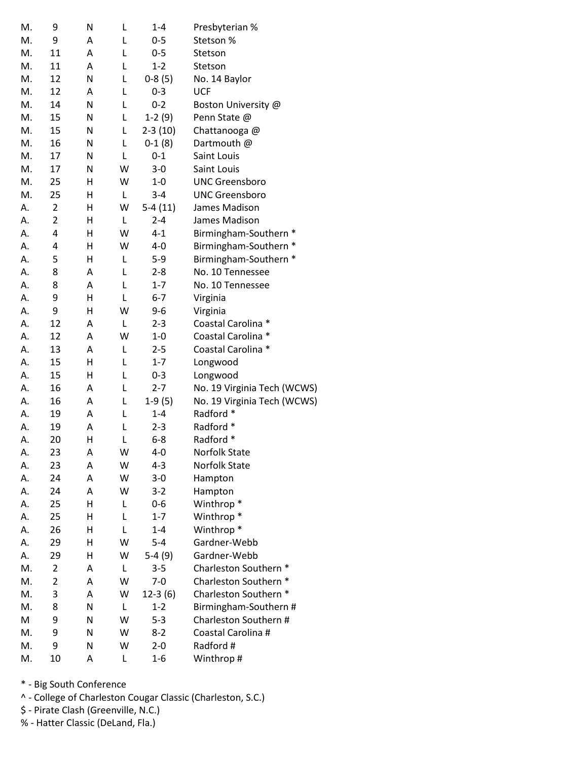| M. | 9              | Ν | L | $1 - 4$   | Presbyterian %              |
|----|----------------|---|---|-----------|-----------------------------|
| M. | 9              | Α | Г | $0 - 5$   | Stetson %                   |
| M. | 11             | Α | L | $0 - 5$   | Stetson                     |
| M. | 11             | Α | L | $1 - 2$   | Stetson                     |
| M. | 12             | N | L | $0-8(5)$  | No. 14 Baylor               |
| M. | 12             | Α | L | $0 - 3$   | <b>UCF</b>                  |
| M. | 14             | N | L | $0 - 2$   | Boston University @         |
| M. | 15             | N | L | $1-2(9)$  | Penn State @                |
| M. | 15             | N | L | $2-3(10)$ | Chattanooga@                |
| M. | 16             | N | L | $0-1(8)$  | Dartmouth @                 |
| M. | 17             | N | Г | $0 - 1$   | Saint Louis                 |
| M. | 17             | N | W | $3 - 0$   | Saint Louis                 |
| M. | 25             | Η | W | $1 - 0$   | <b>UNC Greensboro</b>       |
| M. | 25             | Н | L | $3 - 4$   | <b>UNC Greensboro</b>       |
| А. | $\overline{2}$ | Η | W | $5-4(11)$ | James Madison               |
| Α. | $\overline{2}$ | Н | L | $2 - 4$   | James Madison               |
| А. | 4              | н | W | $4 - 1$   | Birmingham-Southern *       |
| А. | 4              | Н | W | $4 - 0$   | Birmingham-Southern *       |
| А. | 5              | н | L | $5-9$     | Birmingham-Southern *       |
| А. | 8              | Α | L | $2 - 8$   | No. 10 Tennessee            |
| А. | 8              | Α | L | $1 - 7$   | No. 10 Tennessee            |
| А. | 9              | Η | L | $6 - 7$   | Virginia                    |
| А. | 9              | Η | W | $9 - 6$   | Virginia                    |
| Α. | 12             | A | L | $2 - 3$   | Coastal Carolina *          |
| А. | 12             | A | W | $1 - 0$   | Coastal Carolina *          |
| А. | 13             | Α | L | $2 - 5$   | Coastal Carolina *          |
| А. | 15             | Η | L | $1 - 7$   | Longwood                    |
| А. | 15             | Н | L | $0 - 3$   | Longwood                    |
| А. | 16             | Α | L | $2 - 7$   | No. 19 Virginia Tech (WCWS) |
| А. | 16             | Α | L | $1-9(5)$  | No. 19 Virginia Tech (WCWS) |
| А. | 19             | Α | L | $1 - 4$   | Radford *                   |
| А. | 19             | Α | L | $2 - 3$   | Radford *                   |
| А. | 20             | Н | L | $6 - 8$   | Radford *                   |
| А. | 23             | Α | W | $4-0$     | Norfolk State               |
| А. | 23             | Α | W | $4 - 3$   | Norfolk State               |
| А. | 24             | Α | W | $3 - 0$   | Hampton                     |
| А. | 24             | A | W | $3-2$     | Hampton                     |
| А. | 25             | Н | L | $0 - 6$   | Winthrop <sup>*</sup>       |
| А. | 25             | Н | L | $1 - 7$   | Winthrop <sup>*</sup>       |
| А. | 26             | Н | L | $1 - 4$   | Winthrop <sup>*</sup>       |
| А. | 29             | Η | W | $5-4$     | Gardner-Webb                |
| А. | 29             | Н | W | $5-4(9)$  | Gardner-Webb                |
| M. | 2              | Α | L | $3 - 5$   | Charleston Southern *       |
| M. | $\overline{2}$ | Α | W | $7 - 0$   | Charleston Southern *       |
| M. | 3              | Α | W | $12-3(6)$ | Charleston Southern *       |
| M. | 8              | N | L | $1 - 2$   | Birmingham-Southern #       |
| M  | 9              | N | W | $5 - 3$   | Charleston Southern #       |
| M. | 9              | N | W | $8 - 2$   | Coastal Carolina #          |
| M. | 9              | N | W | $2 - 0$   | Radford #                   |
| М. | 10             | Α | L | $1 - 6$   | Winthrop #                  |
|    |                |   |   |           |                             |

^ - College of Charleston Cougar Classic (Charleston, S.C.)

\$ - Pirate Clash (Greenville, N.C.)

.<br>% - Hatter Classic (DeLand, Fla.)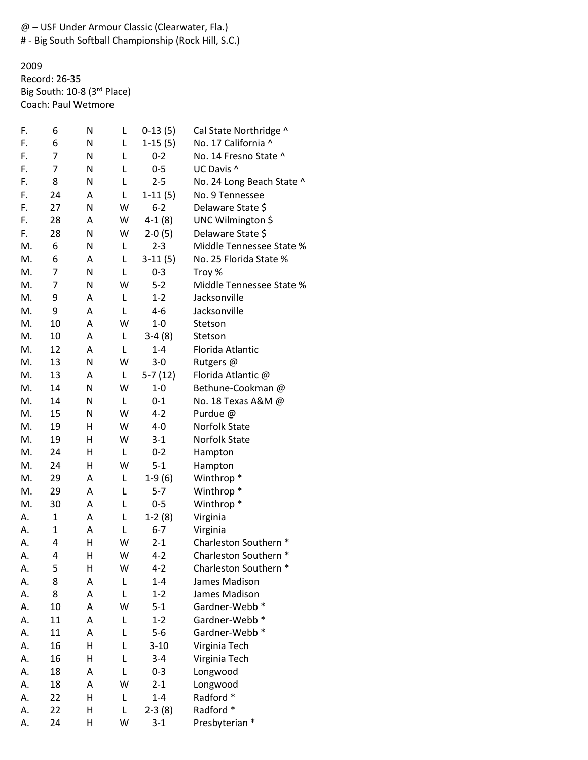@ – USF Under Armour Classic (Clearwater, Fla.)

# - Big South Softball Championship (Rock Hill, S.C.)

2009 Record: 26-35 Big South: 10-8 (3rd Place) Coach: Paul Wetmore

| F. | 6              | N | L | $0-13(5)$ | Cal State Northridge ^    |
|----|----------------|---|---|-----------|---------------------------|
| F. | 6              | N | L | $1-15(5)$ | No. 17 California ^       |
| F. | 7              | N | L | $0 - 2$   | No. 14 Fresno State ^     |
| F. | 7              | N | Г | $0-5$     | UC Davis ^                |
| F. | 8              | N | L | $2 - 5$   | No. 24 Long Beach State ^ |
| F. | 24             | A | L | $1-11(5)$ | No. 9 Tennessee           |
| F. | 27             | N | W | $6 - 2$   | Delaware State \$         |
| F. | 28             | Α | W | $4-1(8)$  | UNC Wilmington \$         |
| F. | 28             | N | W | $2-0(5)$  | Delaware State \$         |
| M. | 6              | N | L | $2 - 3$   | Middle Tennessee State %  |
| M. | 6              | A | L | $3-11(5)$ | No. 25 Florida State %    |
| M. | 7              | N | Г | $0 - 3$   | Troy %                    |
| M. | $\overline{7}$ | N | W | $5 - 2$   | Middle Tennessee State %  |
| M. | 9              | A | L | $1 - 2$   | Jacksonville              |
| M. | 9              | Α | L | 4-6       | Jacksonville              |
| M. | 10             | Α | W | $1 - 0$   | Stetson                   |
| M. | 10             | Α | L | $3-4(8)$  | Stetson                   |
| M. | 12             | Α | L | $1 - 4$   | Florida Atlantic          |
| M. | 13             | N | W | $3 - 0$   | Rutgers @                 |
| M. | 13             | Α | L | $5-7(12)$ | Florida Atlantic @        |
| M. | 14             | N | W | $1 - 0$   | Bethune-Cookman @         |
| M. | 14             | N | L | $0 - 1$   | No. 18 Texas A&M @        |
| M. | 15             | N | W | $4 - 2$   | Purdue @                  |
| M. | 19             | H | W | $4-0$     | <b>Norfolk State</b>      |
| M. | 19             | H | W | $3-1$     | Norfolk State             |
| M. | 24             | Η | L | $0 - 2$   | Hampton                   |
| M. | 24             | Η | W | $5 - 1$   | Hampton                   |
| M. | 29             | Α | L | $1-9(6)$  | Winthrop <sup>*</sup>     |
| M. | 29             | A | Г | $5 - 7$   | Winthrop <sup>*</sup>     |
| M. | 30             | A | Г | $0 - 5$   | Winthrop <sup>*</sup>     |
| Α. | $\mathbf 1$    | Α | L | $1-2(8)$  | Virginia                  |
| А. | $\mathbf{1}$   | Α | L | $6 - 7$   | Virginia                  |
| А. | 4              | H | W | $2 - 1$   | Charleston Southern *     |
| Α. | 4              | Н | W | $4 - 2$   | Charleston Southern *     |
| Α. | 5              | Н | W | $4 - 2$   | Charleston Southern *     |
| А. | 8              | Α | L | $1 - 4$   | James Madison             |
| А. | 8              | Α | L | $1 - 2$   | James Madison             |
| А. | 10             | Α | W | $5-1$     | Gardner-Webb *            |
| А. | 11             | Α | L | $1 - 2$   | Gardner-Webb *            |
| А. | 11             | Α | L | $5-6$     | Gardner-Webb *            |
| А. | 16             | Η | L | $3 - 10$  | Virginia Tech             |
| А. | 16             | Η | Г | $3 - 4$   | Virginia Tech             |
| А. | 18             | Α | L | $0 - 3$   | Longwood                  |
| А. | 18             | Α | W | $2 - 1$   | Longwood                  |
| А. | 22             | H | L | $1 - 4$   | Radford *                 |
| А. | 22             | H | L | $2-3(8)$  | Radford *                 |
| А. | 24             | Η | W | $3 - 1$   | Presbyterian *            |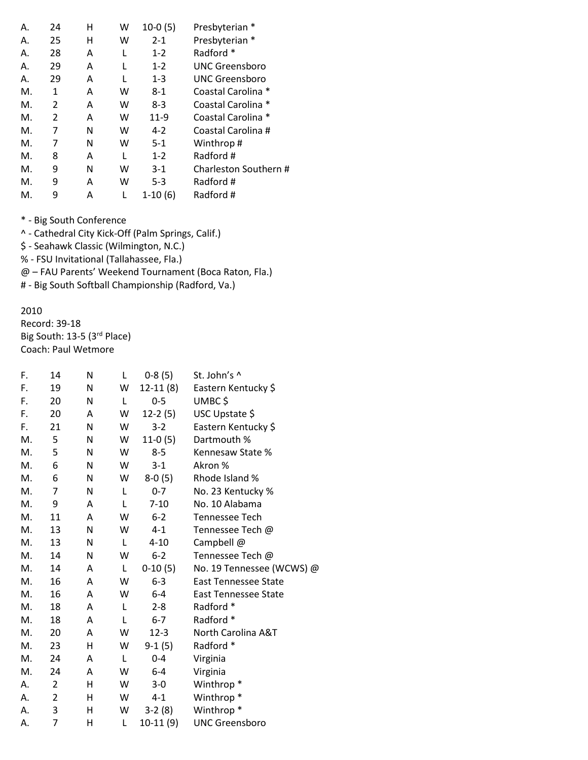| Α. | 24 | н | w | $10-0(5)$ | Presbyterian *        |
|----|----|---|---|-----------|-----------------------|
| Α. | 25 | н | w | $2 - 1$   | Presbyterian *        |
| Α. | 28 | Α | L | $1 - 2$   | Radford *             |
| Α. | 29 | Α | L | $1 - 2$   | UNC Greensboro        |
| Α. | 29 | Α | L | $1 - 3$   | <b>UNC Greensboro</b> |
| Μ. | 1  | Α | w | $8-1$     | Coastal Carolina *    |
| М. | 2  | Α | W | $8-3$     | Coastal Carolina *    |
| М. | 2  | Α | w | $11-9$    | Coastal Carolina *    |
| Μ. | 7  | N | w | $4 - 2$   | Coastal Carolina #    |
| М. | 7  | N | w | $5-1$     | Winthrop#             |
| Μ. | 8  | Α | L | $1 - 2$   | Radford #             |
| Μ. | 9  | N | w | $3-1$     | Charleston Southern # |
| М. | 9  | Α | w | $5 - 3$   | Radford #             |
| М. | 9  | Α | L | $1-10(6)$ | Radford #             |

^ - Cathedral City Kick-Off (Palm Springs, Calif.)

\$ - Seahawk Classic (Wilmington, N.C.)

% - FSU Invitational (Tallahassee, Fla.)

@ – FAU Parents' Weekend Tournament (Boca Raton, Fla.)

# - Big South Softball Championship (Radford, Va.)

#### 2010

Record: 39-18 Big South: 13-5 (3rd Place) Coach: Paul Wetmore

| F. | 14             | N | L | $0-8(5)$   | St. John's ^                |
|----|----------------|---|---|------------|-----------------------------|
| F. | 19             | N | W | $12-11(8)$ | Eastern Kentucky \$         |
| F. | 20             | N | L | $0 - 5$    | UMBC\$                      |
| F. | 20             | A | W | $12-2(5)$  | USC Upstate \$              |
| F. | 21             | N | W | $3 - 2$    | Eastern Kentucky \$         |
| M. | 5              | N | W | $11-0(5)$  | Dartmouth %                 |
| M. | 5              | N | W | $8 - 5$    | Kennesaw State %            |
| M. | 6              | N | W | $3 - 1$    | Akron %                     |
| M. | 6              | N | W | $8-0(5)$   | Rhode Island %              |
| M. | $\overline{7}$ | N | L | $0 - 7$    | No. 23 Kentucky %           |
| M. | 9              | A | L | $7 - 10$   | No. 10 Alabama              |
| М. | 11             | A | W | $6 - 2$    | <b>Tennessee Tech</b>       |
| M. | 13             | N | W | $4 - 1$    | Tennessee Tech @            |
| M. | 13             | N | L | $4 - 10$   | Campbell @                  |
| М. | 14             | N | W | $6 - 2$    | Tennessee Tech @            |
| M. | 14             | A | L | $0-10(5)$  | No. 19 Tennessee (WCWS) @   |
| M. | 16             | A | W | $6 - 3$    | <b>East Tennessee State</b> |
| M. | 16             | Α | w | $6-4$      | East Tennessee State        |
| M. | 18             | A | L | $2 - 8$    | Radford *                   |
| M. | 18             | A | L | $6-7$      | Radford *                   |
| М. | 20             | A | w | $12 - 3$   | North Carolina A&T          |
| M. | 23             | н | W | $9-1(5)$   | Radford *                   |
| M. | 24             | A | L | $0 - 4$    | Virginia                    |
| M. | 24             | Α | W | $6-4$      | Virginia                    |
| Α. | 2              | н | W | $3 - 0$    | Winthrop <sup>*</sup>       |
| А. | $\overline{2}$ | н | W | $4 - 1$    | Winthrop <sup>*</sup>       |
| А. | 3              | н | W | $3-2(8)$   | Winthrop <sup>*</sup>       |
| Α. | $\overline{7}$ | н | Г | $10-11(9)$ | <b>UNC Greensboro</b>       |
|    |                |   |   |            |                             |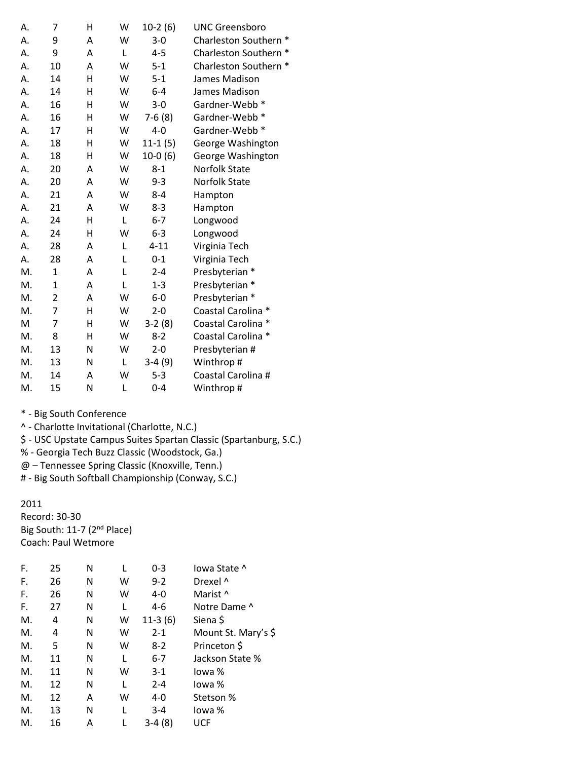| А. | 7            | н | W | $10-2(6)$ | <b>UNC Greensboro</b> |
|----|--------------|---|---|-----------|-----------------------|
| А. | 9            | Α | W | $3 - 0$   | Charleston Southern * |
| А. | 9            | A | L | $4 - 5$   | Charleston Southern * |
| А. | 10           | A | W | $5 - 1$   | Charleston Southern * |
| А. | 14           | H | W | $5 - 1$   | James Madison         |
| А. | 14           | н | W | $6 - 4$   | James Madison         |
| А. | 16           | Η | W | $3 - 0$   | Gardner-Webb *        |
| А. | 16           | н | W | $7-6(8)$  | Gardner-Webb *        |
| Α. | 17           | н | W | $4 - 0$   | Gardner-Webb *        |
| А. | 18           | Η | W | $11-1(5)$ | George Washington     |
| А. | 18           | н | W | $10-0(6)$ | George Washington     |
| А. | 20           | A | W | $8 - 1$   | <b>Norfolk State</b>  |
| А. | 20           | A | W | $9 - 3$   | Norfolk State         |
| Α. | 21           | A | W | $8 - 4$   | Hampton               |
| А. | 21           | A | W | $8 - 3$   | Hampton               |
| А. | 24           | H | L | $6 - 7$   | Longwood              |
| А. | 24           | Η | W | $6 - 3$   | Longwood              |
| А. | 28           | Α | Г | $4 - 11$  | Virginia Tech         |
| А. | 28           | A | L | $0 - 1$   | Virginia Tech         |
| M. | $\mathbf{1}$ | A | L | $2 - 4$   | Presbyterian *        |
| M. | 1            | A | L | $1 - 3$   | Presbyterian *        |
| M. | 2            | Α | W | $6-0$     | Presbyterian *        |
| M. | 7            | H | W | $2 - 0$   | Coastal Carolina *    |
| M  | 7            | Η | W | $3-2(8)$  | Coastal Carolina *    |
| M. | 8            | Η | W | $8 - 2$   | Coastal Carolina *    |
| M. | 13           | N | W | $2 - 0$   | Presbyterian #        |
| M. | 13           | N | L | $3-4(9)$  | Winthrop#             |
| M. | 14           | A | W | $5 - 3$   | Coastal Carolina #    |
| M. | 15           | N | Г | $0 - 4$   | Winthrop#             |

^ - Charlotte Invitational (Charlotte, N.C.)

\$ - USC Upstate Campus Suites Spartan Classic (Spartanburg, S.C.)

% - Georgia Tech Buzz Classic (Woodstock, Ga.)

@ – Tennessee Spring Classic (Knoxville, Tenn.)

# - Big South Softball Championship (Conway, S.C.)

2011 Record: 30-30

Big South: 11-7 (2<sup>nd</sup> Place) Coach: Paul Wetmore

| F. | 25 | Ν |   | $0 - 3$   | lowa State ^        |
|----|----|---|---|-----------|---------------------|
| F. | 26 | N | W | $9 - 2$   | Drexel ^            |
| F. | 26 | N | w | $4 - 0$   | Marist ^            |
| F. | 27 | N |   | $4 - 6$   | Notre Dame ^        |
| Μ. | 4  | Ν | w | $11-3(6)$ | Siena \$            |
| Μ. | 4  | N | w | $2 - 1$   | Mount St. Mary's \$ |
| Μ. | 5  | Ν | W | $8-2$     | Princeton \$        |
| Μ. | 11 | N |   | $6 - 7$   | Jackson State %     |
| Μ. | 11 | N | w | $3-1$     | lowa %              |
| Μ. | 12 | N | L | $2 - 4$   | lowa %              |
| М. | 12 | Α | w | $4 - 0$   | Stetson %           |
| Μ. | 13 | Ν |   | $3 - 4$   | lowa %              |
| М. | 16 | А |   | $3-4(8)$  | UCF                 |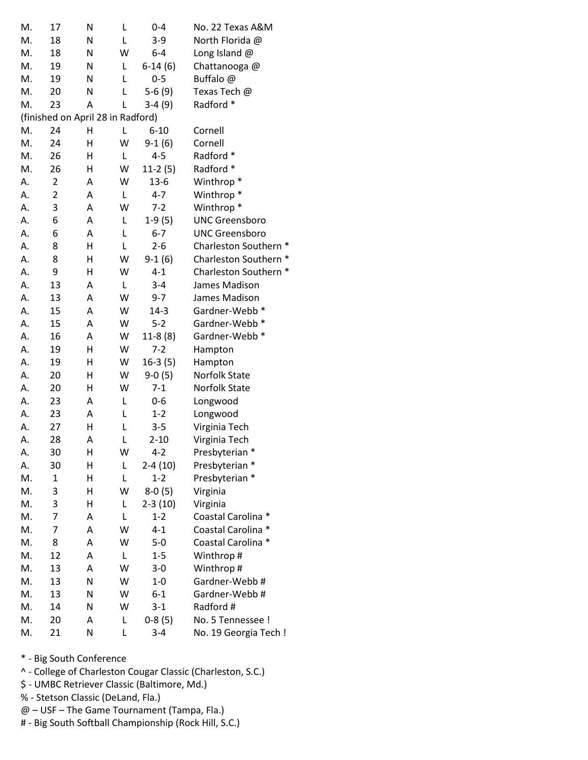| M. | 17                                | N | L | $0 - 4$     | No. 22 Texas A&M      |
|----|-----------------------------------|---|---|-------------|-----------------------|
| M. | 18                                | N | Г | $3-9$       | North Florida @       |
| M. | 18                                | Ν | W | $6-4$       | Long Island $@$       |
| M. | 19                                | N | L | $6-14(6)$   | Chattanooga@          |
| M. | 19                                | Ν | L | $0 - 5$     | Buffalo @             |
| M. | 20                                | N | L | $5-6(9)$    | Texas Tech @          |
| M. | 23                                | A | L | $3-4(9)$    | Radford *             |
|    | (finished on April 28 in Radford) |   |   |             |                       |
| M. | 24                                | Η | Г | $6 - 10$    | Cornell               |
| M. | 24                                | Η | W | $9-1(6)$    | Cornell               |
| M. | 26                                | Н | L | $4 - 5$     | Radford *             |
| M. | 26                                | Н | W | $11-2(5)$   | Radford *             |
| А. | $\overline{2}$                    | Α | W | $13-6$      | Winthrop <sup>*</sup> |
| А. | $\overline{2}$                    | Α | L | $4 - 7$     | Winthrop <sup>*</sup> |
| А. | 3                                 | A | W | $7 - 2$     | Winthrop <sup>*</sup> |
| А. | 6                                 | A | Г | $1-9(5)$    | <b>UNC Greensboro</b> |
| А. | 6                                 | Α | Г | $6 - 7$     | <b>UNC Greensboro</b> |
| А. | 8                                 | Н | Г | $2 - 6$     | Charleston Southern * |
| А. | 8                                 | Η | W | $9-1(6)$    | Charleston Southern * |
| А. | 9                                 | Н | W | $4 - 1$     | Charleston Southern * |
| А. | 13                                | Α | L | $3 - 4$     | James Madison         |
| А. | 13                                | Α | W | $9 - 7$     | James Madison         |
| А. | 15                                | Α | W | $14-3$      | Gardner-Webb *        |
| Α. | 15                                | Α | W | $5 - 2$     | Gardner-Webb *        |
| А. | 16                                | Α | W | $11-8(8)$   | Gardner-Webb *        |
| А. | 19                                | Н | W | $7 - 2$     | Hampton               |
| А. | 19                                | Η | W | $16-3(5)$   | Hampton               |
| А. | 20                                | Η | W | $9-0(5)$    | Norfolk State         |
| А. | 20                                | Н | W | $7 - 1$     | <b>Norfolk State</b>  |
| А. | 23                                | Α | L | $0 - 6$     | Longwood              |
| А. | 23                                | Α | L | $1 - 2$     | Longwood              |
| А. | 27                                | н | L | $3 - 5$     | Virginia Tech         |
| А. | 28                                | Α | L | $2 - 10$    | Virginia Tech         |
| А. | 30                                | Η | W | $4 - 2$     | Presbyterian *        |
| А. | 30                                | Н | L | 2-4 (10)    | Presbyterian *        |
| M. | $\mathbf 1$                       | Η | Г | $1 - 2$     | Presbyterian *        |
| M. | 3                                 | Η | W | $8-0(5)$    | Virginia              |
| M. | 3                                 | н | L | $2 - 3(10)$ | Virginia              |
| M. | 7                                 | А | L | $1 - 2$     | Coastal Carolina *    |
| M. | $\overline{7}$                    | А | W | $4 - 1$     | Coastal Carolina *    |
| M. | 8                                 | Α | W | $5-0$       | Coastal Carolina *    |
| M. | 12                                | Α | L | $1 - 5$     | Winthrop#             |
| M. | 13                                | Α | W | $3 - 0$     | Winthrop#             |
| M. | 13                                | N | W | $1 - 0$     | Gardner-Webb#         |
| M. | 13                                | N | W | $6 - 1$     | Gardner-Webb#         |
| M. | 14                                | N | W | $3-1$       | Radford #             |
|    |                                   |   |   |             |                       |
| M. | 20                                | Α | L | $0-8(5)$    | No. 5 Tennessee !     |

- ^ College of Charleston Cougar Classic (Charleston, S.C.)
- \$ UMBC Retriever Classic (Baltimore, Md.)
- % Stetson Classic (DeLand, Fla.)
- @ USF The Game Tournament (Tampa, Fla.)
- # Big South Softball Championship (Rock Hill, S.C.)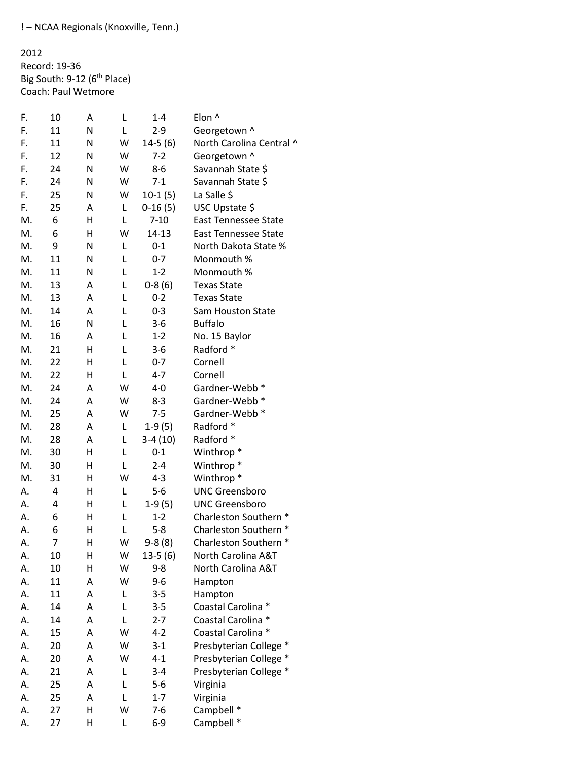! – NCAA Regionals (Knoxville, Tenn.)

2012 Record: 19-36 Big South: 9-12 (6<sup>th</sup> Place) Coach: Paul Wetmore

| F. | 10 | Α | L | $1 - 4$   | Elon ^                      |
|----|----|---|---|-----------|-----------------------------|
| F. | 11 | Ν | L | $2 - 9$   | Georgetown ^                |
| F. | 11 | N | W | $14-5(6)$ | North Carolina Central ^    |
| F. | 12 | N | W | $7-2$     | Georgetown ^                |
| F. | 24 | N | W | $8 - 6$   | Savannah State \$           |
| F. | 24 | Ν | W | $7 - 1$   | Savannah State \$           |
| F. | 25 | Ν | W | $10-1(5)$ | La Salle \$                 |
| F. | 25 | A | L | $0-16(5)$ | USC Upstate \$              |
| M. | 6  | Н | L | $7 - 10$  | <b>East Tennessee State</b> |
| M. | 6  | Н | W | 14-13     | <b>East Tennessee State</b> |
| M. | 9  | Ν | L | $0 - 1$   | North Dakota State %        |
| M. | 11 | Ν | Г | $0 - 7$   | Monmouth %                  |
| M. | 11 | Ν | L | $1 - 2$   | Monmouth %                  |
| M. | 13 | A | L | $0-8(6)$  | <b>Texas State</b>          |
| M. | 13 | A | L | $0 - 2$   | <b>Texas State</b>          |
| M. | 14 | A | L | $0 - 3$   | Sam Houston State           |
| M. | 16 | Ν | Г | $3-6$     | <b>Buffalo</b>              |
| M. | 16 | A | L | $1 - 2$   | No. 15 Baylor               |
| M. | 21 | Н | L | $3 - 6$   | Radford *                   |
| M. | 22 | Η | L | $0 - 7$   | Cornell                     |
| M. | 22 | Η | L | $4 - 7$   | Cornell                     |
| M. | 24 | A | W | $4 - 0$   | Gardner-Webb *              |
| M. | 24 | A | W | $8 - 3$   | Gardner-Webb *              |
| M. | 25 | A | W | $7 - 5$   | Gardner-Webb *              |
| M. | 28 | A | L | $1-9(5)$  | Radford *                   |
| M. | 28 | Α | Г | $3-4(10)$ | Radford *                   |
| M. | 30 | Н | L | $0 - 1$   | Winthrop <sup>*</sup>       |
| M. | 30 | н | Г | $2 - 4$   | Winthrop <sup>*</sup>       |
| M. | 31 | н | W | $4 - 3$   | Winthrop <sup>*</sup>       |
| А. | 4  | н | L | $5-6$     | <b>UNC Greensboro</b>       |
| А. | 4  | н | Г | $1-9(5)$  | <b>UNC Greensboro</b>       |
| А. | 6  | н | L | $1 - 2$   | Charleston Southern *       |
| А. | 6  | Н | L | $5 - 8$   | Charleston Southern *       |
| А. | 7  | Η | W | $9-8(8)$  | Charleston Southern *       |
| А. | 10 | Η | W | $13-5(6)$ | North Carolina A&T          |
| А. | 10 | Η | W | $9 - 8$   | North Carolina A&T          |
| А. | 11 | А | W | $9 - 6$   | Hampton                     |
| А. | 11 | А | L | $3 - 5$   | Hampton                     |
| А. | 14 | А | Г | $3 - 5$   | Coastal Carolina *          |
| А. | 14 | Α | L | $2 - 7$   | Coastal Carolina *          |
| А. | 15 | А | W | $4 - 2$   | Coastal Carolina *          |
| А. | 20 | А | W | $3-1$     | Presbyterian College *      |
| А. | 20 | Α | W | $4 - 1$   | Presbyterian College *      |
| А. | 21 | А | L | $3 - 4$   | Presbyterian College *      |
| А. | 25 | А | L | $5-6$     | Virginia                    |
| А. | 25 | Α | Г | $1 - 7$   | Virginia                    |
| А. | 27 | Н | W | $7-6$     | Campbell *                  |
| А. | 27 | Η | Г | $6-9$     | Campbell *                  |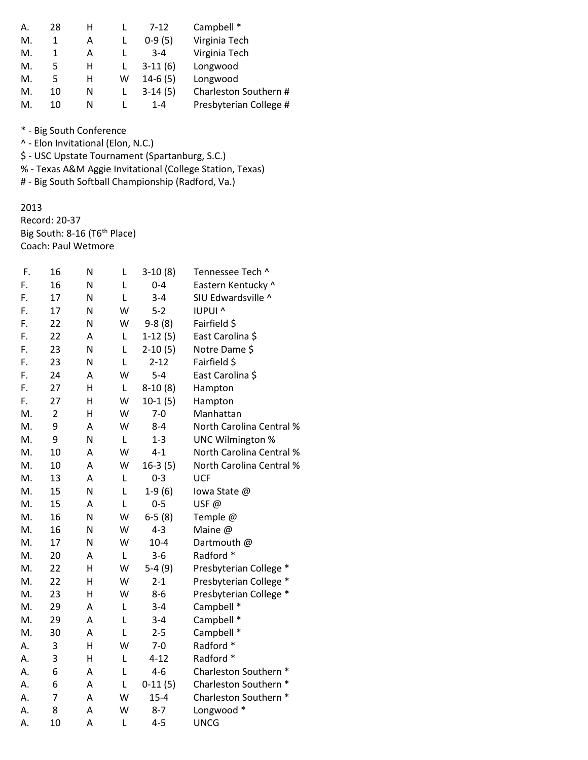| А. | 28 | н |   | $7 - 12$  | Campbell *             |
|----|----|---|---|-----------|------------------------|
| М. |    | Α |   | $0-9(5)$  | Virginia Tech          |
| М. |    | А |   | $3 - 4$   | Virginia Tech          |
| М. | 5. | н |   | $3-11(6)$ | Longwood               |
| М. | 5  | н | w | $14-6(5)$ | Longwood               |
| М. | 10 | N |   | $3-14(5)$ | Charleston Southern #  |
| М. | 10 | N |   | 1-4       | Presbyterian College # |

^ - Elon Invitational (Elon, N.C.)

\$ - USC Upstate Tournament (Spartanburg, S.C.)

% - Texas A&M Aggie Invitational (College Station, Texas)

# - Big South Softball Championship (Radford, Va.)

### 2013

Record: 20-37 Big South: 8-16 (T6<sup>th</sup> Place) Coach: Paul Wetmore

| F. | 16             | Ν | Г | $3-10(8)$ | Tennessee Tech ^         |
|----|----------------|---|---|-----------|--------------------------|
| F. | 16             | N | L | $0 - 4$   | Eastern Kentucky ^       |
| F. | 17             | N | L | $3 - 4$   | SIU Edwardsville ^       |
| F. | 17             | N | W | $5 - 2$   | <b>IUPUI ^</b>           |
| F. | 22             | N | W | $9-8(8)$  | Fairfield \$             |
| F. | 22             | Α | Г | $1-12(5)$ | East Carolina \$         |
| F. | 23             | N | L | $2-10(5)$ | Notre Dame \$            |
| F. | 23             | N | L | $2 - 12$  | Fairfield \$             |
| F. | 24             | A | W | $5 - 4$   | East Carolina \$         |
| F. | 27             | H | L | $8-10(8)$ | Hampton                  |
| F. | 27             | H | W | $10-1(5)$ | Hampton                  |
| M. | $\overline{2}$ | H | W | $7 - 0$   | Manhattan                |
| M. | 9              | A | W | $8 - 4$   | North Carolina Central % |
| M. | 9              | N | L | $1 - 3$   | <b>UNC Wilmington %</b>  |
| M. | 10             | A | W | $4 - 1$   | North Carolina Central % |
| M. | 10             | A | W | $16-3(5)$ | North Carolina Central % |
| M. | 13             | Α | L | $0 - 3$   | <b>UCF</b>               |
| M. | 15             | N | L | $1-9(6)$  | lowa State @             |
| M. | 15             | A | L | $0 - 5$   | USF@                     |
| M. | 16             | N | W | $6-5(8)$  | Temple @                 |
| M. | 16             | N | W | $4 - 3$   | Maine @                  |
| M. | 17             | N | W | $10 - 4$  | Dartmouth @              |
| M. | 20             | Α | L | $3 - 6$   | Radford *                |
| M. | 22             | Η | W | $5-4(9)$  | Presbyterian College *   |
| M. | 22             | н | W | $2 - 1$   | Presbyterian College *   |
| M. | 23             | Η | W | $8 - 6$   | Presbyterian College *   |
| M. | 29             | Α | L | $3 - 4$   | Campbell *               |
| M. | 29             | A | L | $3 - 4$   | Campbell *               |
| M. | 30             | A | L | $2 - 5$   | Campbell *               |
| А. | 3              | H | W | $7 - 0$   | Radford *                |
| А. | 3              | H | L | $4 - 12$  | Radford *                |
| А. | 6              | A | L | $4 - 6$   | Charleston Southern *    |
| Α. | 6              | A | L | $0-11(5)$ | Charleston Southern *    |
| А. | 7              | Α | W | $15 - 4$  | Charleston Southern *    |
| Α. | 8              | A | W | $8 - 7$   | Longwood *               |
| Α. | 10             | A | L | $4 - 5$   | <b>UNCG</b>              |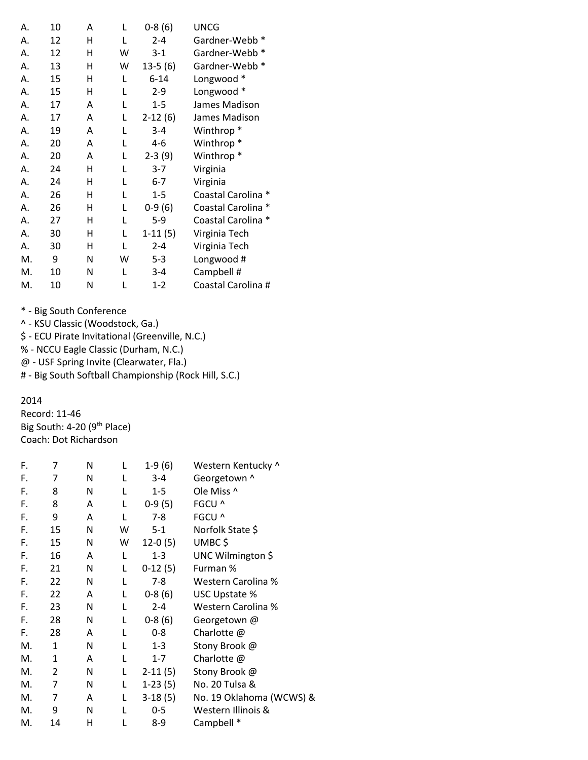| А. | 10 | A | L | $0-8(6)$  | <b>UNCG</b>           |
|----|----|---|---|-----------|-----------------------|
| А. | 12 | Η | L | $2 - 4$   | Gardner-Webb *        |
| А. | 12 | н | w | $3-1$     | Gardner-Webb *        |
| А. | 13 | н | w | $13-5(6)$ | Gardner-Webb *        |
| Α. | 15 | Η | L | $6 - 14$  | Longwood *            |
| А. | 15 | н | L | $2 - 9$   | Longwood *            |
| Α. | 17 | А | L | $1 - 5$   | James Madison         |
| А. | 17 | A | L | $2-12(6)$ | James Madison         |
| Α. | 19 | A | L | $3 - 4$   | Winthrop <sup>*</sup> |
| А. | 20 | A | L | 4-6       | Winthrop <sup>*</sup> |
| А. | 20 | А | L | $2-3(9)$  | Winthrop <sup>*</sup> |
| Α. | 24 | н | L | $3 - 7$   | Virginia              |
| А. | 24 | н | L | $6 - 7$   | Virginia              |
| А. | 26 | н | L | $1 - 5$   | Coastal Carolina *    |
| Α. | 26 | н | L | $0-9(6)$  | Coastal Carolina      |
| Α. | 27 | н | L | $5 - 9$   | Coastal Carolina *    |
| А. | 30 | н | L | $1-11(5)$ | Virginia Tech         |
| А. | 30 | н | L | $2 - 4$   | Virginia Tech         |
| M. | 9  | N | w | $5 - 3$   | Longwood #            |
| M. | 10 | N | L | $3 - 4$   | Campbell #            |
| М. | 10 | Ν | L | $1 - 2$   | Coastal Carolina #    |

^ - KSU Classic (Woodstock, Ga.)

\$ - ECU Pirate Invitational (Greenville, N.C.)

% - NCCU Eagle Classic (Durham, N.C.)

@ - USF Spring Invite (Clearwater, Fla.)

# - Big South Softball Championship (Rock Hill, S.C.)

## 2014

Record: 11-46 Big South: 4-20 (9<sup>th</sup> Place) Coach: Dot Richardson

| F. | 7            | N | L | $1-9(6)$  | Western Kentucky ^       |
|----|--------------|---|---|-----------|--------------------------|
| F. | 7            | N |   | $3 - 4$   | Georgetown ^             |
| F. | 8            | N | L | $1 - 5$   | Ole Miss ^               |
| F. | 8            | A | L | $0-9(5)$  | FGCU ^                   |
| F. | 9            | A | L | $7 - 8$   | FGCU ^                   |
| F. | 15           | N | W | $5 - 1$   | Norfolk State \$         |
| F. | 15           | Ν | W | $12-0(5)$ | UMBC\$                   |
| F. | 16           | A | L | $1 - 3$   | UNC Wilmington \$        |
| F. | 21           | Ν | L | $0-12(5)$ | Furman %                 |
| F. | 22           | N | L | $7 - 8$   | Western Carolina %       |
| F. | 22           | A | L | $0-8(6)$  | USC Upstate %            |
| F. | 23           | N | L | $2 - 4$   | Western Carolina %       |
| F. | 28           | N | L | $0-8(6)$  | Georgetown @             |
| F. | 28           | A | L | $0 - 8$   | Charlotte @              |
| M. | $\mathbf{1}$ | N | L | $1 - 3$   | Stony Brook @            |
| М. | 1            | A |   | $1 - 7$   | Charlotte @              |
| М. | 2            | N | L | $2-11(5)$ | Stony Brook @            |
| M. | 7            | N | L | $1-23(5)$ | No. 20 Tulsa &           |
| М. | 7            | A | L | $3-18(5)$ | No. 19 Oklahoma (WCWS) & |
| M. | 9            | N |   | $0 - 5$   | Western Illinois &       |
| М. | 14           | н |   | 8-9       | Campbell *               |
|    |              |   |   |           |                          |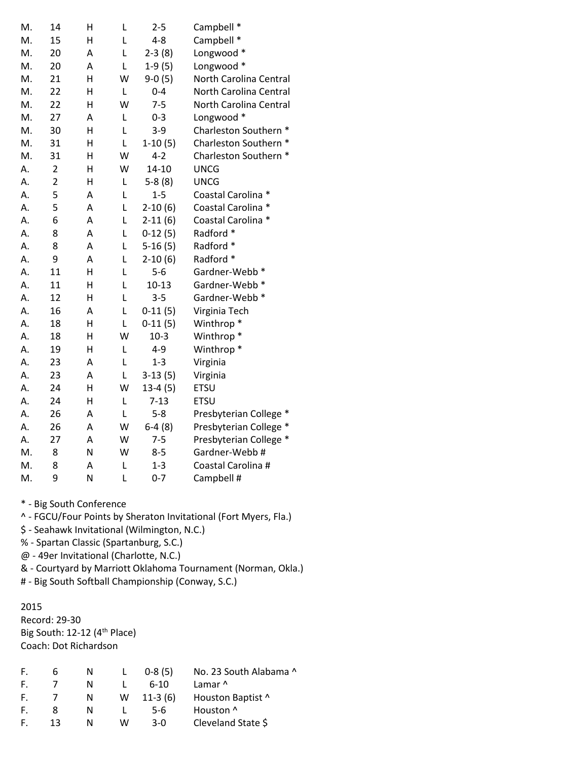| M. | 14             | Η | L | $2 - 5$   | Campbell *             |
|----|----------------|---|---|-----------|------------------------|
| M. | 15             | H | L | $4 - 8$   | Campbell *             |
| M. | 20             | A | L | $2-3(8)$  | Longwood *             |
| M. | 20             | Α | L | $1-9(5)$  | Longwood *             |
| M. | 21             | Η | W | $9-0(5)$  | North Carolina Central |
| M. | 22             | Η | L | $0 - 4$   | North Carolina Central |
| M. | 22             | H | W | $7 - 5$   | North Carolina Central |
| M. | 27             | A | L | $0 - 3$   | Longwood *             |
| M. | 30             | Н | L | $3 - 9$   | Charleston Southern *  |
| M. | 31             | Η | Г | $1-10(5)$ | Charleston Southern *  |
| M. | 31             | Н | W | $4 - 2$   | Charleston Southern *  |
| Α. | $\overline{2}$ | Η | W | $14 - 10$ | <b>UNCG</b>            |
| Α. | $\overline{2}$ | Н | L | $5-8(8)$  | <b>UNCG</b>            |
| Α. | 5              | A | L | $1 - 5$   | Coastal Carolina *     |
| Α. | 5              | A | L | $2-10(6)$ | Coastal Carolina *     |
| Α. | 6              | A | L | $2-11(6)$ | Coastal Carolina *     |
| Α. | 8              | A | L | $0-12(5)$ | Radford *              |
| Α. | 8              | A | L | $5-16(5)$ | Radford *              |
| Α. | 9              | Α | L | $2-10(6)$ | Radford *              |
| Α. | 11             | Η | L | $5-6$     | Gardner-Webb *         |
| Α. | 11             | Н | L | $10 - 13$ | Gardner-Webb *         |
| A. | 12             | H | L | $3 - 5$   | Gardner-Webb *         |
| Α. | 16             | Α | L | $0-11(5)$ | Virginia Tech          |
| Α. | 18             | Η | L | $0-11(5)$ | Winthrop <sup>*</sup>  |
| Α. | 18             | Η | W | $10-3$    | Winthrop <sup>*</sup>  |
| Α. | 19             | Η | L | $4 - 9$   | Winthrop <sup>*</sup>  |
| Α. | 23             | A | L | $1 - 3$   | Virginia               |
| Α. | 23             | A | L | $3-13(5)$ | Virginia               |
| Α. | 24             | Η | W | $13-4(5)$ | ETSU                   |
| Α. | 24             | Η | L | $7 - 13$  | <b>ETSU</b>            |
| Α. | 26             | A | L | $5 - 8$   | Presbyterian College * |
| Α. | 26             | A | W | $6-4(8)$  | Presbyterian College * |
| А. | 27             | Α | W | $7 - 5$   | Presbyterian College * |
| M. | 8              | N | W | $8 - 5$   | Gardner-Webb #         |
| M. | 8              | Α | L | $1 - 3$   | Coastal Carolina #     |
| M. | 9              | N | L | $0 - 7$   | Campbell #             |

^ - FGCU/Four Points by Sheraton Invitational (Fort Myers, Fla.)

\$ - Seahawk Invitational (Wilmington, N.C.)

% - Spartan Classic (Spartanburg, S.C.)

@ - 49er Invitational (Charlotte, N.C.)

& - Courtyard by Marriott Oklahoma Tournament (Norman, Okla.)

# - Big South Softball Championship (Conway, S.C.)

### 2015

Record: 29-30 Big South: 12-12 (4<sup>th</sup> Place) Coach: Dot Richardson

| F. | ь  | N |   | $0-8(5)$  | No. 23 South Alabama ^ |
|----|----|---|---|-----------|------------------------|
| F. |    | N |   | $6-10$    | Lamar ^                |
| F. |    | N | W | $11-3(6)$ | Houston Baptist ^      |
| F. | 8  | N |   | $5-6$     | Houston ^              |
| F. | 13 | N | w | $3-0$     | Cleveland State \$     |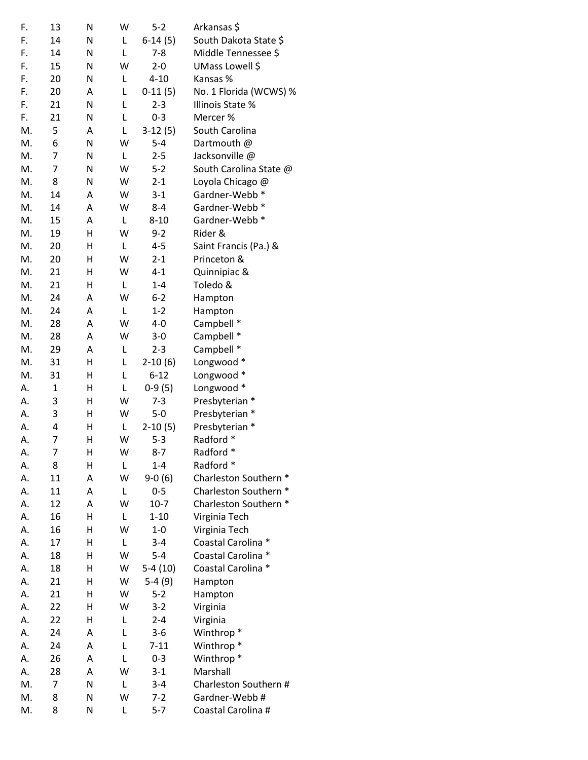| F.       | 13             | N      | W      | $5-2$            | Arkansas \$            |
|----------|----------------|--------|--------|------------------|------------------------|
| F.       | 14             | N      | L      | $6-14(5)$        | South Dakota State \$  |
| F.       | 14             | Ν      | Г      | $7 - 8$          | Middle Tennessee \$    |
| F.       | 15             | N      | W      | $2 - 0$          | UMass Lowell \$        |
| F.       | 20             | Ν      | L      | $4 - 10$         | Kansas %               |
| F.       | 20             | Α      | L      | $0-11(5)$        | No. 1 Florida (WCWS) % |
| F.       | 21             | N      | L      | $2 - 3$          | Illinois State %       |
| F.       | 21             | Ν      | L      | $0 - 3$          | Mercer %               |
| M.       | 5              | Α      | L      | $3-12(5)$        | South Carolina         |
| M.       | 6              | Ν      | W      | $5 - 4$          | Dartmouth @            |
| M.       | 7              | Ν      | L      | $2 - 5$          | Jacksonville @         |
| M.       | 7              | Ν      | W      | $5 - 2$          | South Carolina State @ |
| M.       | 8              | Ν      | W      | $2 - 1$          | Loyola Chicago @       |
| M.       | 14             | Α      | W      | $3-1$            | Gardner-Webb *         |
| M.       | 14             | Α      | W      | $8 - 4$          | Gardner-Webb *         |
| M.       | 15             | Α      | L      | $8 - 10$         | Gardner-Webb *         |
| M.       | 19             | Η      | W      | $9 - 2$          | Rider &                |
| M.       | 20             | Н      | L      | $4 - 5$          | Saint Francis (Pa.) &  |
| М.       | 20             | Н      | W      | $2 - 1$          | Princeton &            |
| M.       | 21             | Η      | W      | $4 - 1$          | Quinnipiac &           |
| M.       | 21             | Η      | L      | $1 - 4$          | Toledo &               |
| M.       | 24             | Α      | W      | $6 - 2$          | Hampton                |
| M.       | 24             | Α      | L      | $1 - 2$          | Hampton                |
| M.       | 28             | Α      | W      | $4 - 0$          | Campbell *             |
| M.       | 28             | Α      | W      | $3-0$            | Campbell *             |
| M.       | 29             | Α      | L      | $2 - 3$          | Campbell *             |
| M.       | 31             | Н      | L      | $2-10(6)$        | Longwood *             |
| M.       | 31             | н      | L      | $6 - 12$         | Longwood *             |
| А.       | $\mathbf 1$    | Η      | Г      | $0-9(5)$         | Longwood *             |
| А.       | 3              | Η      | W      | $7 - 3$          | Presbyterian *         |
| А.       | 3              | Η      | W      | $5 - 0$          | Presbyterian *         |
| А.       | 4              | Η      | L      | $2-10(5)$        | Presbyterian *         |
| Α.       | 7              | Η      | W      | $5 - 3$          | Radford *              |
| А.       | $\overline{7}$ | Н      | W      | $8 - 7$          | Radford *              |
| А.       | 8              | н      | L      | $1 - 4$          | Radford *              |
| А.       | 11             | Α      | W      | $9-0(6)$         | Charleston Southern *  |
| А.       | 11             | Α      | L      | $0 - 5$          | Charleston Southern *  |
| А.       | 12             | Α      | W      | $10-7$           | Charleston Southern *  |
| А.       | 16             | Н      | L      | $1 - 10$         | Virginia Tech          |
| А.       | 16             | Н      | W      | $1-0$            | Virginia Tech          |
| А.       | 17             | Н      | L      | $3 - 4$          | Coastal Carolina *     |
| А.       | 18             | Н      | W      | 5-4              | Coastal Carolina *     |
| А.       | 18             | Н      | W      |                  | Coastal Carolina *     |
|          | 21             | Η      | W      | $5-4(10)$        |                        |
| А.       |                |        |        | $5-4(9)$         | Hampton                |
| А.       | 21             | Η<br>Η | W<br>W | $5 - 2$          | Hampton                |
| А.<br>А. | 22<br>22       | Н      | L      | $3-2$<br>$2 - 4$ | Virginia               |
|          |                |        |        |                  | Virginia               |
| А.       | 24             | Α      | L      | $3-6$            | Winthrop <sup>*</sup>  |
| А.       | 24             | Α      | L      | $7 - 11$         | Winthrop <sup>*</sup>  |
| А.       | 26             | Α      | L      | $0 - 3$          | Winthrop <sup>*</sup>  |
| А.       | 28             | Α      | W      | $3 - 1$          | Marshall               |
| M.       | 7              | N      | L      | $3 - 4$          | Charleston Southern #  |
| М.       | 8              | Ν      | W      | $7 - 2$          | Gardner-Webb#          |
| M.       | 8              | Ν      | L      | $5 - 7$          | Coastal Carolina #     |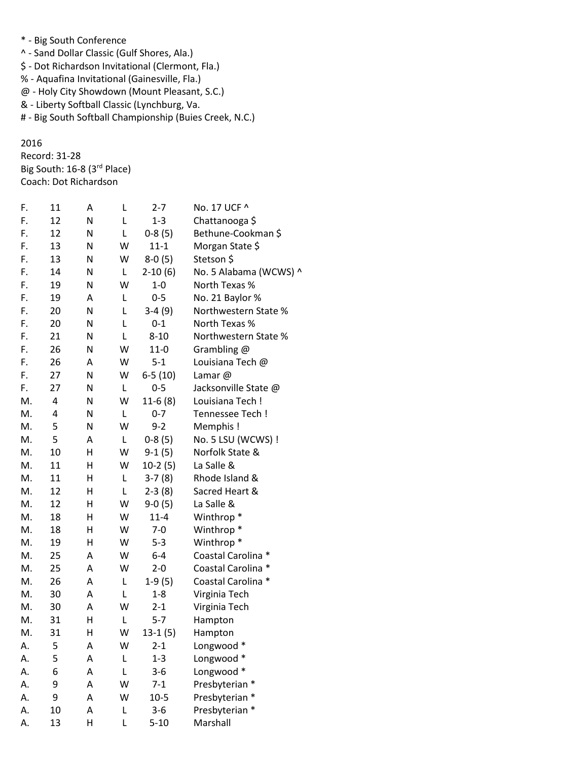- \* Big South Conference
- ^ Sand Dollar Classic (Gulf Shores, Ala.)
- \$ Dot Richardson Invitational (Clermont, Fla.)
- % Aquafina Invitational (Gainesville, Fla.)
- @ Holy City Showdown (Mount Pleasant, S.C.)
- & Liberty Softball Classic (Lynchburg, Va.
- # Big South Softball Championship (Buies Creek, N.C.)

2016 Record: 31-28 Big South: 16-8 (3rd Place) Coach: Dot Richardson

| F. | 11 | A  | L | $2 - 7$   | No. 17 UCF ^           |
|----|----|----|---|-----------|------------------------|
| F. | 12 | Ν  | Г | $1 - 3$   | Chattanooga \$         |
| F. | 12 | N  | L | $0-8(5)$  | Bethune-Cookman \$     |
| F. | 13 | Ν  | W | $11 - 1$  | Morgan State \$        |
| F. | 13 | N  | W | $8-0(5)$  | Stetson \$             |
| F. | 14 | Ν  | L | $2-10(6)$ | No. 5 Alabama (WCWS) ^ |
| F. | 19 | N  | W | $1 - 0$   | North Texas %          |
| F. | 19 | A  | L | $0-5$     | No. 21 Baylor %        |
| F. | 20 | N  | L | $3-4(9)$  | Northwestern State %   |
| F. | 20 | Ν  | L | $0 - 1$   | North Texas %          |
| F. | 21 | Ν  | L | $8 - 10$  | Northwestern State %   |
| F. | 26 | Ν  | W | $11 - 0$  | Grambling @            |
| F. | 26 | A  | W | $5 - 1$   | Louisiana Tech @       |
| F. | 27 | Ν  | W | $6-5(10)$ | Lamar@                 |
| F. | 27 | Ν  | L | $0 - 5$   | Jacksonville State @   |
| M. | 4  | N  | W | $11-6(8)$ | Louisiana Tech !       |
| M. | 4  | N  | L | $0 - 7$   | Tennessee Tech !       |
| M. | 5  | N  | W | $9 - 2$   | Memphis!               |
| M. | 5  | A  | L | $0-8(5)$  | No. 5 LSU (WCWS) !     |
| M. | 10 | Н  | W | $9-1(5)$  | Norfolk State &        |
| M. | 11 | н  | W | $10-2(5)$ | La Salle &             |
| M. | 11 | н  | L | $3-7(8)$  | Rhode Island &         |
| M. | 12 | н  | L | $2-3(8)$  | Sacred Heart &         |
| M. | 12 | н  | W | $9-0(5)$  | La Salle &             |
| M. | 18 | Η  | W | $11 - 4$  | Winthrop <sup>*</sup>  |
| M. | 18 | Η  | W | $7 - 0$   | Winthrop <sup>*</sup>  |
| M. | 19 | н  | W | $5 - 3$   | Winthrop <sup>*</sup>  |
| M. | 25 | А  | W | $6 - 4$   | Coastal Carolina *     |
| M. | 25 | A  | W | $2 - 0$   | Coastal Carolina *     |
| M. | 26 | А  | L | $1-9(5)$  | Coastal Carolina *     |
| M. | 30 | А  | L | $1 - 8$   | Virginia Tech          |
| M. | 30 | А  | W | $2 - 1$   | Virginia Tech          |
| M. | 31 | Η  | L | $5 - 7$   | Hampton                |
| M. | 31 | H. | W | $13-1(5)$ | Hampton                |
| А. | 5  | А  | W | $2 - 1$   | Longwood *             |
| А. | 5  | А  | L | $1 - 3$   | Longwood *             |
| А. | 6  | Α  | L | $3 - 6$   | Longwood *             |
| А. | 9  | Α  | W | $7-1$     | Presbyterian *         |
| А. | 9  | Α  | W | $10-5$    | Presbyterian *         |
| А. | 10 | Α  | L | $3 - 6$   | Presbyterian *         |
| А. | 13 | Н  | L | $5 - 10$  | Marshall               |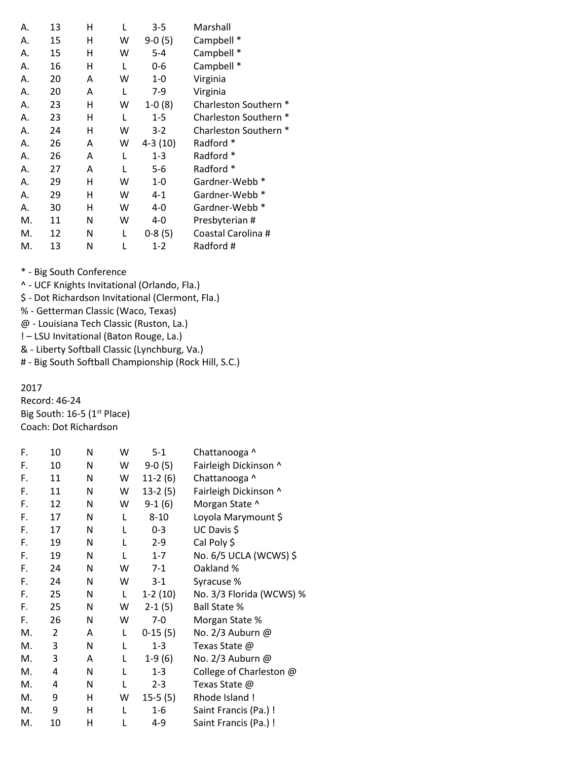| Α. | 13 | н | L | $3 - 5$   | Marshall                   |
|----|----|---|---|-----------|----------------------------|
| Α. | 15 | н | w | $9-0(5)$  | Campbell *                 |
| Α. | 15 | н | w | $5 - 4$   | Campbell *                 |
| А. | 16 | н | L | $0 - 6$   | Campbell *                 |
| Α. | 20 | Α | w | $1 - 0$   | Virginia                   |
| Α. | 20 | A | L | $7-9$     | Virginia                   |
| Α. | 23 | Η | w | $1-0(8)$  | <b>Charleston Southern</b> |
| А. | 23 | н | L | $1 - 5$   | <b>Charleston Southern</b> |
| Α. | 24 | н | w | $3 - 2$   | Charleston Southern *      |
| Α. | 26 | A | w | $4-3(10)$ | Radford *                  |
| Α. | 26 | Α | L | $1 - 3$   | Radford *                  |
| Α. | 27 | A | L | $5-6$     | Radford *                  |
| Α. | 29 | н | w | $1 - 0$   | Gardner-Webb *             |
| Α. | 29 | н | w | $4 - 1$   | Gardner-Webb *             |
| Α. | 30 | н | w | 4-0       | Gardner-Webb *             |
| М. | 11 | N | w | 4-0       | Presbyterian #             |
| М. | 12 | N | L | $0-8(5)$  | Coastal Carolina #         |
| М. | 13 | N |   | $1-2$     | Radford #                  |

- ^ UCF Knights Invitational (Orlando, Fla.)
- \$ Dot Richardson Invitational (Clermont, Fla.)
- % Getterman Classic (Waco, Texas)
- @ Louisiana Tech Classic (Ruston, La.)
- ! LSU Invitational (Baton Rouge, La.)
- & Liberty Softball Classic (Lynchburg, Va.)
- # Big South Softball Championship (Rock Hill, S.C.)

## 2017

Record: 46-24 Big South: 16-5 (1<sup>st</sup> Place) Coach: Dot Richardson

| F. | 10 | N | W | $5 - 1$   | Chattanooga ^            |
|----|----|---|---|-----------|--------------------------|
| F. | 10 | N | W | $9-0(5)$  | Fairleigh Dickinson ^    |
| F. | 11 | N | W | $11-2(6)$ | Chattanooga ^            |
| F. | 11 | N | W | $13-2(5)$ | Fairleigh Dickinson ^    |
| F. | 12 | N | W | $9-1(6)$  | Morgan State ^           |
| F. | 17 | N | L | $8 - 10$  | Loyola Marymount \$      |
| F. | 17 | N | L | 0-3       | UC Davis \$              |
| F. | 19 | N | L | $2-9$     | Cal Poly \$              |
| F. | 19 | N | L | $1 - 7$   | No. 6/5 UCLA (WCWS) \$   |
| F. | 24 | N | W | $7-1$     | Oakland %                |
| F. | 24 | N | W | $3-1$     | Syracuse %               |
| F. | 25 | N | L | $1-2(10)$ | No. 3/3 Florida (WCWS) % |
| F. | 25 | N | W | $2-1(5)$  | <b>Ball State %</b>      |
| F. | 26 | N | W | $7 - 0$   | Morgan State %           |
| M. | 2  | A | L | $0-15(5)$ | No. 2/3 Auburn @         |
| M. | 3  | N | L | $1 - 3$   | Texas State @            |
| M. | 3  | A | L | $1-9(6)$  | No. 2/3 Auburn @         |
| М. | 4  | N | L | $1 - 3$   | College of Charleston @  |
| М. | 4  | N | L | $2 - 3$   | Texas State @            |
| M. | 9  | н | W | $15-5(5)$ | Rhode Island !           |
| М. | 9  | Η | L | $1 - 6$   | Saint Francis (Pa.) !    |
| M. | 10 | Η | L | 4-9       | Saint Francis (Pa.) !    |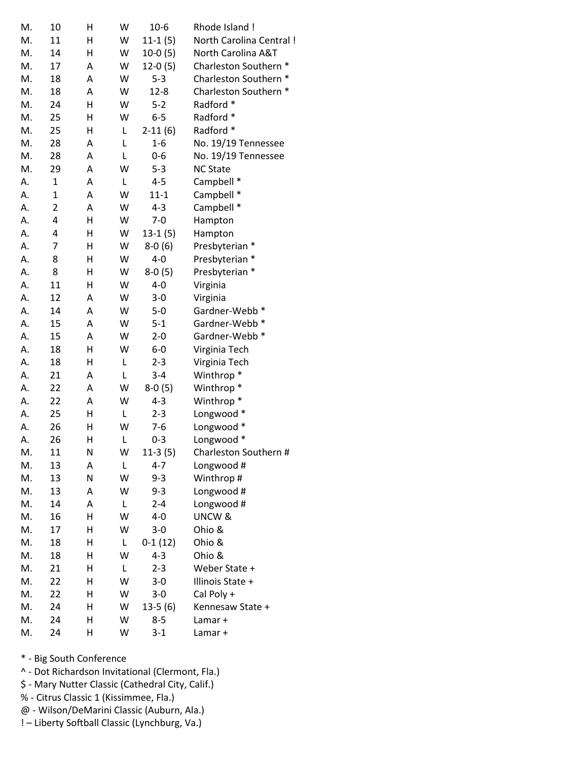| M. | 10             | Η | W | $10-6$    | Rhode Island !          |
|----|----------------|---|---|-----------|-------------------------|
| M. | 11             | н | W | $11-1(5)$ | North Carolina Central! |
| M. | 14             | н | W | $10-0(5)$ | North Carolina A&T      |
| M. | 17             | Α | W | $12-0(5)$ | Charleston Southern *   |
| M. | 18             | Α | W | $5 - 3$   | Charleston Southern *   |
| M. | 18             | Α | W | $12 - 8$  | Charleston Southern *   |
| M. | 24             | H | W | $5 - 2$   | Radford *               |
| M. | 25             | H | W | $6-5$     | Radford *               |
| M. | 25             | н | L | $2-11(6)$ | Radford *               |
| M. | 28             | Α | L | $1 - 6$   | No. 19/19 Tennessee     |
| M. | 28             | Α | L | $0 - 6$   | No. 19/19 Tennessee     |
| M. | 29             | Α | W | $5 - 3$   | <b>NC State</b>         |
| А. | $\mathbf{1}$   | Α | L | $4 - 5$   | Campbell *              |
| А. | $\mathbf 1$    | Α | W | $11 - 1$  | Campbell *              |
| А. | $\overline{2}$ | Α | W | $4 - 3$   | Campbell *              |
| Α. | 4              | H | W | $7 - 0$   | Hampton                 |
| Α. | 4              | Н | W | $13-1(5)$ | Hampton                 |
| А. | 7              | Η | W | $8-0(6)$  | Presbyterian *          |
| А. | 8              | Η | W | $4-0$     | Presbyterian *          |
| А. | 8              | н | W | $8-0(5)$  | Presbyterian *          |
| А. | 11             | н | W | $4 - 0$   | Virginia                |
| А. | 12             | Α | W | $3 - 0$   | Virginia                |
| А. | 14             | Α | W | $5-0$     | Gardner-Webb *          |
| Α. | 15             | Α | W | $5 - 1$   | Gardner-Webb *          |
| Α. | 15             | Α | W | $2 - 0$   | Gardner-Webb *          |
| Α. | 18             | H | W | $6-0$     | Virginia Tech           |
| А. | 18             | н | L | $2 - 3$   | Virginia Tech           |
| А. | 21             | Α | L | $3 - 4$   | Winthrop <sup>*</sup>   |
| А. | 22             | Α | W | $8-0(5)$  | Winthrop <sup>*</sup>   |
| А. | 22             | Α | W | $4 - 3$   | Winthrop <sup>*</sup>   |
| А. | 25             | н | L | $2 - 3$   | Longwood *              |
| А. | 26             | н | W | $7-6$     | Longwood *              |
| А. | 26             | Н | L | $0 - 3$   | Longwood *              |
| M. | 11             | N | W | $11-3(5)$ | Charleston Southern #   |
| М. | 13             | Α | L | $4 - 7$   | Longwood #              |
| М. | 13             | N | W | $9 - 3$   | Winthrop #              |
| M. | 13             | Α | W | $9 - 3$   | Longwood #              |
| М. | 14             | Α | L | $2 - 4$   | Longwood #              |
| М. | 16             | Η | W | $4 - 0$   | UNCW &                  |
| M. | 17             | Η | W | $3-0$     | Ohio &                  |
| M. | 18             | Η | L | $0-1(12)$ | Ohio &                  |
| М. | 18             | н | W | $4 - 3$   | Ohio &                  |
| М. | 21             | н | L | $2 - 3$   | Weber State +           |
| М. | 22             | Η | W | $3-0$     | Illinois State +        |
| M. | 22             | Η | W | $3-0$     | Cal Poly +              |
| M. | 24             | Н | W | $13-5(6)$ | Kennesaw State +        |
| М. | 24             | н | W | $8 - 5$   | Lamar +                 |
| M. | 24             | Η | W | $3 - 1$   | Lamar +                 |
|    |                |   |   |           |                         |

^ - Dot Richardson Invitational (Clermont, Fla.)

\$ - Mary Nutter Classic (Cathedral City, Calif.)

% - Citrus Classic 1 (Kissimmee, Fla.)

@ - Wilson/DeMarini Classic (Auburn, Ala.)

! – Liberty Softball Classic (Lynchburg, Va.)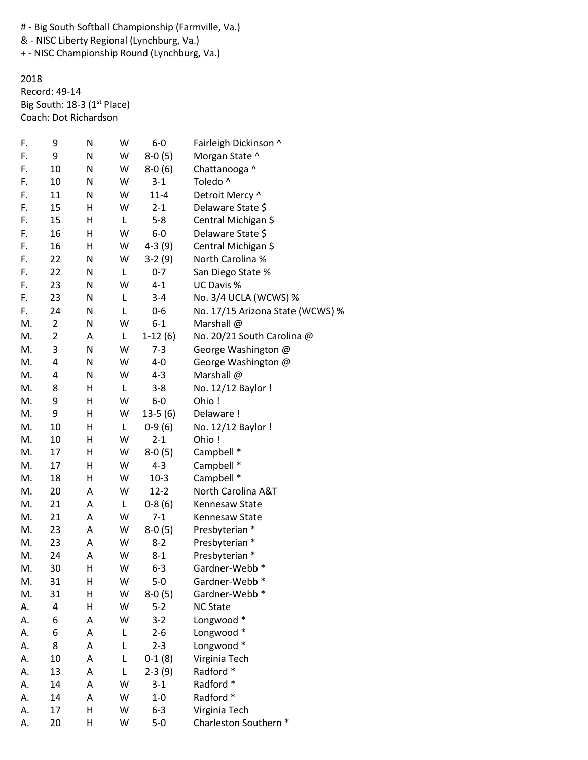# - Big South Softball Championship (Farmville, Va.)

& - NISC Liberty Regional (Lynchburg, Va.)

+ - NISC Championship Round (Lynchburg, Va.)

2018 Record: 49-14 Big South: 18-3 (1<sup>st</sup> Place) Coach: Dot Richardson

| F. | 9              | N | W | $6-0$     | Fairleigh Dickinson ^            |
|----|----------------|---|---|-----------|----------------------------------|
| F. | 9              | N | W | $8-0(5)$  | Morgan State ^                   |
| F. | 10             | N | W | $8-0(6)$  | Chattanooga ^                    |
| F. | 10             | N | W | $3-1$     | Toledo ^                         |
| F. | 11             | N | W | $11 - 4$  | Detroit Mercy ^                  |
| F. | 15             | н | W | $2 - 1$   | Delaware State \$                |
| F. | 15             | Н | L | $5 - 8$   | Central Michigan \$              |
| F. | 16             | Η | W | $6-0$     | Delaware State \$                |
| F. | 16             | Н | W | $4-3(9)$  | Central Michigan \$              |
| F. | 22             | N | W | $3-2(9)$  | North Carolina %                 |
| F. | 22             | N | L | $0 - 7$   | San Diego State %                |
| F. | 23             | N | W | $4 - 1$   | UC Davis %                       |
| F. | 23             | N | L | $3 - 4$   | No. 3/4 UCLA (WCWS) %            |
| F. | 24             | N | L | 0-6       | No. 17/15 Arizona State (WCWS) % |
| М. | $\overline{2}$ | N | W | $6 - 1$   | Marshall @                       |
| М. | 2              | A | L | $1-12(6)$ | No. 20/21 South Carolina @       |
| M. | 3              | N | W | $7-3$     | George Washington @              |
| M. | 4              | N | W | $4-0$     | George Washington @              |
| М. | 4              | N | W | $4 - 3$   | Marshall @                       |
| M. | 8              | н | L | $3 - 8$   | No. 12/12 Baylor !               |
| M. | 9              | Н | W | $6-0$     | Ohio!                            |
| М. | 9              | Н | W | $13-5(6)$ | Delaware !                       |
| М. | 10             | Н | L | $0-9(6)$  | No. 12/12 Baylor !               |
| М. | 10             | Н | W | $2 - 1$   | Ohio!                            |
| Μ. | 17             | Н | W | $8-0(5)$  | Campbell *                       |
| M. | 17             | Η | W | $4 - 3$   | Campbell *                       |
| M. | 18             | Η | W | $10-3$    | Campbell *                       |
| M. | 20             | А | W | $12 - 2$  | North Carolina A&T               |
| M. | 21             | Α | L | $0-8(6)$  | Kennesaw State                   |
| M. | 21             | Α | W | $7 - 1$   | Kennesaw State                   |
| M. | 23             | Α | W | $8-0(5)$  | Presbyterian *                   |
| М. | 23             | Α | W | $8 - 2$   | Presbyterian *                   |
| М. | 24             | А | W | $8 - 1$   | Presbyterian *                   |
| М. | 30             | H | W | $6 - 3$   | Gardner-Webb *                   |
| М. | 31             | Н | W | $5-0$     | Gardner-Webb *                   |
| M. | 31             | Н | W | $8-0(5)$  | Gardner-Webb *                   |
| А. | 4              | Η | W | $5 - 2$   | <b>NC State</b>                  |
| А. | 6              | Α | W | $3-2$     | Longwood *                       |
| А. | 6              | Α | L | $2 - 6$   | Longwood *                       |
| А. | 8              | Α | L | $2 - 3$   | Longwood *                       |
| А. | 10             | Α | L | $0-1(8)$  | Virginia Tech                    |
| А. | 13             | Α | L | $2-3(9)$  | Radford *                        |
| А. | 14             | Α | W | $3 - 1$   | Radford *                        |
| А. | 14             | Α | W | $1 - 0$   | Radford *                        |
| А. | 17             | Н | W | $6 - 3$   | Virginia Tech                    |
| А. | 20             | Н | W | $5-0$     | Charleston Southern *            |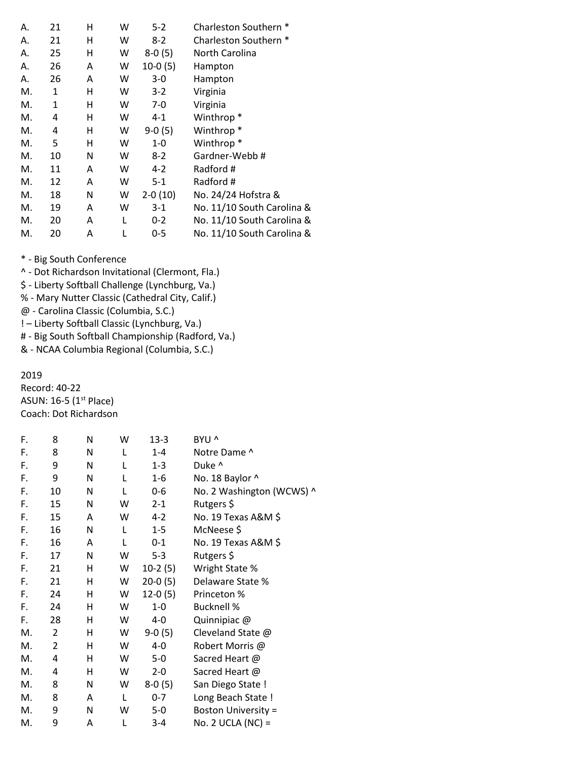| А. | 21 | н | w | $5-2$     | Charleston Southern *      |
|----|----|---|---|-----------|----------------------------|
| А. | 21 | н | w | $8-2$     | Charleston Southern *      |
| Α. | 25 | н | w | $8-0(5)$  | North Carolina             |
| Α. | 26 | A | w | $10-0(5)$ | Hampton                    |
| А. | 26 | A | w | $3-0$     | Hampton                    |
| М. | 1  | н | w | $3 - 2$   | Virginia                   |
| М. | 1  | н | w | $7-0$     | Virginia                   |
| М. | 4  | н | w | 4-1       | Winthrop <sup>*</sup>      |
| М. | 4  | Η | w | $9-0(5)$  | Winthrop <sup>*</sup>      |
| М. | 5  | н | w | $1 - 0$   | Winthrop <sup>*</sup>      |
| М. | 10 | N | w | $8-2$     | Gardner-Webb#              |
| М. | 11 | Α | w | $4-2$     | Radford #                  |
| М. | 12 | A | W | $5-1$     | Radford #                  |
| М. | 18 | N | w | $2-0(10)$ | No. 24/24 Hofstra &        |
| М. | 19 | A | w | $3-1$     | No. 11/10 South Carolina & |
| М. | 20 | Α | L | $0 - 2$   | No. 11/10 South Carolina & |
| М. | 20 | A |   | $0 - 5$   | No. 11/10 South Carolina & |

^ - Dot Richardson Invitational (Clermont, Fla.)

\$ - Liberty Softball Challenge (Lynchburg, Va.)

% - Mary Nutter Classic (Cathedral City, Calif.)

@ - Carolina Classic (Columbia, S.C.)

! – Liberty Softball Classic (Lynchburg, Va.)

# - Big South Softball Championship (Radford, Va.)

& - NCAA Columbia Regional (Columbia, S.C.)

2019

Record: 40-22 ASUN:  $16-5$  ( $1<sup>st</sup>$  Place) Coach: Dot Richardson

| F. | 8              | N | W | $13-3$    | BYU ^                      |
|----|----------------|---|---|-----------|----------------------------|
| F. | 8              | N | L | 1-4       | Notre Dame ^               |
| F. | 9              | N | L | $1 - 3$   | Duke ^                     |
| F. | 9              | N | L | $1-6$     | No. 18 Baylor ^            |
| F. | 10             | N | L | 0-6       | No. 2 Washington (WCWS) ^  |
| F. | 15             | N | W | $2 - 1$   | Rutgers \$                 |
| F. | 15             | A | W | $4 - 2$   | No. 19 Texas A&M \$        |
| F. | 16             | N | L | $1 - 5$   | McNeese \$                 |
| F. | 16             | A | L | $0 - 1$   | No. 19 Texas A&M \$        |
| F. | 17             | N | W | $5 - 3$   | Rutgers \$                 |
| F. | 21             | H | W | $10-2(5)$ | Wright State %             |
| F. | 21             | н | W | $20-0(5)$ | Delaware State %           |
| F. | 24             | н | W | $12-0(5)$ | Princeton %                |
| F. | 24             | н | W | $1-0$     | <b>Bucknell %</b>          |
| F. | 28             | H | W | 4-0       | Quinnipiac @               |
| M. | $\overline{2}$ | н | W | $9-0(5)$  | Cleveland State @          |
| M. | $\overline{2}$ | н | W | $4-0$     | Robert Morris @            |
| M. | 4              | н | W | $5-0$     | Sacred Heart @             |
| М. | 4              | н | W | $2 - 0$   | Sacred Heart @             |
| M. | 8              | Ν | W | $8-0(5)$  | San Diego State !          |
| M. | 8              | A | L | $0 - 7$   | Long Beach State !         |
| M. | 9              | Ν | W | $5-0$     | <b>Boston University =</b> |
| M. | 9              | Α | L | $3 - 4$   | No. 2 UCLA (NC) =          |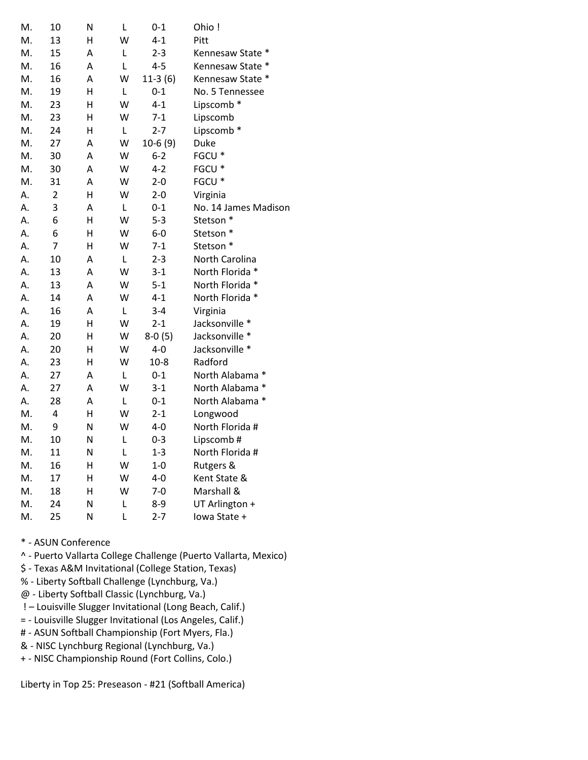| M. | 10                      | N | L | $0 - 1$   | Ohio!                |
|----|-------------------------|---|---|-----------|----------------------|
| М. | 13                      | н | W | $4 - 1$   | Pitt                 |
| M. | 15                      | A | L | $2 - 3$   | Kennesaw State *     |
| M. | 16                      | A | L | $4 - 5$   | Kennesaw State *     |
| M. | 16                      | А | W | $11-3(6)$ | Kennesaw State *     |
| M. | 19                      | H | L | $0 - 1$   | No. 5 Tennessee      |
| M. | 23                      | Н | W | $4 - 1$   | Lipscomb*            |
| M. | 23                      | Η | W | $7 - 1$   | Lipscomb             |
| M. | 24                      | Η | L | $2 - 7$   | Lipscomb *           |
| M. | 27                      | A | W | $10-6(9)$ | Duke                 |
| M. | 30                      | A | W | $6 - 2$   | FGCU *               |
| M. | 30                      | A | W | $4 - 2$   | FGCU <sup>*</sup>    |
| M. | 31                      | A | W | $2 - 0$   | FGCU *               |
| А. | $\overline{2}$          | Н | W | $2 - 0$   | Virginia             |
| A. | 3                       | Α | L | $0 - 1$   | No. 14 James Madison |
| A. | 6                       | Н | W | $5 - 3$   | Stetson *            |
| А. | 6                       | Н | W | $6-0$     | Stetson *            |
| А. | $\overline{7}$          | Η | W | $7-1$     | Stetson *            |
| А. | 10                      | Α | L | $2 - 3$   | North Carolina       |
| А. | 13                      | A | W | 3-1       | North Florida *      |
| А. | 13                      | A | W | $5 - 1$   | North Florida *      |
| А. | 14                      | A | W | $4 - 1$   | North Florida *      |
| Α. | 16                      | A | L | $3 - 4$   | Virginia             |
| Α. | 19                      | H | W | $2 - 1$   | Jacksonville *       |
| А. | 20                      | H | W | $8-0(5)$  | Jacksonville *       |
| Α. | 20                      | Η | W | $4-0$     | Jacksonville *       |
| А. | 23                      | H | W | $10 - 8$  | Radford              |
| А. | 27                      | A | L | $0 - 1$   | North Alabama *      |
| Α. | 27                      | A | W | $3 - 1$   | North Alabama *      |
| Α. | 28                      | A | L | $0 - 1$   | North Alabama *      |
| M. | $\overline{\mathbf{4}}$ | H | W | $2 - 1$   | Longwood             |
| M. | 9                       | N | W | $4 - 0$   | North Florida #      |
| M. | 10                      | N | L | $0 - 3$   | Lipscomb#            |
| M. | 11                      | N | L | $1 - 3$   | North Florida #      |
| M. | 16                      | н | W | $1-0$     | Rutgers &            |
| M. | 17                      | H | W | $4 - 0$   | Kent State &         |
| M. | 18                      | н | W | $7-0$     | Marshall &           |
| M. | 24                      | N | L | $8 - 9$   | UT Arlington +       |
| M. | 25                      | N | L | $2 - 7$   | lowa State +         |

- \* ASUN Conference
- ^ Puerto Vallarta College Challenge (Puerto Vallarta, Mexico)
- \$ Texas A&M Invitational (College Station, Texas)
- % Liberty Softball Challenge (Lynchburg, Va.)
- @ Liberty Softball Classic (Lynchburg, Va.)
- ! Louisville Slugger Invitational (Long Beach, Calif.)
- = Louisville Slugger Invitational (Los Angeles, Calif.)
- # ASUN Softball Championship (Fort Myers, Fla.)
- & NISC Lynchburg Regional (Lynchburg, Va.)
- + NISC Championship Round (Fort Collins, Colo.)

Liberty in Top 25: Preseason - #21 (Softball America)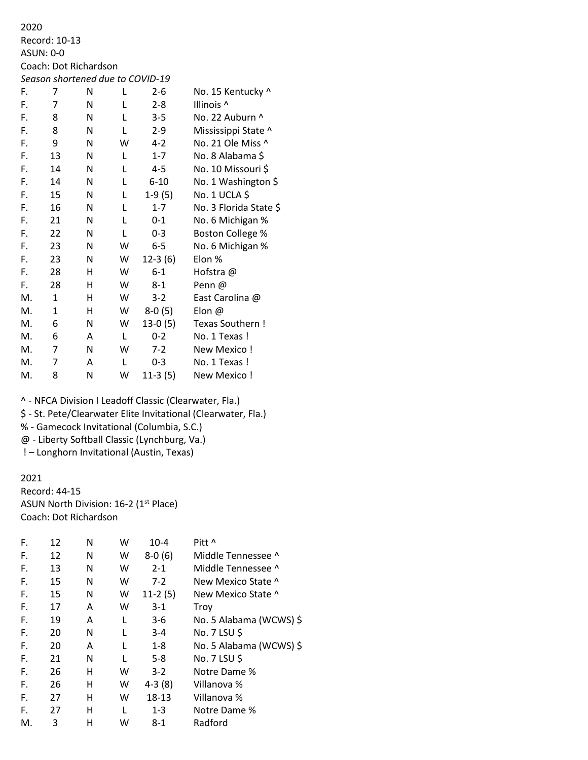2020 Record: 10-13 ASUN: 0-0 Coach: Dot Richardson *Season shortened due to COVID-19* F. 7 N L 2-6 No. 15 Kentucky ^ F. 7 N L 2-8 Illinois ^ F. 8 N L 3-5 No. 22 Auburn ^ F. 8 N L 2-9 Mississippi State ^ F. 9 N W 4-2 No. 21 Ole Miss ^ F. 13 N L 1-7 No. 8 Alabama \$ F. 14 N L 4-5 No. 10 Missouri \$ F. 14 N L 6-10 No. 1 Washington \$ F. 15 N L 1-9 (5) No. 1 UCLA \$ F. 16 N L 1-7 No. 3 Florida State \$ F. 21 N L 0-1 No. 6 Michigan % F. 22 N L 0-3 Boston College % F. 23 N W 6-5 No. 6 Michigan % F. 23 N W 12-3 (6) Elon % F. 28 H W 6-1 Hofstra @ F. 28 H W 8-1 Penn @ M. 1 H W 3-2 East Carolina @ M. 1 H W 8-0 (5) Elon @ M. 6 N W 13-0 (5) Texas Southern ! M. 6 A L 0-2 No. 1 Texas ! M. 7 N W 7-2 New Mexico ! M. 7 A L 0-3 No. 1 Texas ! M. 8 N W 11-3 (5) New Mexico !

^ - NFCA Division I Leadoff Classic (Clearwater, Fla.)

\$ - St. Pete/Clearwater Elite Invitational (Clearwater, Fla.)

% - Gamecock Invitational (Columbia, S.C.)

@ - Liberty Softball Classic (Lynchburg, Va.)

! – Longhorn Invitational (Austin, Texas)

#### 2021

Record: 44-15 ASUN North Division: 16-2 (1<sup>st</sup> Place) Coach: Dot Richardson

| F. | 12 | N | W            | $10 - 4$  | Pitt ^                  |
|----|----|---|--------------|-----------|-------------------------|
| F. | 12 | N | W            | $8-0(6)$  | Middle Tennessee ^      |
| F. | 13 | N | W            | $2 - 1$   | Middle Tennessee ^      |
| F. | 15 | N | W            | $7-2$     | New Mexico State ^      |
| F. | 15 | N | W            | $11-2(5)$ | New Mexico State ^      |
| F. | 17 | A | W            | $3-1$     | Troy                    |
| F. | 19 | A | L            | $3-6$     | No. 5 Alabama (WCWS) \$ |
| F. | 20 | N | L            | $3 - 4$   | No. 7 LSU \$            |
| F. | 20 | A | L            | $1 - 8$   | No. 5 Alabama (WCWS) \$ |
| F. | 21 | N | L            | $5 - 8$   | No. 7 LSU \$            |
| F. | 26 | н | w            | $3-2$     | Notre Dame %            |
| F. | 26 | н | W            | $4-3(8)$  | Villanova %             |
| F. | 27 | н | W            | 18-13     | Villanova %             |
| F. | 27 | н | $\mathbf{I}$ | $1 - 3$   | Notre Dame %            |
| М. | 3  | н | w            | $8 - 1$   | Radford                 |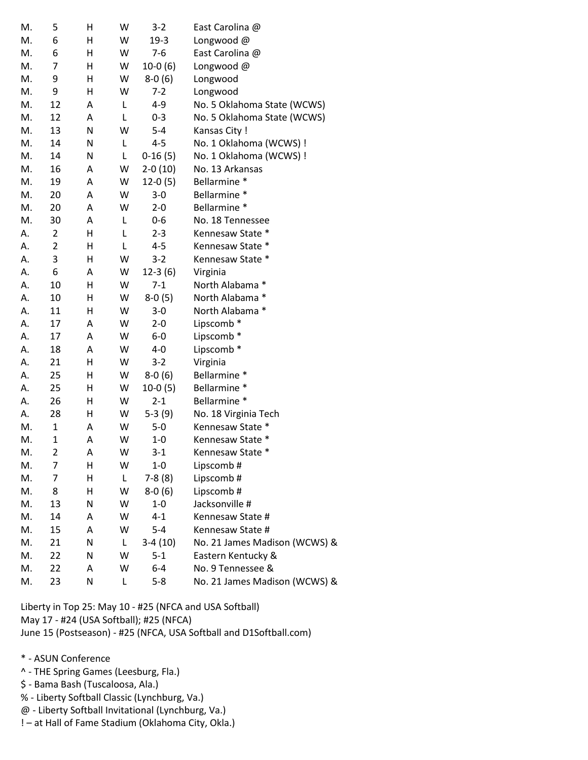| M. | 5                       | н | W | $3-2$     | East Carolina @               |
|----|-------------------------|---|---|-----------|-------------------------------|
| M. | 6                       | Η | W | $19-3$    | Longwood @                    |
| M. | 6                       | Η | W | $7-6$     | East Carolina @               |
| M. | 7                       | Η | W | $10-0(6)$ | Longwood @                    |
| M. | 9                       | Η | W | $8-0(6)$  | Longwood                      |
| M. | 9                       | Η | W | $7-2$     | Longwood                      |
| M. | 12                      | Α | L | 4-9       | No. 5 Oklahoma State (WCWS)   |
| M. | 12                      | Α | Г | $0 - 3$   | No. 5 Oklahoma State (WCWS)   |
| M. | 13                      | N | W | $5 - 4$   | Kansas City !                 |
| M. | 14                      | Ν | L | $4 - 5$   | No. 1 Oklahoma (WCWS) !       |
| M. | 14                      | N | L | $0-16(5)$ | No. 1 Oklahoma (WCWS) !       |
| M. | 16                      | А | W | $2-0(10)$ | No. 13 Arkansas               |
| M. | 19                      | Α | W | $12-0(5)$ | Bellarmine *                  |
| M. | 20                      | Α | W | $3 - 0$   | Bellarmine *                  |
| M. | 20                      | Α | W | $2 - 0$   | Bellarmine *                  |
| M. | 30                      | Α | L | $0-6$     | No. 18 Tennessee              |
| А. | 2                       | Η | L | $2 - 3$   | Kennesaw State *              |
| А. | $\overline{2}$          | Η | L | $4 - 5$   | Kennesaw State *              |
| А. | 3                       | Η | W | $3-2$     | Kennesaw State *              |
| А. | 6                       | Α | W | $12-3(6)$ | Virginia                      |
| А. | 10                      | Η | W | $7 - 1$   | North Alabama *               |
| А. | 10                      | Η | W | $8-0(5)$  | North Alabama *               |
| А. | 11                      | Η | W | 3-0       | North Alabama *               |
| А. | 17                      | Α | W | $2 - 0$   | Lipscomb*                     |
| А. | 17                      | Α | W | $6-0$     | Lipscomb*                     |
| А. | 18                      | Α | W | 4-0       | Lipscomb *                    |
| А. | 21                      | Н | W | $3 - 2$   | Virginia                      |
| А. | 25                      | Н | W | $8-0(6)$  | Bellarmine *                  |
| А. | 25                      | Н | W | $10-0(5)$ | Bellarmine *                  |
| А. | 26                      | н | W | $2 - 1$   | Bellarmine *                  |
| А. | 28                      | Η | W | $5-3(9)$  | No. 18 Virginia Tech          |
| M. | $\mathbf 1$             | Α | W | $5 - 0$   | Kennesaw State *              |
| M. | $\mathbf 1$             | Α | W | $1 - 0$   | Kennesaw State *              |
| M. | $\overline{\mathbf{c}}$ | А | W | $3-1$     | Kennesaw State *              |
| M. | 7                       | н | W | $1-0$     | Lipscomb#                     |
| M. | 7                       | Н | L | $7-8(8)$  | Lipscomb#                     |
| M. | 8                       | Η | W | $8-0(6)$  | Lipscomb#                     |
| M. | 13                      | N | W | $1 - 0$   | Jacksonville #                |
| M. | 14                      | Α | W | $4 - 1$   | Kennesaw State #              |
| M. | 15                      | A | W | $5 - 4$   | Kennesaw State #              |
| M. | 21                      | N | L | $3-4(10)$ | No. 21 James Madison (WCWS) & |
| M. | 22                      | Ν | W | $5 - 1$   | Eastern Kentucky &            |
| M. | 22                      | Α | W | 6-4       | No. 9 Tennessee &             |
| М. | 23                      | N | L | $5 - 8$   | No. 21 James Madison (WCWS) & |

Liberty in Top 25: May 10 - #25 (NFCA and USA Softball) May 17 - #24 (USA Softball); #25 (NFCA) June 15 (Postseason) - #25 (NFCA, USA Softball and D1Softball.com)

\* - ASUN Conference

- ^ THE Spring Games (Leesburg, Fla.)
- \$ Bama Bash (Tuscaloosa, Ala.)
- % Liberty Softball Classic (Lynchburg, Va.)
- @ Liberty Softball Invitational (Lynchburg, Va.)
- ! at Hall of Fame Stadium (Oklahoma City, Okla.)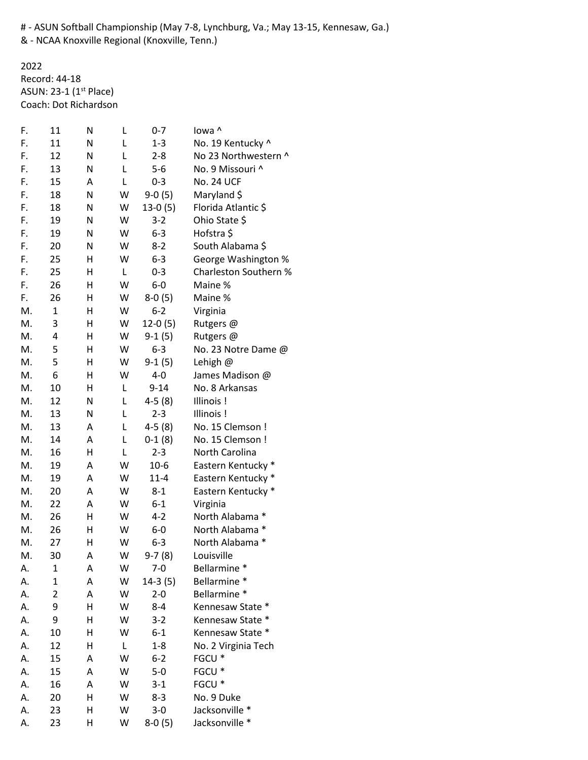# - ASUN Softball Championship (May 7-8, Lynchburg, Va.; May 13-15, Kennesaw, Ga.)

& - NCAA Knoxville Regional (Knoxville, Tenn.)

2022 Record: 44-18 ASUN: 23-1 (1<sup>st</sup> Place) Coach: Dot Richardson

| F. | 11             | N | L | $0 - 7$   | lowa ^                |
|----|----------------|---|---|-----------|-----------------------|
| F. | 11             | N | L | $1 - 3$   | No. 19 Kentucky ^     |
| F. | 12             | N | L | $2 - 8$   | No 23 Northwestern ^  |
| F. | 13             | Ν | L | $5-6$     | No. 9 Missouri ^      |
| F. | 15             | Α | L | $0 - 3$   | <b>No. 24 UCF</b>     |
| F. | 18             | N | W | $9-0(5)$  | Maryland \$           |
| F. | 18             | Ν | W | $13-0(5)$ | Florida Atlantic \$   |
| F. | 19             | N | W | $3 - 2$   | Ohio State \$         |
| F. | 19             | Ν | W | $6 - 3$   | Hofstra \$            |
| F. | 20             | Ν | W | $8-2$     | South Alabama \$      |
| F. | 25             | Н | W | $6 - 3$   | George Washington %   |
| F. | 25             | Н | L | $0 - 3$   | Charleston Southern % |
| F. | 26             | Н | W | $6-0$     | Maine %               |
| F. | 26             | Н | W | $8-0(5)$  | Maine %               |
| M. | $\mathbf{1}$   | н | W | $6 - 2$   | Virginia              |
| M. | 3              | Н | W | $12-0(5)$ | Rutgers @             |
| M. | 4              | Н | W | $9-1(5)$  | Rutgers @             |
| M. | 5              | Н | W | $6 - 3$   | No. 23 Notre Dame @   |
| M. | 5              | Н | W | $9-1(5)$  | Lehigh @              |
| M. | 6              | Н | W | $4 - 0$   | James Madison @       |
| M. | 10             | Н | L | $9 - 14$  | No. 8 Arkansas        |
| M. | 12             | N | L | $4-5(8)$  | Illinois!             |
| M. | 13             | N | L | $2 - 3$   | Illinois!             |
| M. | 13             | Α | L | $4-5(8)$  | No. 15 Clemson !      |
| M. | 14             | Α | L | $0-1(8)$  | No. 15 Clemson !      |
| M. | 16             | Η | L | $2 - 3$   | North Carolina        |
| M. | 19             | Α | W | $10-6$    | Eastern Kentucky *    |
| M. | 19             | Α | W | $11 - 4$  | Eastern Kentucky *    |
| M. | 20             | Α | W | $8 - 1$   | Eastern Kentucky *    |
| M. | 22             | Α | W | $6 - 1$   | Virginia              |
| M. | 26             | Н | W | $4 - 2$   | North Alabama *       |
| M. | 26             | Н | W | $6-0$     | North Alabama *       |
| M. | 27             | Η | W | $6 - 3$   | North Alabama *       |
| M. | 30             | А | W | 9-7 (8)   | Louisville            |
| А. | 1              | Α | W | $7-0$     | Bellarmine *          |
| А. | $\mathbf 1$    | Α | W | $14-3(5)$ | Bellarmine *          |
| А. | $\overline{2}$ | Α | W | $2 - 0$   | Bellarmine *          |
| А. | 9              | Н | W | $8 - 4$   | Kennesaw State *      |
| А. | 9              | Н | W | $3-2$     | Kennesaw State *      |
| А. | 10             | Н | W | $6 - 1$   | Kennesaw State *      |
| А. | 12             | Н | L | $1 - 8$   | No. 2 Virginia Tech   |
| А. | 15             | Α | W | $6 - 2$   | FGCU <sup>*</sup>     |
| А. | 15             | Α | W | $5-0$     | FGCU <sup>*</sup>     |
| А. | 16             | А | W | $3 - 1$   | FGCU <sup>*</sup>     |
| А. | 20             | Н | W | $8 - 3$   | No. 9 Duke            |
| А. | 23             | Н | W | $3 - 0$   | Jacksonville *        |
| А. | 23             | Н | W | $8-0(5)$  | Jacksonville *        |